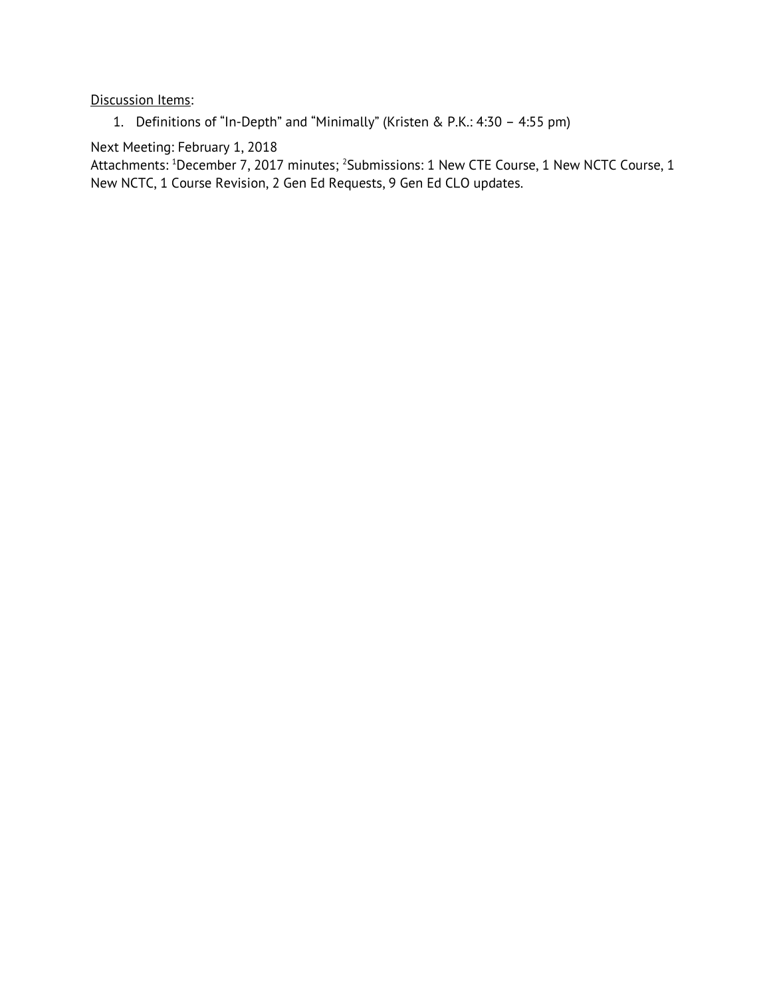#### Discussion Items:

1. Definitions of "In-Depth" and "Minimally" (Kristen & P.K.: 4:30 – 4:55 pm)

# Next Meeting: February 1, 2018

Attachments: <sup>1</sup>December 7, 2017 minutes; <sup>2</sup>Submissions: 1 New CTE Course, 1 New NCTC Course, 1 New NCTC, 1 Course Revision, 2 Gen Ed Requests, 9 Gen Ed CLO updates.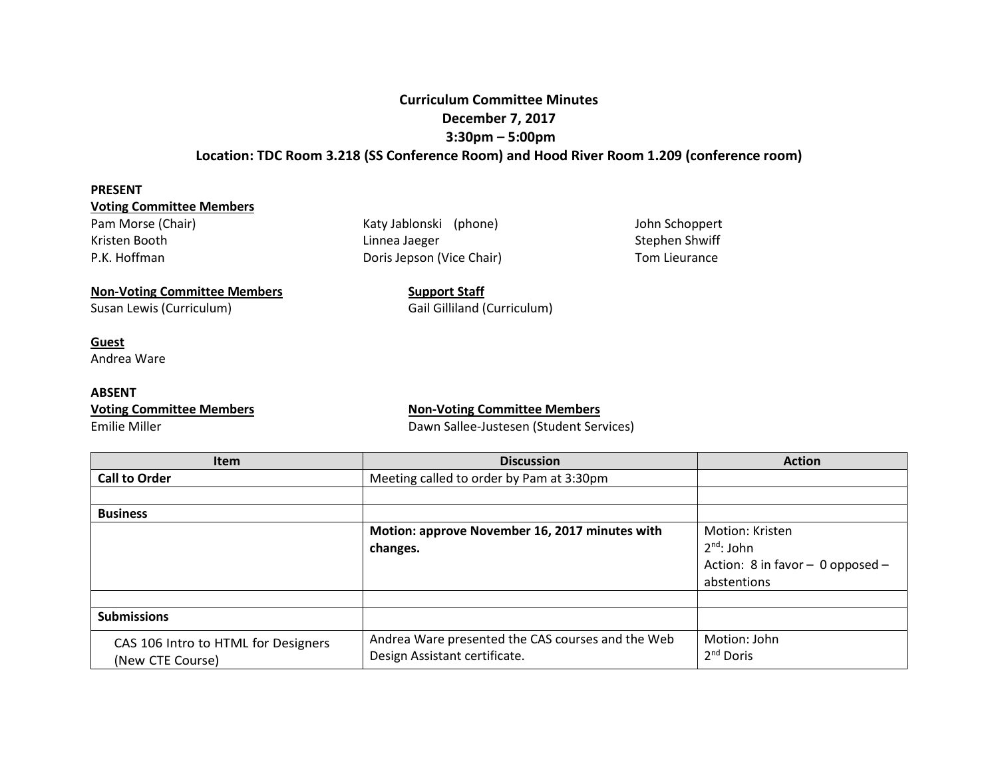## **Curriculum Committee Minutes December 7, 2017 3:30pm – 5:00pm Location: TDC Room 3.218 (SS Conference Room) and Hood River Room 1.209 (conference room)**

#### **PRESENT**

#### **Voting Committee Members**

Pam Morse (Chair) The Morse (Chair) Katy Jablonski (phone) Morse John Schoppert

Kristen Booth **External Stephen Shwiff** Linnea Jaeger Stephen Shwiff Stephen Shwiff P.K. Hoffman **Doris Jepson (Vice Chair)** Tom Lieurance

# **Non-Voting Committee Members Support Staff**

Susan Lewis (Curriculum) Susan Lewis (Curriculum) Gail Gilliland (Curriculum)

#### **Guest**

Andrea Ware

#### **ABSENT**

#### **Voting Committee Members Non-Voting Committee Members**

Emilie Miller Dawn Sallee-Justesen (Student Services)

| <b>Item</b>                         | <b>Discussion</b>                                 | <b>Action</b>                    |
|-------------------------------------|---------------------------------------------------|----------------------------------|
| <b>Call to Order</b>                | Meeting called to order by Pam at 3:30pm          |                                  |
|                                     |                                                   |                                  |
| <b>Business</b>                     |                                                   |                                  |
|                                     | Motion: approve November 16, 2017 minutes with    | Motion: Kristen                  |
|                                     | changes.                                          | $2nd$ : John                     |
|                                     |                                                   | Action: 8 in favor - 0 opposed - |
|                                     |                                                   | abstentions                      |
|                                     |                                                   |                                  |
| <b>Submissions</b>                  |                                                   |                                  |
| CAS 106 Intro to HTML for Designers | Andrea Ware presented the CAS courses and the Web | Motion: John                     |
| (New CTE Course)                    | Design Assistant certificate.                     | $2nd$ Doris                      |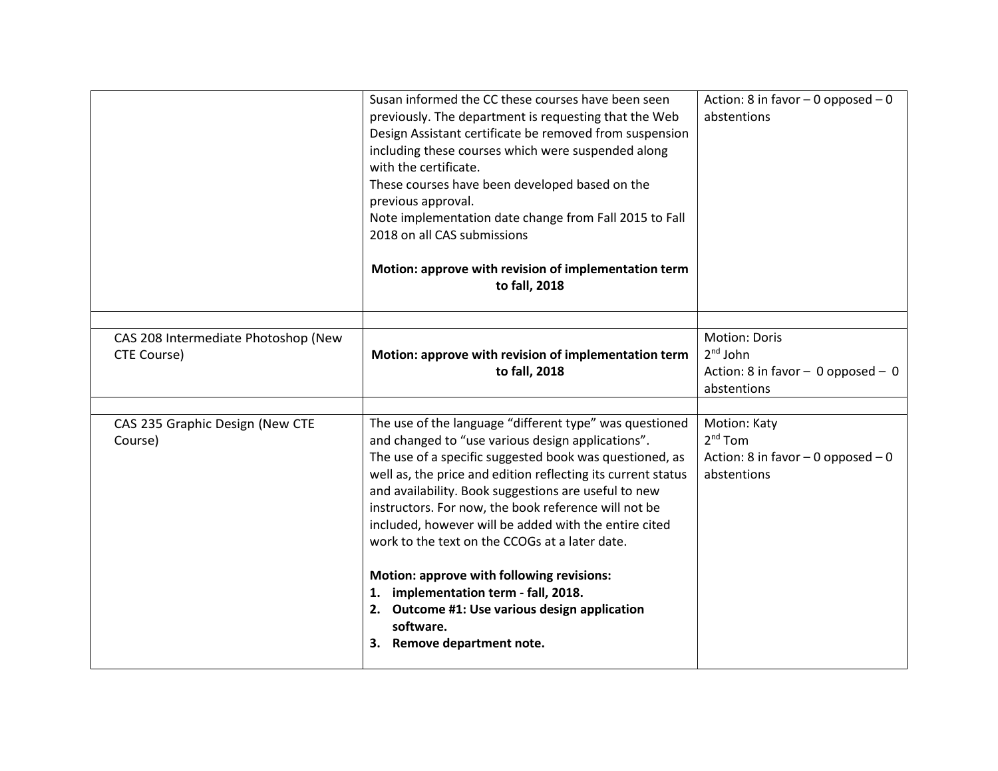|                                                           | Susan informed the CC these courses have been seen<br>previously. The department is requesting that the Web<br>Design Assistant certificate be removed from suspension<br>including these courses which were suspended along<br>with the certificate.<br>These courses have been developed based on the<br>previous approval.<br>Note implementation date change from Fall 2015 to Fall<br>2018 on all CAS submissions<br>Motion: approve with revision of implementation term<br>to fall, 2018                                                                                                                                                     | Action: 8 in favor $-$ 0 opposed $-$ 0<br>abstentions                                     |
|-----------------------------------------------------------|-----------------------------------------------------------------------------------------------------------------------------------------------------------------------------------------------------------------------------------------------------------------------------------------------------------------------------------------------------------------------------------------------------------------------------------------------------------------------------------------------------------------------------------------------------------------------------------------------------------------------------------------------------|-------------------------------------------------------------------------------------------|
| CAS 208 Intermediate Photoshop (New<br><b>CTE Course)</b> | Motion: approve with revision of implementation term<br>to fall, 2018                                                                                                                                                                                                                                                                                                                                                                                                                                                                                                                                                                               | <b>Motion: Doris</b><br>$2nd$ John<br>Action: 8 in favor - 0 opposed - 0<br>abstentions   |
| CAS 235 Graphic Design (New CTE<br>Course)                | The use of the language "different type" was questioned<br>and changed to "use various design applications".<br>The use of a specific suggested book was questioned, as<br>well as, the price and edition reflecting its current status<br>and availability. Book suggestions are useful to new<br>instructors. For now, the book reference will not be<br>included, however will be added with the entire cited<br>work to the text on the CCOGs at a later date.<br>Motion: approve with following revisions:<br>1. implementation term - fall, 2018.<br>2. Outcome #1: Use various design application<br>software.<br>3. Remove department note. | <b>Motion: Katy</b><br>$2nd$ Tom<br>Action: 8 in favor $-$ 0 opposed $-$ 0<br>abstentions |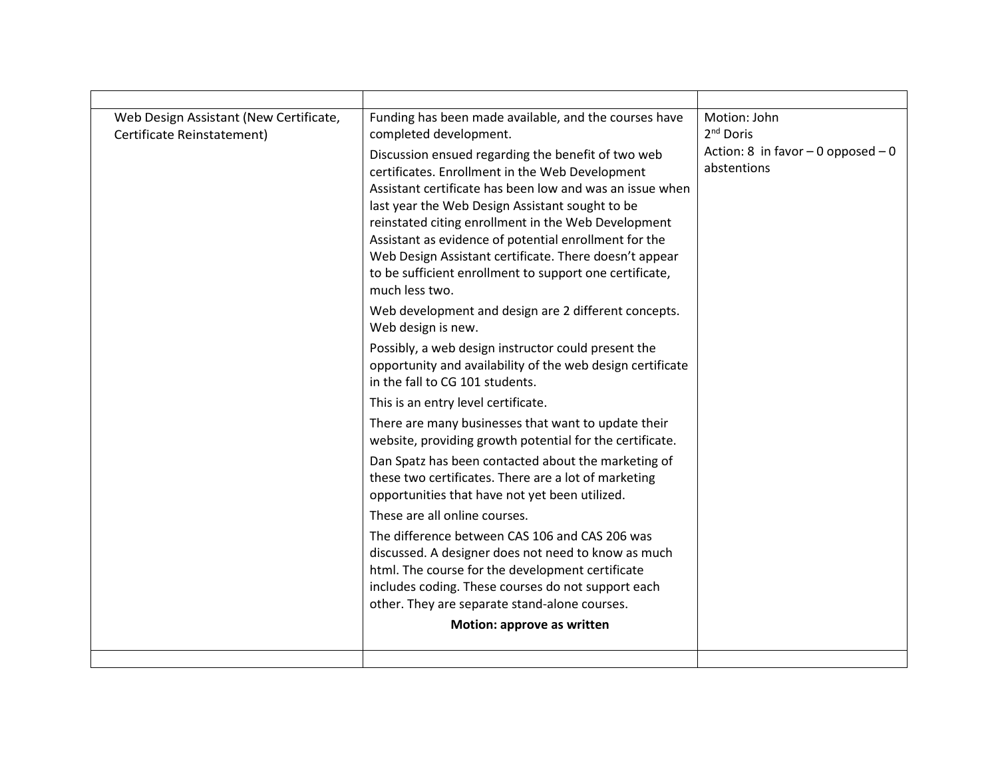| Web Design Assistant (New Certificate, | Funding has been made available, and the courses have                                                           | Motion: John<br>2 <sup>nd</sup> Doris |
|----------------------------------------|-----------------------------------------------------------------------------------------------------------------|---------------------------------------|
| Certificate Reinstatement)             | completed development.                                                                                          | Action: 8 in favor $-0$ opposed $-0$  |
|                                        | Discussion ensued regarding the benefit of two web<br>certificates. Enrollment in the Web Development           | abstentions                           |
|                                        | Assistant certificate has been low and was an issue when                                                        |                                       |
|                                        | last year the Web Design Assistant sought to be                                                                 |                                       |
|                                        | reinstated citing enrollment in the Web Development                                                             |                                       |
|                                        | Assistant as evidence of potential enrollment for the<br>Web Design Assistant certificate. There doesn't appear |                                       |
|                                        | to be sufficient enrollment to support one certificate,                                                         |                                       |
|                                        | much less two.                                                                                                  |                                       |
|                                        | Web development and design are 2 different concepts.                                                            |                                       |
|                                        | Web design is new.                                                                                              |                                       |
|                                        | Possibly, a web design instructor could present the                                                             |                                       |
|                                        | opportunity and availability of the web design certificate<br>in the fall to CG 101 students.                   |                                       |
|                                        | This is an entry level certificate.                                                                             |                                       |
|                                        | There are many businesses that want to update their                                                             |                                       |
|                                        | website, providing growth potential for the certificate.                                                        |                                       |
|                                        | Dan Spatz has been contacted about the marketing of                                                             |                                       |
|                                        | these two certificates. There are a lot of marketing                                                            |                                       |
|                                        | opportunities that have not yet been utilized.                                                                  |                                       |
|                                        | These are all online courses.                                                                                   |                                       |
|                                        | The difference between CAS 106 and CAS 206 was                                                                  |                                       |
|                                        | discussed. A designer does not need to know as much<br>html. The course for the development certificate         |                                       |
|                                        | includes coding. These courses do not support each                                                              |                                       |
|                                        | other. They are separate stand-alone courses.                                                                   |                                       |
|                                        | Motion: approve as written                                                                                      |                                       |
|                                        |                                                                                                                 |                                       |
|                                        |                                                                                                                 |                                       |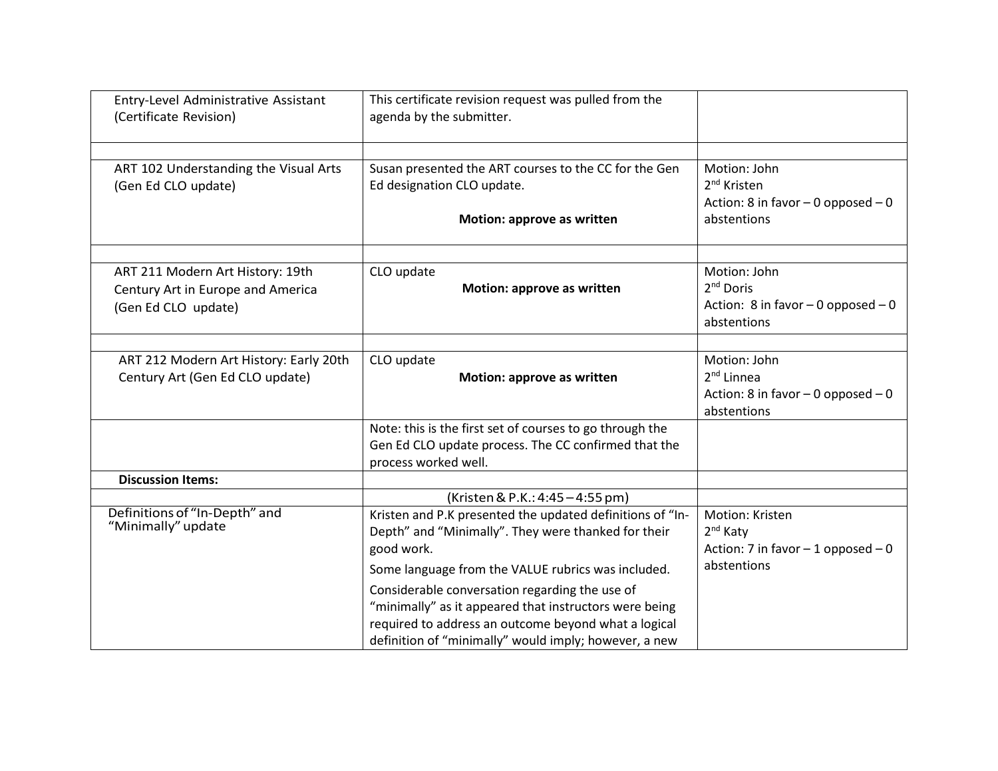| Entry-Level Administrative Assistant<br>(Certificate Revision)                               | This certificate revision request was pulled from the<br>agenda by the submitter.                                                                                                                                                                                                                                                                                                                                 |                                                                                                  |
|----------------------------------------------------------------------------------------------|-------------------------------------------------------------------------------------------------------------------------------------------------------------------------------------------------------------------------------------------------------------------------------------------------------------------------------------------------------------------------------------------------------------------|--------------------------------------------------------------------------------------------------|
| ART 102 Understanding the Visual Arts<br>(Gen Ed CLO update)                                 | Susan presented the ART courses to the CC for the Gen<br>Ed designation CLO update.<br>Motion: approve as written                                                                                                                                                                                                                                                                                                 | Motion: John<br>2 <sup>nd</sup> Kristen<br>Action: 8 in favor $-$ 0 opposed $-$ 0<br>abstentions |
| ART 211 Modern Art History: 19th<br>Century Art in Europe and America<br>(Gen Ed CLO update) | CLO update<br>Motion: approve as written                                                                                                                                                                                                                                                                                                                                                                          | Motion: John<br>2 <sup>nd</sup> Doris<br>Action: 8 in favor $-0$ opposed $-0$<br>abstentions     |
| ART 212 Modern Art History: Early 20th<br>Century Art (Gen Ed CLO update)                    | CLO update<br>Motion: approve as written                                                                                                                                                                                                                                                                                                                                                                          | Motion: John<br>$2nd$ Linnea<br>Action: 8 in favor $-$ 0 opposed $-$ 0<br>abstentions            |
|                                                                                              | Note: this is the first set of courses to go through the<br>Gen Ed CLO update process. The CC confirmed that the<br>process worked well.                                                                                                                                                                                                                                                                          |                                                                                                  |
| <b>Discussion Items:</b>                                                                     |                                                                                                                                                                                                                                                                                                                                                                                                                   |                                                                                                  |
|                                                                                              | (Kristen & P.K.: 4:45 - 4:55 pm)                                                                                                                                                                                                                                                                                                                                                                                  |                                                                                                  |
| Definitions of "In-Depth" and<br>"Minimally" update                                          | Kristen and P.K presented the updated definitions of "In-<br>Depth" and "Minimally". They were thanked for their<br>good work.<br>Some language from the VALUE rubrics was included.<br>Considerable conversation regarding the use of<br>"minimally" as it appeared that instructors were being<br>required to address an outcome beyond what a logical<br>definition of "minimally" would imply; however, a new | Motion: Kristen<br>2 <sup>nd</sup> Katy<br>Action: 7 in favor $-1$ opposed $-0$<br>abstentions   |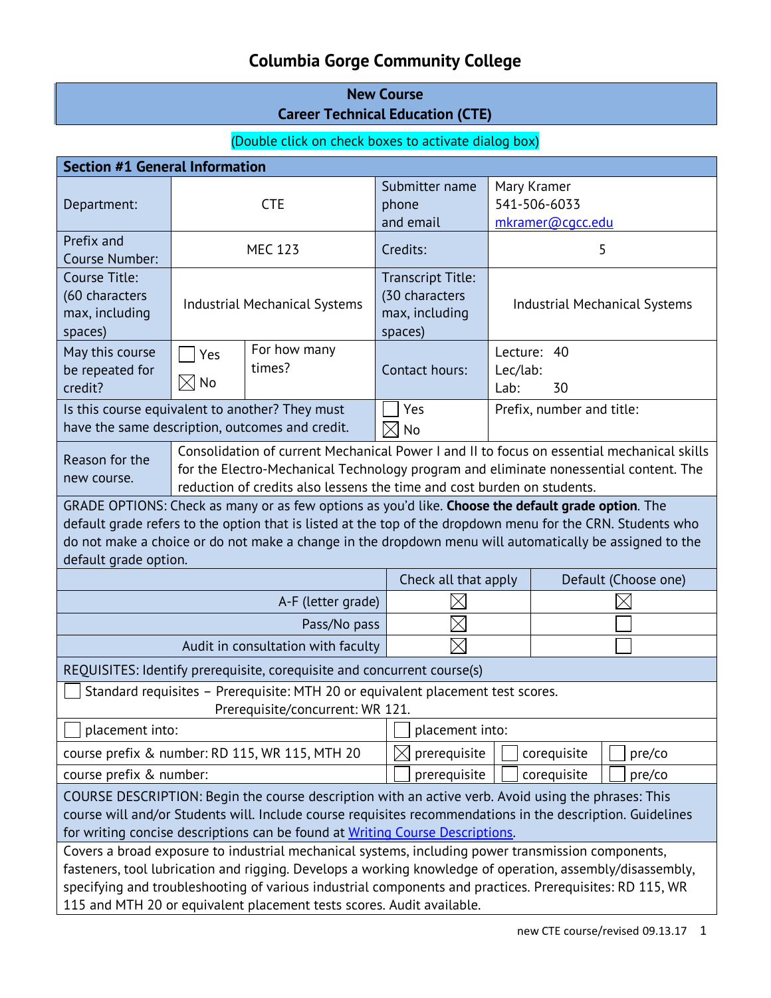# **Columbia Gorge Community College**

# **New Course Career Technical Education (CTE)**

# (Double click on check boxes to activate dialog box)

| <b>Section #1 General Information</b>                                                                                                                                                                                                                                                                                                                                                                |                                                                                                                                                                                                                                                                |                                       |                                                                         |                                      |                               |  |
|------------------------------------------------------------------------------------------------------------------------------------------------------------------------------------------------------------------------------------------------------------------------------------------------------------------------------------------------------------------------------------------------------|----------------------------------------------------------------------------------------------------------------------------------------------------------------------------------------------------------------------------------------------------------------|---------------------------------------|-------------------------------------------------------------------------|--------------------------------------|-------------------------------|--|
| Department:                                                                                                                                                                                                                                                                                                                                                                                          | <b>CTE</b>                                                                                                                                                                                                                                                     |                                       | Submitter name<br>phone                                                 | Mary Kramer<br>541-506-6033          |                               |  |
|                                                                                                                                                                                                                                                                                                                                                                                                      |                                                                                                                                                                                                                                                                |                                       | and email                                                               |                                      | mkramer@cgcc.edu              |  |
| Prefix and<br>Course Number:                                                                                                                                                                                                                                                                                                                                                                         |                                                                                                                                                                                                                                                                | <b>MEC 123</b>                        | Credits:                                                                |                                      | 5                             |  |
| Course Title:<br>(60 characters<br>max, including<br>spaces)                                                                                                                                                                                                                                                                                                                                         | <b>Industrial Mechanical Systems</b>                                                                                                                                                                                                                           |                                       | <b>Transcript Title:</b><br>(30 characters<br>max, including<br>spaces) | <b>Industrial Mechanical Systems</b> |                               |  |
| May this course<br>be repeated for<br>credit?                                                                                                                                                                                                                                                                                                                                                        | Yes<br>$\boxtimes$ No                                                                                                                                                                                                                                          | For how many<br>times?                | Contact hours:                                                          | Lab:                                 | Lecture: 40<br>Lec/lab:<br>30 |  |
| Is this course equivalent to another? They must<br>have the same description, outcomes and credit.                                                                                                                                                                                                                                                                                                   |                                                                                                                                                                                                                                                                |                                       | Yes<br><b>No</b>                                                        |                                      | Prefix, number and title:     |  |
| Reason for the<br>new course.                                                                                                                                                                                                                                                                                                                                                                        | Consolidation of current Mechanical Power I and II to focus on essential mechanical skills<br>for the Electro-Mechanical Technology program and eliminate nonessential content. The<br>reduction of credits also lessens the time and cost burden on students. |                                       |                                                                         |                                      |                               |  |
| GRADE OPTIONS: Check as many or as few options as you'd like. Choose the default grade option. The<br>default grade refers to the option that is listed at the top of the dropdown menu for the CRN. Students who<br>do not make a choice or do not make a change in the dropdown menu will automatically be assigned to the<br>default grade option.                                                |                                                                                                                                                                                                                                                                |                                       |                                                                         |                                      |                               |  |
|                                                                                                                                                                                                                                                                                                                                                                                                      |                                                                                                                                                                                                                                                                |                                       | Check all that apply                                                    |                                      | Default (Choose one)          |  |
| A-F (letter grade)                                                                                                                                                                                                                                                                                                                                                                                   |                                                                                                                                                                                                                                                                |                                       |                                                                         |                                      |                               |  |
| Pass/No pass                                                                                                                                                                                                                                                                                                                                                                                         |                                                                                                                                                                                                                                                                |                                       |                                                                         |                                      |                               |  |
| Audit in consultation with faculty                                                                                                                                                                                                                                                                                                                                                                   |                                                                                                                                                                                                                                                                |                                       |                                                                         |                                      |                               |  |
| REQUISITES: Identify prerequisite, corequisite and concurrent course(s)                                                                                                                                                                                                                                                                                                                              |                                                                                                                                                                                                                                                                |                                       |                                                                         |                                      |                               |  |
| Standard requisites - Prerequisite: MTH 20 or equivalent placement test scores.<br>Prerequisite/concurrent: WR 121.                                                                                                                                                                                                                                                                                  |                                                                                                                                                                                                                                                                |                                       |                                                                         |                                      |                               |  |
| placement into:<br>placement into:                                                                                                                                                                                                                                                                                                                                                                   |                                                                                                                                                                                                                                                                |                                       |                                                                         |                                      |                               |  |
| course prefix & number: RD 115, WR 115, MTH 20                                                                                                                                                                                                                                                                                                                                                       |                                                                                                                                                                                                                                                                | prerequisite<br>$\boxtimes$           |                                                                         | corequisite                          | pre/co                        |  |
| course prefix & number:                                                                                                                                                                                                                                                                                                                                                                              |                                                                                                                                                                                                                                                                | prerequisite<br>corequisite<br>pre/co |                                                                         |                                      |                               |  |
| COURSE DESCRIPTION: Begin the course description with an active verb. Avoid using the phrases: This<br>course will and/or Students will. Include course requisites recommendations in the description. Guidelines<br>for writing concise descriptions can be found at Writing Course Descriptions.                                                                                                   |                                                                                                                                                                                                                                                                |                                       |                                                                         |                                      |                               |  |
| Covers a broad exposure to industrial mechanical systems, including power transmission components,<br>fasteners, tool lubrication and rigging. Develops a working knowledge of operation, assembly/disassembly,<br>specifying and troubleshooting of various industrial components and practices. Prerequisites: RD 115, WR<br>115 and MTH 20 or equivalent placement tests scores. Audit available. |                                                                                                                                                                                                                                                                |                                       |                                                                         |                                      |                               |  |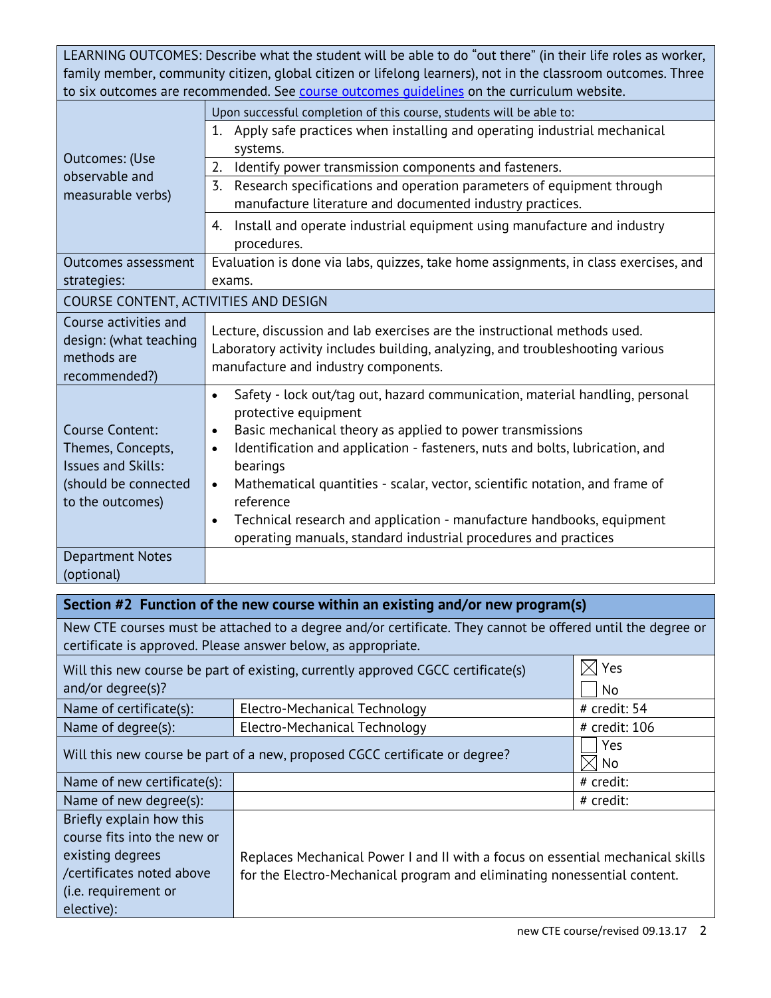LEARNING OUTCOMES: Describe what the student will be able to do "out there" (in their life roles as worker, family member, community citizen, global citizen or lifelong learners), not in the classroom outcomes. Three to six outcomes are recommended. See course outcomes quidelines on the curriculum website.

|                                       | Upon successful completion of this course, students will be able to:                      |
|---------------------------------------|-------------------------------------------------------------------------------------------|
|                                       | 1.<br>Apply safe practices when installing and operating industrial mechanical            |
| <b>Outcomes: (Use</b>                 | systems.                                                                                  |
| observable and                        | Identify power transmission components and fasteners.<br>2.                               |
| measurable verbs)                     | 3.<br>Research specifications and operation parameters of equipment through               |
|                                       | manufacture literature and documented industry practices.                                 |
|                                       | Install and operate industrial equipment using manufacture and industry<br>4.             |
|                                       | procedures.                                                                               |
| Outcomes assessment                   | Evaluation is done via labs, quizzes, take home assignments, in class exercises, and      |
| strategies:                           | exams.                                                                                    |
| COURSE CONTENT, ACTIVITIES AND DESIGN |                                                                                           |
| Course activities and                 | Lecture, discussion and lab exercises are the instructional methods used.                 |
| design: (what teaching                | Laboratory activity includes building, analyzing, and troubleshooting various             |
| methods are                           | manufacture and industry components.                                                      |
| recommended?)                         | Safety - lock out/tag out, hazard communication, material handling, personal<br>$\bullet$ |
|                                       | protective equipment                                                                      |
| Course Content:                       | Basic mechanical theory as applied to power transmissions<br>$\bullet$                    |
| Themes, Concepts,                     | Identification and application - fasteners, nuts and bolts, lubrication, and<br>$\bullet$ |
| <b>Issues and Skills:</b>             | bearings                                                                                  |
| (should be connected                  | Mathematical quantities - scalar, vector, scientific notation, and frame of<br>$\bullet$  |
| to the outcomes)                      | reference                                                                                 |
|                                       | Technical research and application - manufacture handbooks, equipment<br>$\bullet$        |
|                                       | operating manuals, standard industrial procedures and practices                           |
| <b>Department Notes</b>               |                                                                                           |
| (optional)                            |                                                                                           |

|                                                                                                    | Section #2 Function of the new course within an existing and/or new program(s)                              |                      |  |  |  |
|----------------------------------------------------------------------------------------------------|-------------------------------------------------------------------------------------------------------------|----------------------|--|--|--|
|                                                                                                    | New CTE courses must be attached to a degree and/or certificate. They cannot be offered until the degree or |                      |  |  |  |
|                                                                                                    | certificate is approved. Please answer below, as appropriate.                                               |                      |  |  |  |
|                                                                                                    | Will this new course be part of existing, currently approved CGCC certificate(s)                            | $\times$ Yes         |  |  |  |
| and/or degree(s)?                                                                                  |                                                                                                             | No                   |  |  |  |
| Name of certificate(s):                                                                            | Electro-Mechanical Technology                                                                               | # credit: 54         |  |  |  |
| Name of degree(s):                                                                                 | Electro-Mechanical Technology                                                                               | # credit: 106        |  |  |  |
|                                                                                                    | Will this new course be part of a new, proposed CGCC certificate or degree?                                 | Yes<br>$\times$   No |  |  |  |
| Name of new certificate(s):                                                                        |                                                                                                             | # credit:            |  |  |  |
| Name of new degree(s):                                                                             |                                                                                                             | # credit:            |  |  |  |
| Briefly explain how this                                                                           |                                                                                                             |                      |  |  |  |
| course fits into the new or                                                                        |                                                                                                             |                      |  |  |  |
| existing degrees<br>Replaces Mechanical Power I and II with a focus on essential mechanical skills |                                                                                                             |                      |  |  |  |
| /certificates noted above                                                                          | for the Electro-Mechanical program and eliminating nonessential content.                                    |                      |  |  |  |
| (i.e. requirement or                                                                               |                                                                                                             |                      |  |  |  |
| elective):                                                                                         |                                                                                                             |                      |  |  |  |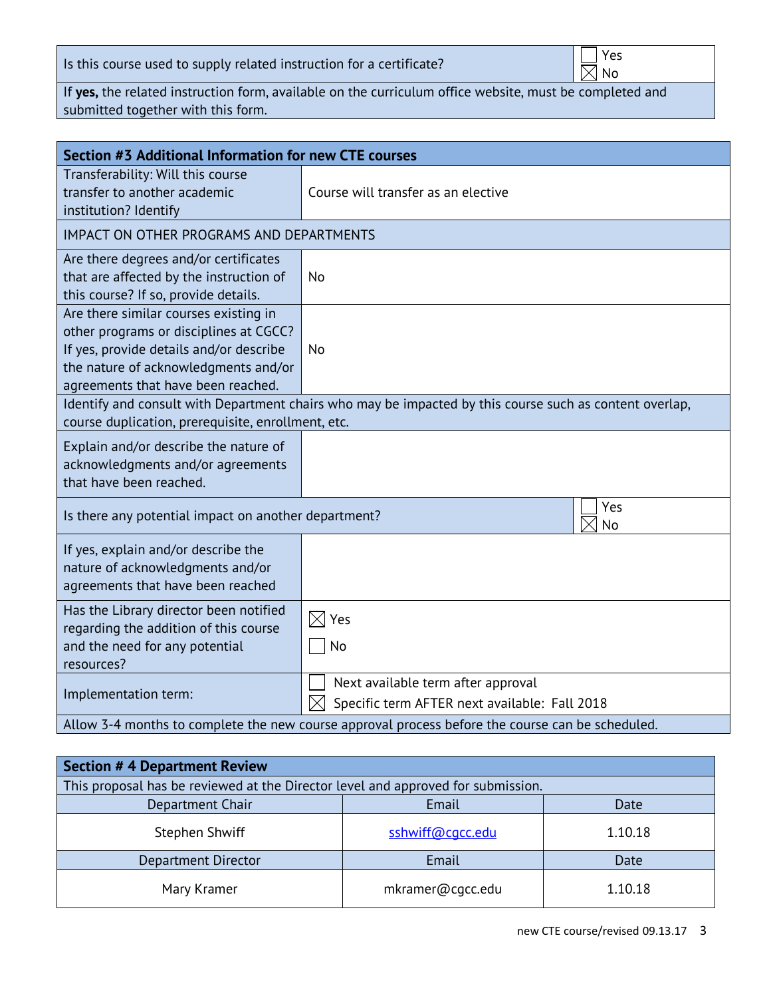Is this course used to supply related instruction for a certificate?

 $\bar{\boxtimes}$  No

If **yes,** the related instruction form, available on the curriculum office website, must be completed and submitted together with this form.

| Section #3 Additional Information for new CTE courses                                                                                                                                                    |                                                                                                    |  |
|----------------------------------------------------------------------------------------------------------------------------------------------------------------------------------------------------------|----------------------------------------------------------------------------------------------------|--|
| Transferability: Will this course<br>transfer to another academic<br>institution? Identify                                                                                                               | Course will transfer as an elective                                                                |  |
| <b>IMPACT ON OTHER PROGRAMS AND DEPARTMENTS</b>                                                                                                                                                          |                                                                                                    |  |
| Are there degrees and/or certificates<br>that are affected by the instruction of<br>this course? If so, provide details.                                                                                 | No                                                                                                 |  |
| Are there similar courses existing in<br>other programs or disciplines at CGCC?<br>If yes, provide details and/or describe<br>the nature of acknowledgments and/or<br>agreements that have been reached. | <b>No</b>                                                                                          |  |
| Identify and consult with Department chairs who may be impacted by this course such as content overlap,<br>course duplication, prerequisite, enrollment, etc.                                            |                                                                                                    |  |
| Explain and/or describe the nature of<br>acknowledgments and/or agreements<br>that have been reached.                                                                                                    |                                                                                                    |  |
| Is there any potential impact on another department?                                                                                                                                                     | Yes<br>No                                                                                          |  |
| If yes, explain and/or describe the<br>nature of acknowledgments and/or<br>agreements that have been reached                                                                                             |                                                                                                    |  |
| Has the Library director been notified<br>regarding the addition of this course<br>and the need for any potential<br>resources?                                                                          | $\boxtimes$ Yes<br>No                                                                              |  |
| Implementation term:                                                                                                                                                                                     | Next available term after approval<br>$\boxtimes$<br>Specific term AFTER next available: Fall 2018 |  |
| Allow 3-4 months to complete the new course approval process before the course can be scheduled.                                                                                                         |                                                                                                    |  |

| Section # 4 Department Review                                                    |                  |         |  |  |
|----------------------------------------------------------------------------------|------------------|---------|--|--|
| This proposal has be reviewed at the Director level and approved for submission. |                  |         |  |  |
| Department Chair                                                                 | Email            | Date    |  |  |
| Stephen Shwiff                                                                   | sshwiff@cqcc.edu | 1.10.18 |  |  |
| Department Director                                                              | Email            | Date    |  |  |
| Mary Kramer                                                                      | mkramer@cgcc.edu | 1.10.18 |  |  |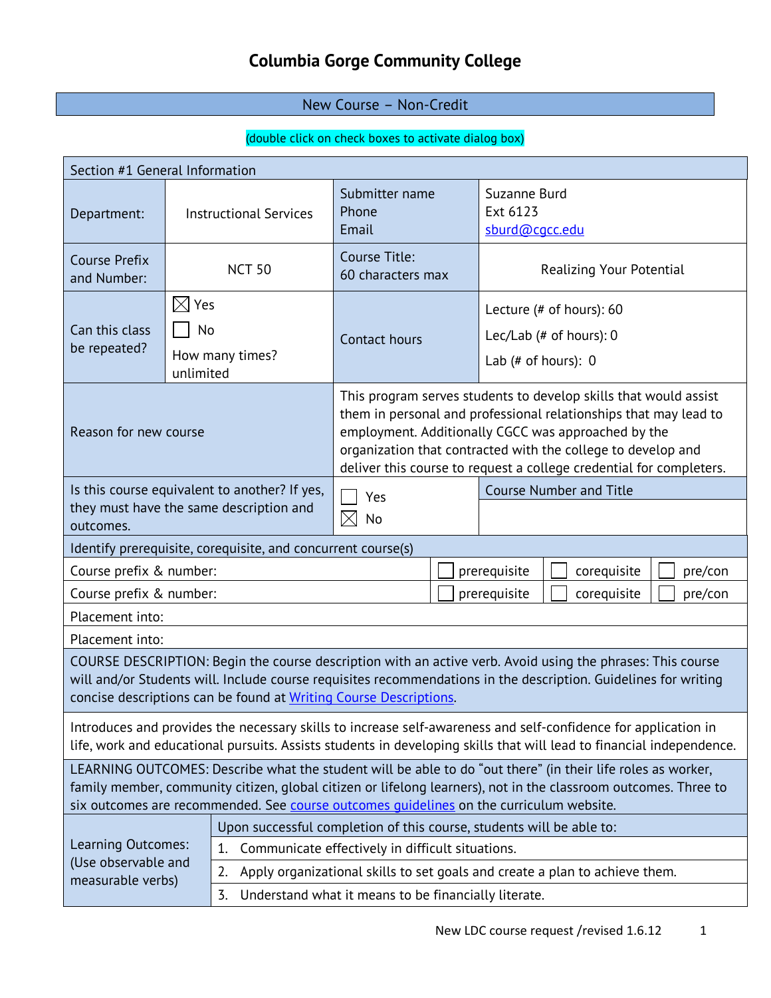# **Columbia Gorge Community College**

# New Course – Non-Credit

# (double click on check boxes to activate dialog box)

| Section #1 General Information                                                                                                                                                                                                                                                                                            |                                    |                                                                                                                                                                                                                                                                                                                                    |                                                                      |                                                                                |  |
|---------------------------------------------------------------------------------------------------------------------------------------------------------------------------------------------------------------------------------------------------------------------------------------------------------------------------|------------------------------------|------------------------------------------------------------------------------------------------------------------------------------------------------------------------------------------------------------------------------------------------------------------------------------------------------------------------------------|----------------------------------------------------------------------|--------------------------------------------------------------------------------|--|
| Department:                                                                                                                                                                                                                                                                                                               |                                    | <b>Instructional Services</b>                                                                                                                                                                                                                                                                                                      | Submitter name<br>Phone<br>Email                                     | Suzanne Burd<br>Ext 6123<br>sburd@cgcc.edu                                     |  |
| <b>Course Prefix</b><br>and Number:                                                                                                                                                                                                                                                                                       |                                    | <b>NCT 50</b>                                                                                                                                                                                                                                                                                                                      | Course Title:<br>60 characters max                                   | Realizing Your Potential                                                       |  |
| Can this class<br>be repeated?                                                                                                                                                                                                                                                                                            | $\boxtimes$ Yes<br>No<br>unlimited | How many times?                                                                                                                                                                                                                                                                                                                    | Contact hours                                                        | Lecture (# of hours): 60<br>Lec/Lab (# of hours): $0$<br>Lab (# of hours): $0$ |  |
| Reason for new course                                                                                                                                                                                                                                                                                                     |                                    | This program serves students to develop skills that would assist<br>them in personal and professional relationships that may lead to<br>employment. Additionally CGCC was approached by the<br>organization that contracted with the college to develop and<br>deliver this course to request a college credential for completers. |                                                                      |                                                                                |  |
| Is this course equivalent to another? If yes,<br>they must have the same description and<br>outcomes.                                                                                                                                                                                                                     |                                    | Yes<br>$\times$<br>No                                                                                                                                                                                                                                                                                                              | <b>Course Number and Title</b>                                       |                                                                                |  |
| Identify prerequisite, corequisite, and concurrent course(s)                                                                                                                                                                                                                                                              |                                    |                                                                                                                                                                                                                                                                                                                                    |                                                                      |                                                                                |  |
| Course prefix & number:<br>prerequisite<br>corequisite                                                                                                                                                                                                                                                                    |                                    |                                                                                                                                                                                                                                                                                                                                    | pre/con                                                              |                                                                                |  |
| Course prefix & number:<br>prerequisite<br>corequisite                                                                                                                                                                                                                                                                    |                                    |                                                                                                                                                                                                                                                                                                                                    | pre/con                                                              |                                                                                |  |
| Placement into:                                                                                                                                                                                                                                                                                                           |                                    |                                                                                                                                                                                                                                                                                                                                    |                                                                      |                                                                                |  |
| Placement into:                                                                                                                                                                                                                                                                                                           |                                    |                                                                                                                                                                                                                                                                                                                                    |                                                                      |                                                                                |  |
| COURSE DESCRIPTION: Begin the course description with an active verb. Avoid using the phrases: This course<br>will and/or Students will. Include course requisites recommendations in the description. Guidelines for writing<br>concise descriptions can be found at Writing Course Descriptions.                        |                                    |                                                                                                                                                                                                                                                                                                                                    |                                                                      |                                                                                |  |
| Introduces and provides the necessary skills to increase self-awareness and self-confidence for application in<br>life, work and educational pursuits. Assists students in developing skills that will lead to financial independence.                                                                                    |                                    |                                                                                                                                                                                                                                                                                                                                    |                                                                      |                                                                                |  |
| LEARNING OUTCOMES: Describe what the student will be able to do "out there" (in their life roles as worker,<br>family member, community citizen, global citizen or lifelong learners), not in the classroom outcomes. Three to<br>six outcomes are recommended. See course outcomes quidelines on the curriculum website. |                                    |                                                                                                                                                                                                                                                                                                                                    |                                                                      |                                                                                |  |
|                                                                                                                                                                                                                                                                                                                           |                                    |                                                                                                                                                                                                                                                                                                                                    | Upon successful completion of this course, students will be able to: |                                                                                |  |
| Learning Outcomes:                                                                                                                                                                                                                                                                                                        |                                    | 1.                                                                                                                                                                                                                                                                                                                                 | Communicate effectively in difficult situations.                     |                                                                                |  |
| (Use observable and<br>measurable verbs)                                                                                                                                                                                                                                                                                  |                                    | 2.                                                                                                                                                                                                                                                                                                                                 |                                                                      | Apply organizational skills to set goals and create a plan to achieve them.    |  |
|                                                                                                                                                                                                                                                                                                                           |                                    | Understand what it means to be financially literate.<br>3.                                                                                                                                                                                                                                                                         |                                                                      |                                                                                |  |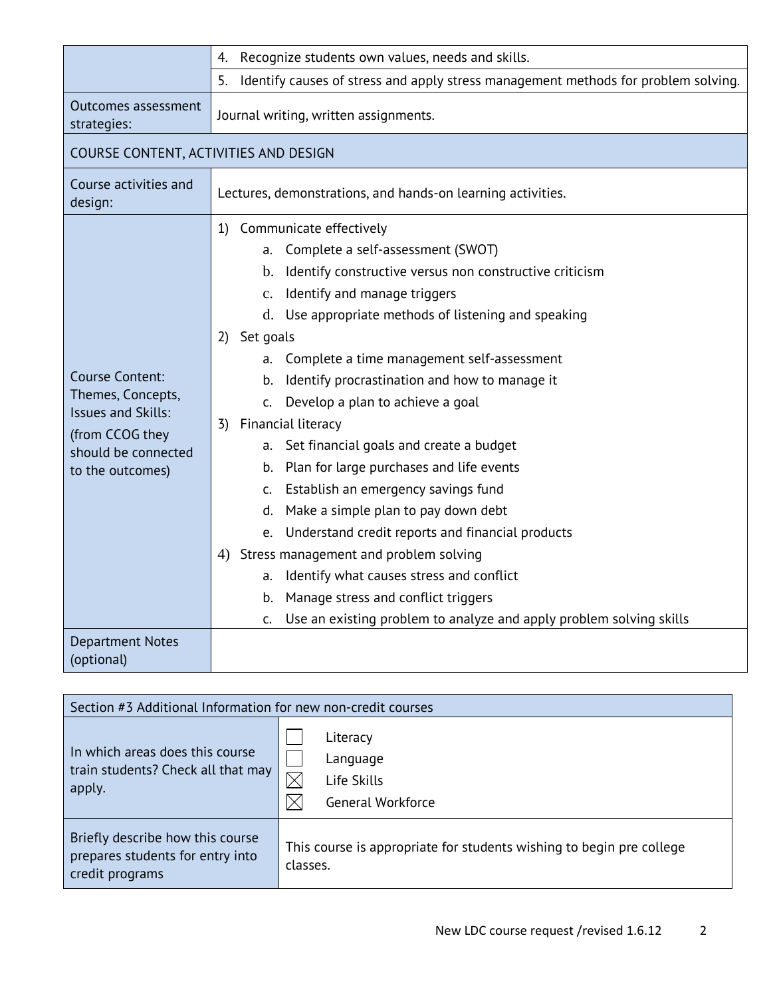|                                                | Recognize students own values, needs and skills.<br>4.                                   |  |  |
|------------------------------------------------|------------------------------------------------------------------------------------------|--|--|
|                                                | 5.<br>Identify causes of stress and apply stress management methods for problem solving. |  |  |
| Outcomes assessment<br>strategies:             | Journal writing, written assignments.                                                    |  |  |
| COURSE CONTENT, ACTIVITIES AND DESIGN          |                                                                                          |  |  |
| Course activities and<br>design:               | Lectures, demonstrations, and hands-on learning activities.                              |  |  |
|                                                | 1) Communicate effectively                                                               |  |  |
|                                                | Complete a self-assessment (SWOT)<br>а.                                                  |  |  |
|                                                | Identify constructive versus non constructive criticism<br>$\mathbf b$ .                 |  |  |
|                                                | Identify and manage triggers<br>$C_{\bullet}$                                            |  |  |
|                                                | d. Use appropriate methods of listening and speaking                                     |  |  |
|                                                | Set goals<br>2)                                                                          |  |  |
|                                                | Complete a time management self-assessment<br>a.                                         |  |  |
| <b>Course Content:</b>                         | Identify procrastination and how to manage it<br>b.                                      |  |  |
| Themes, Concepts,<br><b>Issues and Skills:</b> | Develop a plan to achieve a goal<br>$\mathsf{C}$ .                                       |  |  |
| (from CCOG they                                | Financial literacy<br>3)                                                                 |  |  |
| should be connected                            | Set financial goals and create a budget<br>а.                                            |  |  |
| to the outcomes)                               | Plan for large purchases and life events<br>b.                                           |  |  |
|                                                | Establish an emergency savings fund<br>C.                                                |  |  |
|                                                | Make a simple plan to pay down debt<br>d.                                                |  |  |
|                                                | e. Understand credit reports and financial products                                      |  |  |
|                                                | 4) Stress management and problem solving                                                 |  |  |
|                                                | Identify what causes stress and conflict<br>a.                                           |  |  |
|                                                | Manage stress and conflict triggers<br>b.                                                |  |  |
|                                                | Use an existing problem to analyze and apply problem solving skills<br>C.                |  |  |
| <b>Department Notes</b><br>(optional)          |                                                                                          |  |  |

| Section #3 Additional Information for new non-credit courses                            |                                                                                  |  |
|-----------------------------------------------------------------------------------------|----------------------------------------------------------------------------------|--|
| In which areas does this course<br>train students? Check all that may<br>apply.         | Literacy<br>Language<br>$\boxtimes$<br>Life Skills<br><b>General Workforce</b>   |  |
| Briefly describe how this course<br>prepares students for entry into<br>credit programs | This course is appropriate for students wishing to begin pre college<br>classes. |  |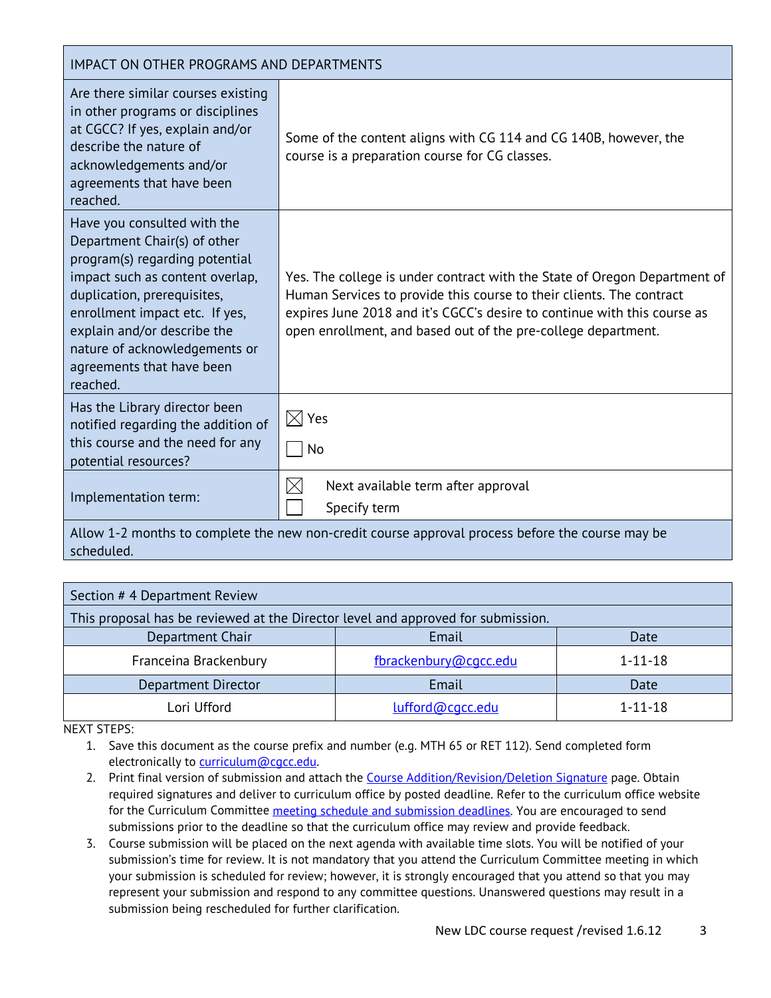| IMPACT ON OTHER PROGRAMS AND DEPARTMENTS                                                                                                                                                                                                                                                                   |                                                                                                                                                                                                                                                                                                |  |  |  |
|------------------------------------------------------------------------------------------------------------------------------------------------------------------------------------------------------------------------------------------------------------------------------------------------------------|------------------------------------------------------------------------------------------------------------------------------------------------------------------------------------------------------------------------------------------------------------------------------------------------|--|--|--|
| Are there similar courses existing<br>in other programs or disciplines<br>at CGCC? If yes, explain and/or<br>describe the nature of<br>acknowledgements and/or<br>agreements that have been<br>reached.                                                                                                    | Some of the content aligns with CG 114 and CG 140B, however, the<br>course is a preparation course for CG classes.                                                                                                                                                                             |  |  |  |
| Have you consulted with the<br>Department Chair(s) of other<br>program(s) regarding potential<br>impact such as content overlap,<br>duplication, prerequisites,<br>enrollment impact etc. If yes,<br>explain and/or describe the<br>nature of acknowledgements or<br>agreements that have been<br>reached. | Yes. The college is under contract with the State of Oregon Department of<br>Human Services to provide this course to their clients. The contract<br>expires June 2018 and it's CGCC's desire to continue with this course as<br>open enrollment, and based out of the pre-college department. |  |  |  |
| Has the Library director been<br>notified regarding the addition of<br>this course and the need for any<br>potential resources?                                                                                                                                                                            | $\boxtimes$ Yes<br>No                                                                                                                                                                                                                                                                          |  |  |  |
| Implementation term:                                                                                                                                                                                                                                                                                       | $\boxtimes$<br>Next available term after approval<br>Specify term                                                                                                                                                                                                                              |  |  |  |

Allow 1-2 months to complete the new non-credit course approval process before the course may be scheduled.

| Section #4 Department Review                                                     |                       |               |  |  |
|----------------------------------------------------------------------------------|-----------------------|---------------|--|--|
| This proposal has be reviewed at the Director level and approved for submission. |                       |               |  |  |
| Department Chair                                                                 | Email                 | Date          |  |  |
| Franceina Brackenbury                                                            | fbrackenbury@cgcc.edu | $1 - 11 - 18$ |  |  |
| Department Director                                                              | Email                 | Date          |  |  |
| Lori Ufford                                                                      | lufford@cacc.edu      | $1 - 11 - 18$ |  |  |

NEXT STEPS:

1. Save this document as the course prefix and number (e.g. MTH 65 or RET 112). Send completed form electronically to curriculum@cgcc.edu.

- 2. Print final version of submission and attach the [Course Addition/Revision/Deletion Signature](file://Thor/Vol1$/SHARED/Instructional%20Services/Curriculum%20Office/Forms/CourseSignatureForm5.2.13.docx) page. Obtain required signatures and deliver to curriculum office by posted deadline. Refer to the curriculum office website for the Curriculum Committee [meeting schedule and submission deadlines.](http://www.cgcc.cc.or.us/Academics/FacultyResources/cccalendar.cfm) You are encouraged to send submissions prior to the deadline so that the curriculum office may review and provide feedback.
- 3. Course submission will be placed on the next agenda with available time slots. You will be notified of your submission's time for review. It is not mandatory that you attend the Curriculum Committee meeting in which your submission is scheduled for review; however, it is strongly encouraged that you attend so that you may represent your submission and respond to any committee questions. Unanswered questions may result in a submission being rescheduled for further clarification.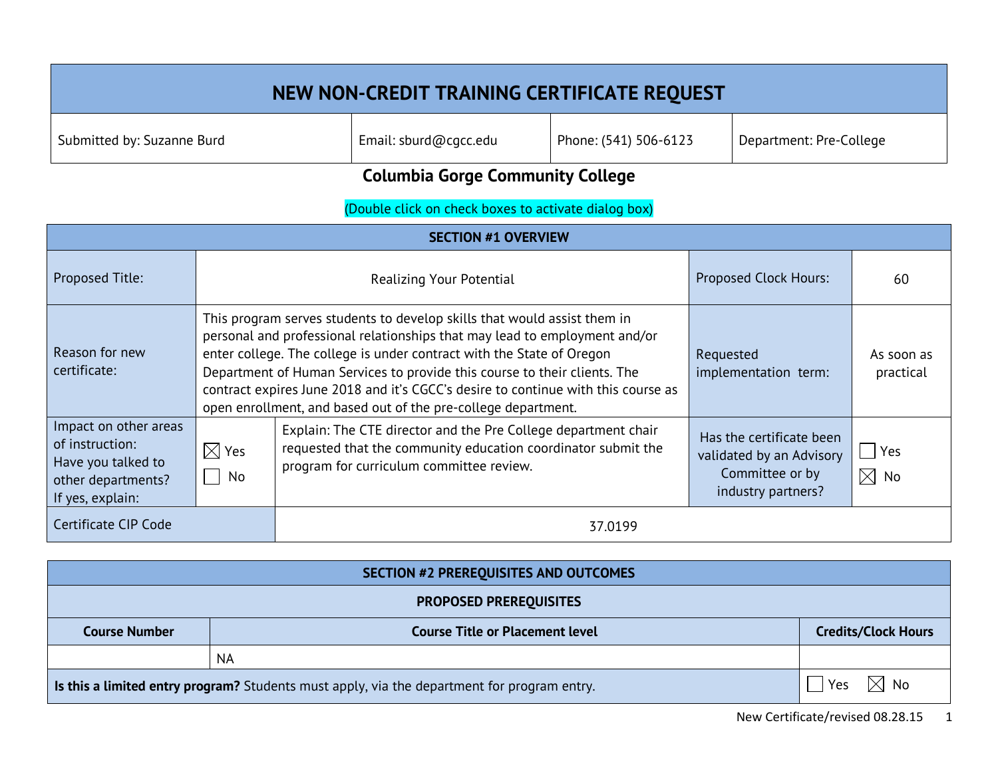# **NEW NON-CREDIT TRAINING CERTIFICATE REQUEST** Submitted by: Suzanne Burd **Email: sburd@cgcc.edu** Phone: (541) 506-6123 Department: Pre-College

# **Columbia Gorge Community College**

# (Double click on check boxes to activate dialog box)

| <b>SECTION #1 OVERVIEW</b>                                                                               |                         |                                                                                                                                                                                                                                                                                                                                                                                                                                                                    |                                                                                               |                         |
|----------------------------------------------------------------------------------------------------------|-------------------------|--------------------------------------------------------------------------------------------------------------------------------------------------------------------------------------------------------------------------------------------------------------------------------------------------------------------------------------------------------------------------------------------------------------------------------------------------------------------|-----------------------------------------------------------------------------------------------|-------------------------|
| <b>Proposed Title:</b>                                                                                   |                         | Realizing Your Potential                                                                                                                                                                                                                                                                                                                                                                                                                                           | <b>Proposed Clock Hours:</b>                                                                  | 60                      |
| Reason for new<br>certificate:                                                                           |                         | This program serves students to develop skills that would assist them in<br>personal and professional relationships that may lead to employment and/or<br>enter college. The college is under contract with the State of Oregon<br>Department of Human Services to provide this course to their clients. The<br>contract expires June 2018 and it's CGCC's desire to continue with this course as<br>open enrollment, and based out of the pre-college department. | Requested<br>implementation term:                                                             | As soon as<br>practical |
| Impact on other areas<br>of instruction:<br>Have you talked to<br>other departments?<br>If yes, explain: | $\boxtimes$ Yes<br>  No | Explain: The CTE director and the Pre College department chair<br>requested that the community education coordinator submit the<br>program for curriculum committee review.                                                                                                                                                                                                                                                                                        | Has the certificate been<br>validated by an Advisory<br>Committee or by<br>industry partners? | Yes<br>$\boxtimes$ No   |
| Certificate CIP Code                                                                                     | 37.0199                 |                                                                                                                                                                                                                                                                                                                                                                                                                                                                    |                                                                                               |                         |

| SECTION #2 PREREQUISITES AND OUTCOMES                                                                                |                                        |                            |  |
|----------------------------------------------------------------------------------------------------------------------|----------------------------------------|----------------------------|--|
| <b>PROPOSED PREREQUISITES</b>                                                                                        |                                        |                            |  |
| <b>Course Number</b>                                                                                                 | <b>Course Title or Placement level</b> | <b>Credits/Clock Hours</b> |  |
|                                                                                                                      | <b>NA</b>                              |                            |  |
| $\boxtimes$ No<br>Yes<br>Is this a limited entry program? Students must apply, via the department for program entry. |                                        |                            |  |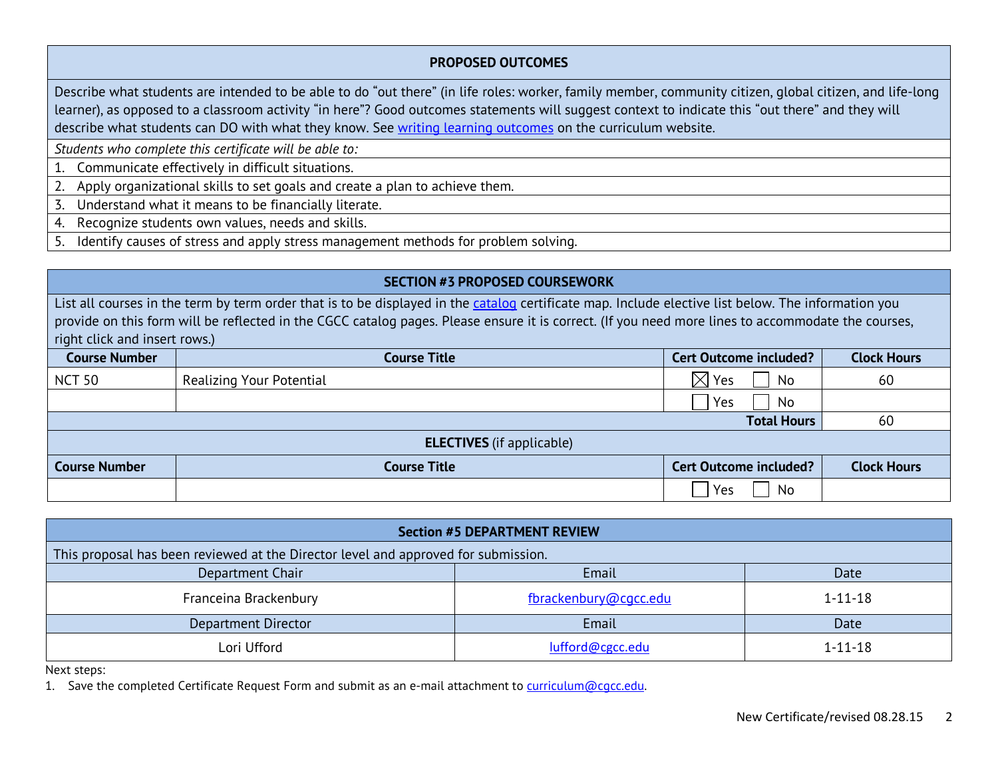#### **PROPOSED OUTCOMES**

Describe what students are intended to be able to do "out there" (in life roles: worker, family member, community citizen, global citizen, and life-long learner), as opposed to a classroom activity "in here"? Good outcomes statements will suggest context to indicate this "out there" and they will describe what students can DO with what they know. See [writing learning outcomes](http://www.cgcc.edu/sites/cgcc.us/files/curriculum/writing-learning-outcomes.pdf) on the curriculum website.

*Students who complete this certificate will be able to:* 

- 1. Communicate effectively in difficult situations.
- 2. Apply organizational skills to set goals and create a plan to achieve them.
- 3. Understand what it means to be financially literate.
- 4. Recognize students own values, needs and skills.
- 5. Identify causes of stress and apply stress management methods for problem solving.

#### **SECTION #3 PROPOSED COURSEWORK**

List all courses in the term by term order that is to be displayed in the [catalog](http://www.cgcc.edu/catalog) certificate map. Include elective list below. The information you provide on this form will be reflected in the CGCC catalog pages. Please ensure it is correct. (If you need more lines to accommodate the courses, right click and insert rows.)

| <b>Course Number</b> | <b>Course Title</b>              | <b>Cert Outcome included?</b> | <b>Clock Hours</b> |
|----------------------|----------------------------------|-------------------------------|--------------------|
| <b>NCT 50</b>        | Realizing Your Potential         | $\times$<br>Yes<br>No         | 60                 |
|                      |                                  | No<br>Yes                     |                    |
|                      |                                  | <b>Total Hours</b>            | 60                 |
|                      | <b>ELECTIVES</b> (if applicable) |                               |                    |
| <b>Course Number</b> | <b>Course Title</b>              | <b>Cert Outcome included?</b> | <b>Clock Hours</b> |
|                      |                                  | Yes<br>No                     |                    |

| <b>Section #5 DEPARTMENT REVIEW</b>                                                |                       |               |  |  |
|------------------------------------------------------------------------------------|-----------------------|---------------|--|--|
| This proposal has been reviewed at the Director level and approved for submission. |                       |               |  |  |
| Email<br>Department Chair<br>Date                                                  |                       |               |  |  |
| Franceina Brackenbury                                                              | fbrackenbury@cgcc.edu | $1 - 11 - 18$ |  |  |
| <b>Department Director</b>                                                         | Email                 | Date          |  |  |
| Lori Ufford                                                                        | lufford@cgcc.edu      | $1 - 11 - 18$ |  |  |

Next steps:

1. Save the completed Certificate Request Form and submit as an e-mail attachment to curriculum@cgcc.edu.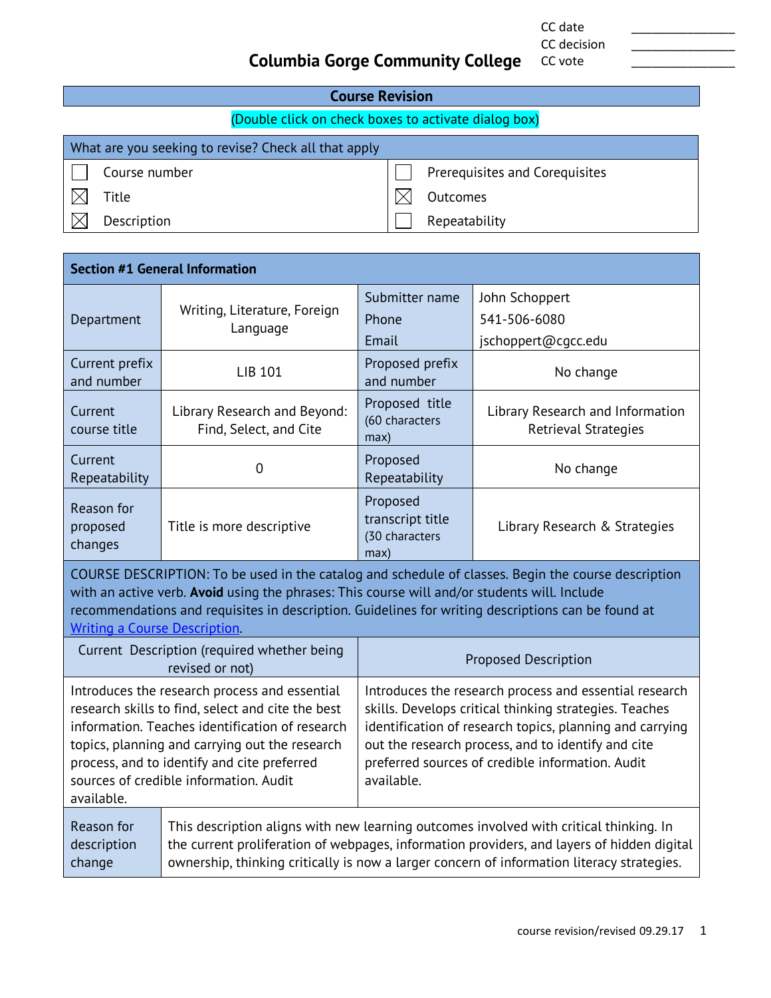CC date \_\_\_\_\_\_\_\_\_\_\_\_\_\_\_ CC decision

CC vote

# **Columbia Gorge Community College**

| <b>Course Revision</b>                               |                                                      |  |                                |  |
|------------------------------------------------------|------------------------------------------------------|--|--------------------------------|--|
| (Double click on check boxes to activate dialog box) |                                                      |  |                                |  |
|                                                      | What are you seeking to revise? Check all that apply |  |                                |  |
|                                                      | Course number                                        |  | Prerequisites and Corequisites |  |
|                                                      | Title                                                |  | Outcomes                       |  |
|                                                      | Description                                          |  | Repeatability                  |  |
|                                                      |                                                      |  |                                |  |

| <b>Section #1 General Information</b> |                                                        |                                                        |                                                                 |  |  |  |
|---------------------------------------|--------------------------------------------------------|--------------------------------------------------------|-----------------------------------------------------------------|--|--|--|
| Department                            | Writing, Literature, Foreign<br>Language               | Submitter name<br>Phone<br>Email                       | John Schoppert<br>541-506-6080<br>jschoppert@cqcc.edu           |  |  |  |
| Current prefix<br>and number          | LIB 101                                                | Proposed prefix<br>and number                          | No change                                                       |  |  |  |
| Current<br>course title               | Library Research and Beyond:<br>Find, Select, and Cite | Proposed title<br>(60 characters<br>max)               | Library Research and Information<br><b>Retrieval Strategies</b> |  |  |  |
| Current<br>Repeatability              | 0                                                      | Proposed<br>Repeatability                              | No change                                                       |  |  |  |
| Reason for<br>proposed<br>changes     | Title is more descriptive                              | Proposed<br>transcript title<br>(30 characters<br>max) | Library Research & Strategies                                   |  |  |  |

COURSE DESCRIPTION: To be used in the catalog and schedule of classes. Begin the course description with an active verb. **Avoid** using the phrases: This course will and/or students will. Include recommendations and requisites in description. Guidelines for writing descriptions can be found at [Writing a Course Description.](http://www.cgcc.edu/sites/cgcc.us/files/curriculum/writing-course-description.pdf)

|                                                                                                                                                                                                                                                                                                                | Current Description (required whether being<br>revised or not) | <b>Proposed Description</b>                                                                                                                                                                                                                                                                          |
|----------------------------------------------------------------------------------------------------------------------------------------------------------------------------------------------------------------------------------------------------------------------------------------------------------------|----------------------------------------------------------------|------------------------------------------------------------------------------------------------------------------------------------------------------------------------------------------------------------------------------------------------------------------------------------------------------|
| Introduces the research process and essential<br>research skills to find, select and cite the best<br>information. Teaches identification of research<br>topics, planning and carrying out the research<br>process, and to identify and cite preferred<br>sources of credible information. Audit<br>available. |                                                                | Introduces the research process and essential research<br>skills. Develops critical thinking strategies. Teaches<br>identification of research topics, planning and carrying<br>out the research process, and to identify and cite<br>preferred sources of credible information. Audit<br>available. |
| Reason for<br>description<br>change                                                                                                                                                                                                                                                                            |                                                                | This description aligns with new learning outcomes involved with critical thinking. In<br>the current proliferation of webpages, information providers, and layers of hidden digital<br>ownership, thinking critically is now a larger concern of information literacy strategies.                   |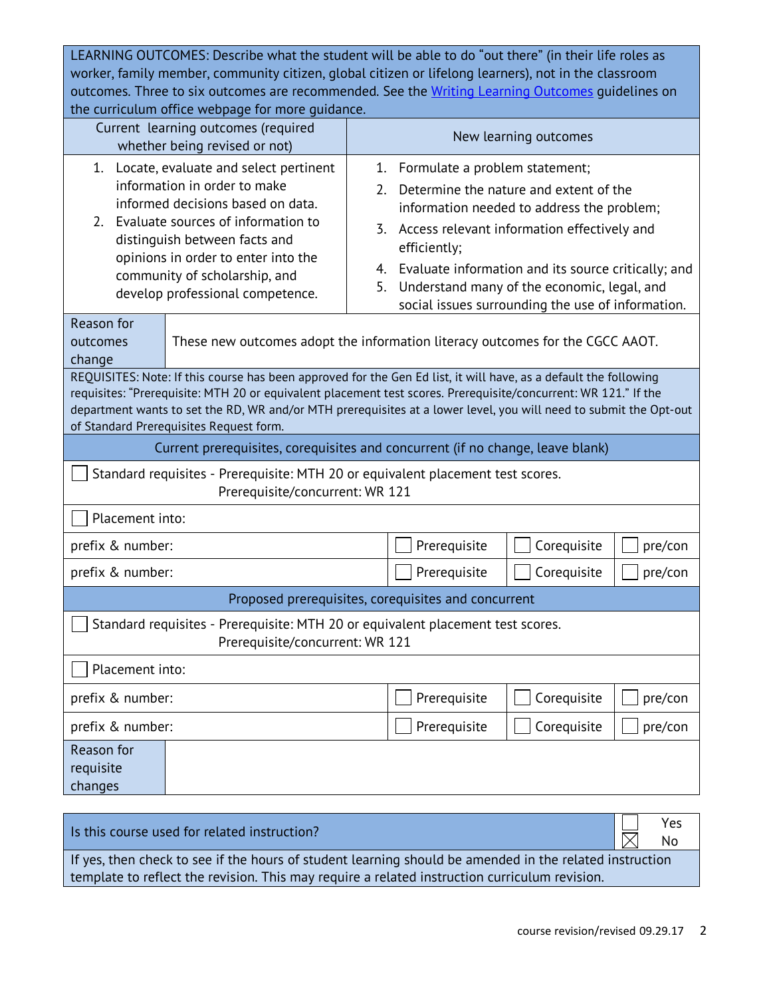LEARNING OUTCOMES: Describe what the student will be able to do "out there" (in their life roles as worker, family member, community citizen, global citizen or lifelong learners), not in the classroom outcomes. Three to six outcomes are recommended. See the [Writing Learning](http://www.cgcc.edu/sites/cgcc.us/files/curriculum/writing-learning-outcomes.pdf) Outcomes guidelines on the curriculum office webpage for more guidance.

| and carriediam onnec meopage for more garaance.<br>Current learning outcomes (required<br>whether being revised or not)                                                                                                                                                                                                                                                                             |                                 |                                                                                                                                                                                                                                                                                                                                                                                            | New learning outcomes |           |
|-----------------------------------------------------------------------------------------------------------------------------------------------------------------------------------------------------------------------------------------------------------------------------------------------------------------------------------------------------------------------------------------------------|---------------------------------|--------------------------------------------------------------------------------------------------------------------------------------------------------------------------------------------------------------------------------------------------------------------------------------------------------------------------------------------------------------------------------------------|-----------------------|-----------|
| 1.<br>Locate, evaluate and select pertinent<br>information in order to make<br>informed decisions based on data.<br>Evaluate sources of information to<br>2.<br>distinguish between facts and<br>opinions in order to enter into the<br>community of scholarship, and<br>develop professional competence.                                                                                           |                                 | Formulate a problem statement;<br>1.<br>Determine the nature and extent of the<br>2 <sub>1</sub><br>information needed to address the problem;<br>Access relevant information effectively and<br>3.<br>efficiently;<br>Evaluate information and its source critically; and<br>4.<br>Understand many of the economic, legal, and<br>5.<br>social issues surrounding the use of information. |                       |           |
| Reason for<br>outcomes<br>change                                                                                                                                                                                                                                                                                                                                                                    |                                 | These new outcomes adopt the information literacy outcomes for the CGCC AAOT.                                                                                                                                                                                                                                                                                                              |                       |           |
| REQUISITES: Note: If this course has been approved for the Gen Ed list, it will have, as a default the following<br>requisites: "Prerequisite: MTH 20 or equivalent placement test scores. Prerequisite/concurrent: WR 121." If the<br>department wants to set the RD, WR and/or MTH prerequisites at a lower level, you will need to submit the Opt-out<br>of Standard Prerequisites Request form. |                                 |                                                                                                                                                                                                                                                                                                                                                                                            |                       |           |
| Current prerequisites, corequisites and concurrent (if no change, leave blank)                                                                                                                                                                                                                                                                                                                      |                                 |                                                                                                                                                                                                                                                                                                                                                                                            |                       |           |
| Standard requisites - Prerequisite: MTH 20 or equivalent placement test scores.<br>Prerequisite/concurrent: WR 121                                                                                                                                                                                                                                                                                  |                                 |                                                                                                                                                                                                                                                                                                                                                                                            |                       |           |
| Placement into:                                                                                                                                                                                                                                                                                                                                                                                     |                                 |                                                                                                                                                                                                                                                                                                                                                                                            |                       |           |
| prefix & number:                                                                                                                                                                                                                                                                                                                                                                                    |                                 | Prerequisite                                                                                                                                                                                                                                                                                                                                                                               | Corequisite           | pre/con   |
| prefix & number:                                                                                                                                                                                                                                                                                                                                                                                    |                                 | Prerequisite                                                                                                                                                                                                                                                                                                                                                                               | Corequisite           | pre/con   |
|                                                                                                                                                                                                                                                                                                                                                                                                     |                                 | Proposed prerequisites, corequisites and concurrent                                                                                                                                                                                                                                                                                                                                        |                       |           |
| Standard requisites - Prerequisite: MTH 20 or equivalent placement test scores.                                                                                                                                                                                                                                                                                                                     | Prerequisite/concurrent: WR 121 |                                                                                                                                                                                                                                                                                                                                                                                            |                       |           |
| Placement into:                                                                                                                                                                                                                                                                                                                                                                                     |                                 |                                                                                                                                                                                                                                                                                                                                                                                            |                       |           |
| Corequisite<br>prefix & number:<br>Prerequisite<br>pre/con                                                                                                                                                                                                                                                                                                                                          |                                 |                                                                                                                                                                                                                                                                                                                                                                                            |                       |           |
| Prerequisite<br>Corequisite<br>prefix & number:                                                                                                                                                                                                                                                                                                                                                     |                                 |                                                                                                                                                                                                                                                                                                                                                                                            | pre/con               |           |
| Reason for<br>requisite<br>changes                                                                                                                                                                                                                                                                                                                                                                  |                                 |                                                                                                                                                                                                                                                                                                                                                                                            |                       |           |
|                                                                                                                                                                                                                                                                                                                                                                                                     |                                 |                                                                                                                                                                                                                                                                                                                                                                                            |                       |           |
| Is this course used for related instruction?                                                                                                                                                                                                                                                                                                                                                        |                                 |                                                                                                                                                                                                                                                                                                                                                                                            |                       | Yes<br>No |

If yes, then check to see if the hours of student learning should be amended in the related instruction template to reflect the revision. This may require a related instruction curriculum revision.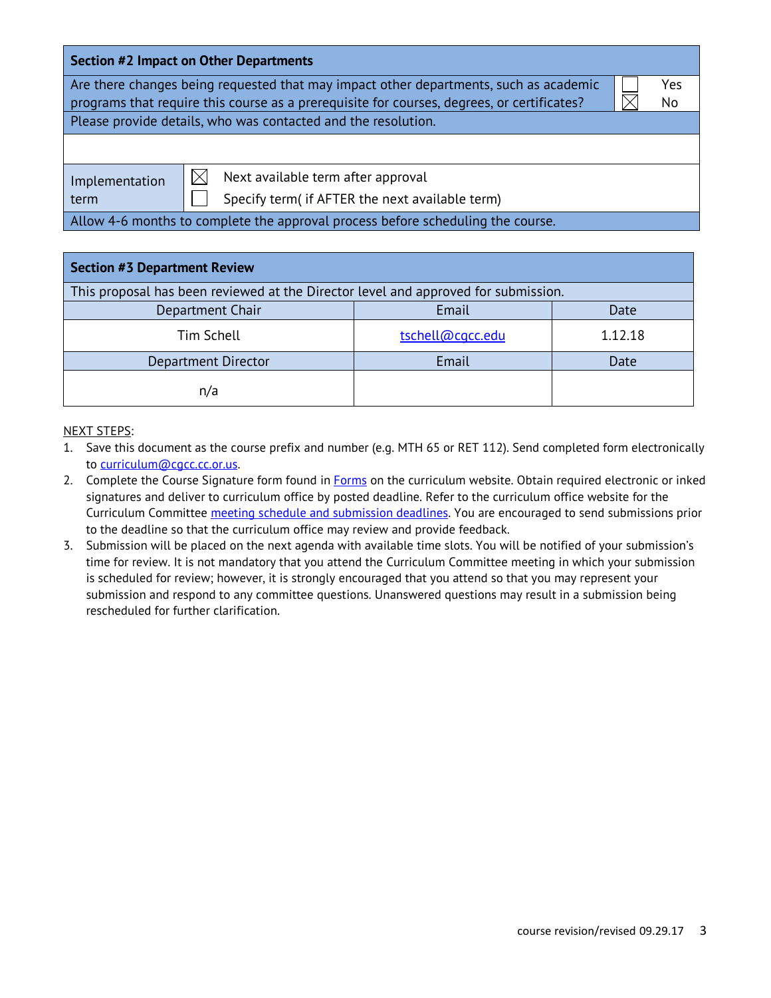| <b>Section #2 Impact on Other Departments</b>                                              |  |     |  |  |
|--------------------------------------------------------------------------------------------|--|-----|--|--|
| Are there changes being requested that may impact other departments, such as academic      |  | Yes |  |  |
| programs that require this course as a prerequisite for courses, degrees, or certificates? |  | No  |  |  |
| Please provide details, who was contacted and the resolution.                              |  |     |  |  |
|                                                                                            |  |     |  |  |
| Next available term after approval<br>Implementation                                       |  |     |  |  |
| Specify term( if AFTER the next available term)<br>term                                    |  |     |  |  |
| Allow 4-6 months to complete the approval process before scheduling the course.            |  |     |  |  |

| <b>Section #3 Department Review</b>                                                |                  |         |  |
|------------------------------------------------------------------------------------|------------------|---------|--|
| This proposal has been reviewed at the Director level and approved for submission. |                  |         |  |
| Department Chair                                                                   | Email            | Date    |  |
| Tim Schell                                                                         | tschell@cgcc.edu | 1.12.18 |  |
| Department Director                                                                | Email            | Date    |  |
| n/a                                                                                |                  |         |  |

#### NEXT STEPS:

1. Save this document as the course prefix and number (e.g. MTH 65 or RET 112). Send completed form electronically to [curriculum@cgcc.cc.or.us.](mailto:curriculum@cgcc.cc.or.us)

- 2. Complete the Course Signature form found in **Forms** on the curriculum website. Obtain required electronic or inked signatures and deliver to curriculum office by posted deadline. Refer to the curriculum office website for the Curriculum Committee [meeting schedule and submission deadlines.](http://www.cgcc.cc.or.us/Academics/FacultyResources/cccalendar.cfm) You are encouraged to send submissions prior to the deadline so that the curriculum office may review and provide feedback.
- 3. Submission will be placed on the next agenda with available time slots. You will be notified of your submission's time for review. It is not mandatory that you attend the Curriculum Committee meeting in which your submission is scheduled for review; however, it is strongly encouraged that you attend so that you may represent your submission and respond to any committee questions. Unanswered questions may result in a submission being rescheduled for further clarification.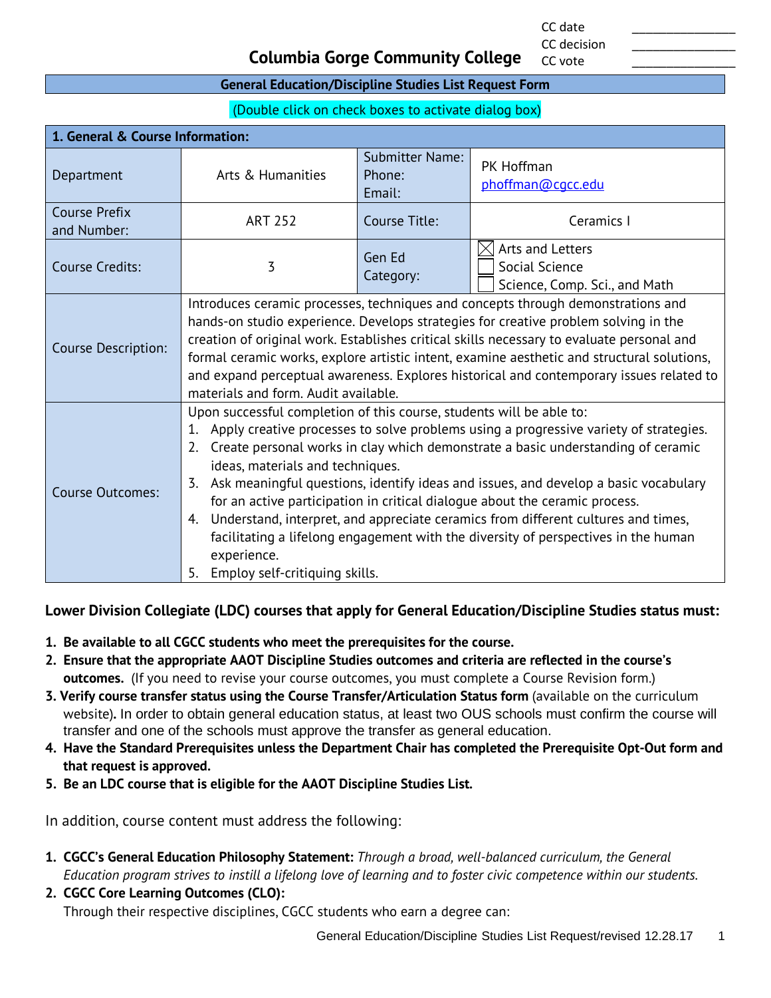CC date \_\_\_\_\_\_\_\_\_\_\_\_\_\_\_ CC decision

CC vote

## **Columbia Gorge Community College**

#### **General Education/Discipline Studies List Request Form**

(Double click on check boxes to activate dialog box)

| 1. General & Course Information:    |                                                                                                                                                                                                                                                                                                                                                                                                                                                                                                                                                                                                                                                                                                                    |                                            |                                                                     |
|-------------------------------------|--------------------------------------------------------------------------------------------------------------------------------------------------------------------------------------------------------------------------------------------------------------------------------------------------------------------------------------------------------------------------------------------------------------------------------------------------------------------------------------------------------------------------------------------------------------------------------------------------------------------------------------------------------------------------------------------------------------------|--------------------------------------------|---------------------------------------------------------------------|
| Department                          | Arts & Humanities                                                                                                                                                                                                                                                                                                                                                                                                                                                                                                                                                                                                                                                                                                  | <b>Submitter Name:</b><br>Phone:<br>Email: | PK Hoffman<br>phoffman@cqcc.edu                                     |
| <b>Course Prefix</b><br>and Number: | <b>ART 252</b>                                                                                                                                                                                                                                                                                                                                                                                                                                                                                                                                                                                                                                                                                                     | Course Title:                              | Ceramics I                                                          |
| <b>Course Credits:</b>              | 3                                                                                                                                                                                                                                                                                                                                                                                                                                                                                                                                                                                                                                                                                                                  | Gen Ed<br>Category:                        | Arts and Letters<br>Social Science<br>Science, Comp. Sci., and Math |
| <b>Course Description:</b>          | Introduces ceramic processes, techniques and concepts through demonstrations and<br>hands-on studio experience. Develops strategies for creative problem solving in the<br>creation of original work. Establishes critical skills necessary to evaluate personal and<br>formal ceramic works, explore artistic intent, examine aesthetic and structural solutions,<br>and expand perceptual awareness. Explores historical and contemporary issues related to<br>materials and form. Audit available.                                                                                                                                                                                                              |                                            |                                                                     |
| <b>Course Outcomes:</b>             | Upon successful completion of this course, students will be able to:<br>Apply creative processes to solve problems using a progressive variety of strategies.<br>1.<br>Create personal works in clay which demonstrate a basic understanding of ceramic<br>2.<br>ideas, materials and techniques.<br>Ask meaningful questions, identify ideas and issues, and develop a basic vocabulary<br>3.<br>for an active participation in critical dialogue about the ceramic process.<br>4. Understand, interpret, and appreciate ceramics from different cultures and times,<br>facilitating a lifelong engagement with the diversity of perspectives in the human<br>experience.<br>Employ self-critiquing skills.<br>5. |                                            |                                                                     |

**Lower Division Collegiate (LDC) courses that apply for General Education/Discipline Studies status must:**

- **1. Be available to all CGCC students who meet the prerequisites for the course.**
- **2. Ensure that the appropriate AAOT Discipline Studies outcomes and criteria are reflected in the course's outcomes.** (If you need to revise your course outcomes, you must complete a Course Revision form.)
- **3. Verify course transfer status using the Course Transfer/Articulation Status form** (available on the curriculum website)**.** In order to obtain general education status, at least two OUS schools must confirm the course will transfer and one of the schools must approve the transfer as general education.
- **4. Have the Standard Prerequisites unless the Department Chair has completed the Prerequisite Opt-Out form and that request is approved.**
- **5. Be an LDC course that is eligible for the AAOT Discipline Studies List.**

In addition, course content must address the following:

- **1. CGCC's General Education Philosophy Statement:** *Through a broad, well-balanced curriculum, the General Education program strives to instill a lifelong love of learning and to foster civic competence within our students.*
- **2. CGCC Core Learning Outcomes (CLO):** Through their respective disciplines, CGCC students who earn a degree can: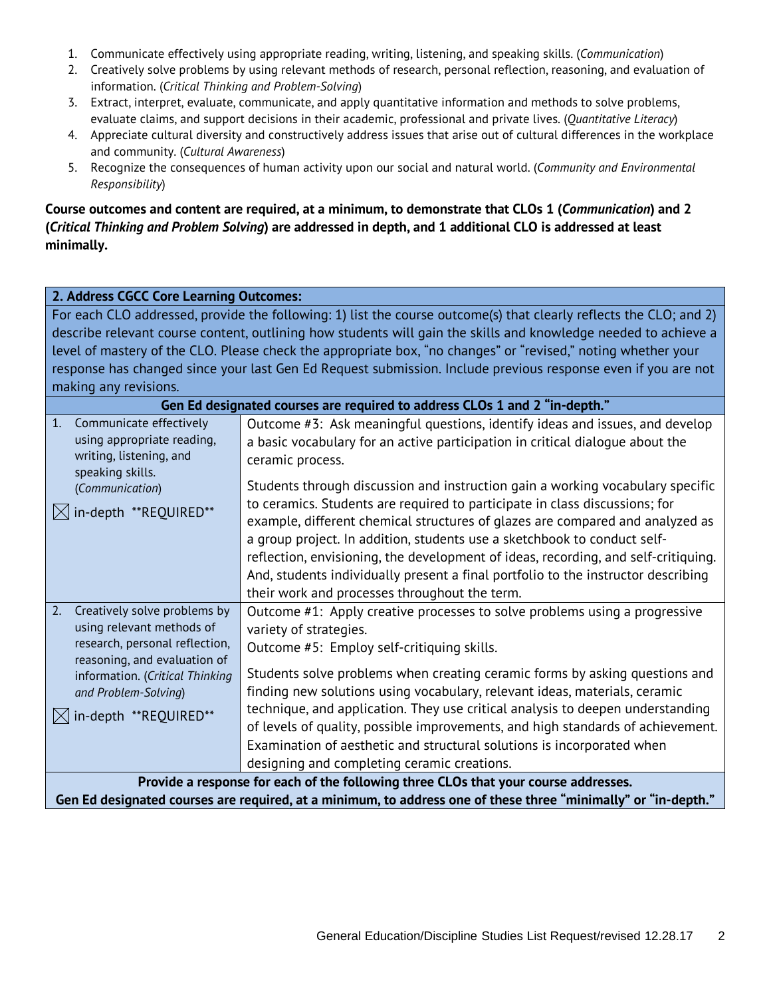- 1. Communicate effectively using appropriate reading, writing, listening, and speaking skills. (*Communication*)
- 2. Creatively solve problems by using relevant methods of research, personal reflection, reasoning, and evaluation of information. (*Critical Thinking and Problem-Solving*)
- 3. Extract, interpret, evaluate, communicate, and apply quantitative information and methods to solve problems, evaluate claims, and support decisions in their academic, professional and private lives. (*Quantitative Literacy*)
- 4. Appreciate cultural diversity and constructively address issues that arise out of cultural differences in the workplace and community. (*Cultural Awareness*)
- 5. Recognize the consequences of human activity upon our social and natural world. (*Community and Environmental Responsibility*)

**Course outcomes and content are required, at a minimum, to demonstrate that CLOs 1 (***Communication***) and 2 (***Critical Thinking and Problem Solving***) are addressed in depth, and 1 additional CLO is addressed at least minimally.**

# **2. Address CGCC Core Learning Outcomes:**

For each CLO addressed, provide the following: 1) list the course outcome(s) that clearly reflects the CLO; and 2) describe relevant course content, outlining how students will gain the skills and knowledge needed to achieve a level of mastery of the CLO. Please check the appropriate box, "no changes" or "revised," noting whether your response has changed since your last Gen Ed Request submission. Include previous response even if you are not making any revisions.

| Gen Ed designated courses are required to address CLOs 1 and 2 "in-depth."                                                        |                                                                                                                                                                                                                                                                                                                                                                                                                                                                      |  |
|-----------------------------------------------------------------------------------------------------------------------------------|----------------------------------------------------------------------------------------------------------------------------------------------------------------------------------------------------------------------------------------------------------------------------------------------------------------------------------------------------------------------------------------------------------------------------------------------------------------------|--|
| 1.<br>Communicate effectively<br>using appropriate reading,<br>writing, listening, and<br>speaking skills.                        | Outcome #3: Ask meaningful questions, identify ideas and issues, and develop<br>a basic vocabulary for an active participation in critical dialogue about the<br>ceramic process.                                                                                                                                                                                                                                                                                    |  |
| (Communication)                                                                                                                   | Students through discussion and instruction gain a working vocabulary specific                                                                                                                                                                                                                                                                                                                                                                                       |  |
| in-depth **REQUIRED**<br>$\bowtie$                                                                                                | to ceramics. Students are required to participate in class discussions; for<br>example, different chemical structures of glazes are compared and analyzed as<br>a group project. In addition, students use a sketchbook to conduct self-<br>reflection, envisioning, the development of ideas, recording, and self-critiquing.<br>And, students individually present a final portfolio to the instructor describing<br>their work and processes throughout the term. |  |
| 2.<br>Creatively solve problems by<br>using relevant methods of<br>research, personal reflection,<br>reasoning, and evaluation of | Outcome #1: Apply creative processes to solve problems using a progressive<br>variety of strategies.<br>Outcome #5: Employ self-critiquing skills.                                                                                                                                                                                                                                                                                                                   |  |
| information. (Critical Thinking<br>and Problem-Solving)                                                                           | Students solve problems when creating ceramic forms by asking questions and<br>finding new solutions using vocabulary, relevant ideas, materials, ceramic                                                                                                                                                                                                                                                                                                            |  |
| in-depth **REQUIRED**                                                                                                             | technique, and application. They use critical analysis to deepen understanding<br>of levels of quality, possible improvements, and high standards of achievement.                                                                                                                                                                                                                                                                                                    |  |
|                                                                                                                                   | Examination of aesthetic and structural solutions is incorporated when                                                                                                                                                                                                                                                                                                                                                                                               |  |
|                                                                                                                                   | designing and completing ceramic creations.                                                                                                                                                                                                                                                                                                                                                                                                                          |  |
|                                                                                                                                   | Provide a response for each of the following three CLOs that your course addresses.                                                                                                                                                                                                                                                                                                                                                                                  |  |
|                                                                                                                                   | Gen Ed designated courses are required, at a minimum, to address one of these three "minimally" or "in-depth."                                                                                                                                                                                                                                                                                                                                                       |  |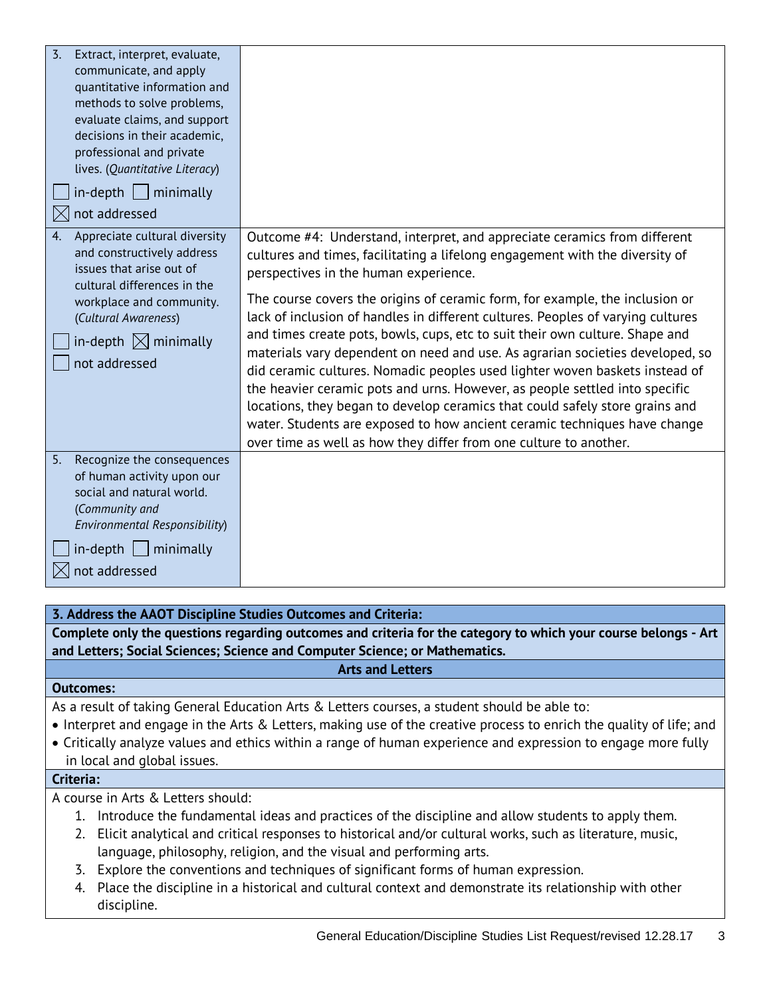| $\overline{3}$ .<br>Extract, interpret, evaluate,<br>communicate, and apply<br>quantitative information and<br>methods to solve problems,<br>evaluate claims, and support<br>decisions in their academic,<br>professional and private<br>lives. (Quantitative Literacy)<br>$in$ -depth     minimally<br>not addressed |                                                                                                                                                                                                                                                                                                                                                                                                                                                                                                                                                                                                                                                                                                                                                                                                                                                                                                                                        |
|-----------------------------------------------------------------------------------------------------------------------------------------------------------------------------------------------------------------------------------------------------------------------------------------------------------------------|----------------------------------------------------------------------------------------------------------------------------------------------------------------------------------------------------------------------------------------------------------------------------------------------------------------------------------------------------------------------------------------------------------------------------------------------------------------------------------------------------------------------------------------------------------------------------------------------------------------------------------------------------------------------------------------------------------------------------------------------------------------------------------------------------------------------------------------------------------------------------------------------------------------------------------------|
| Appreciate cultural diversity<br>4.<br>and constructively address<br>issues that arise out of<br>cultural differences in the<br>workplace and community.<br>(Cultural Awareness)<br>in-depth $\boxtimes$ minimally<br>not addressed                                                                                   | Outcome #4: Understand, interpret, and appreciate ceramics from different<br>cultures and times, facilitating a lifelong engagement with the diversity of<br>perspectives in the human experience.<br>The course covers the origins of ceramic form, for example, the inclusion or<br>lack of inclusion of handles in different cultures. Peoples of varying cultures<br>and times create pots, bowls, cups, etc to suit their own culture. Shape and<br>materials vary dependent on need and use. As agrarian societies developed, so<br>did ceramic cultures. Nomadic peoples used lighter woven baskets instead of<br>the heavier ceramic pots and urns. However, as people settled into specific<br>locations, they began to develop ceramics that could safely store grains and<br>water. Students are exposed to how ancient ceramic techniques have change<br>over time as well as how they differ from one culture to another. |
| 5.<br>Recognize the consequences<br>of human activity upon our<br>social and natural world.<br>(Community and<br>Environmental Responsibility)<br>$in$ -depth     minimally<br>not addressed                                                                                                                          |                                                                                                                                                                                                                                                                                                                                                                                                                                                                                                                                                                                                                                                                                                                                                                                                                                                                                                                                        |

#### **3. Address the AAOT Discipline Studies Outcomes and Criteria:**

**Complete only the questions regarding outcomes and criteria for the category to which your course belongs - Art and Letters; Social Sciences; Science and Computer Science; or Mathematics.**

#### **Arts and Letters**

#### **Outcomes:**

As a result of taking General Education Arts & Letters courses, a student should be able to:

- Interpret and engage in the Arts & Letters, making use of the creative process to enrich the quality of life; and
- Critically analyze values and ethics within a range of human experience and expression to engage more fully in local and global issues.

#### **Criteria:**

A course in Arts & Letters should:

- 1. Introduce the fundamental ideas and practices of the discipline and allow students to apply them.
- 2. Elicit analytical and critical responses to historical and/or cultural works, such as literature, music, language, philosophy, religion, and the visual and performing arts.
- 3. Explore the conventions and techniques of significant forms of human expression.
- 4. Place the discipline in a historical and cultural context and demonstrate its relationship with other discipline.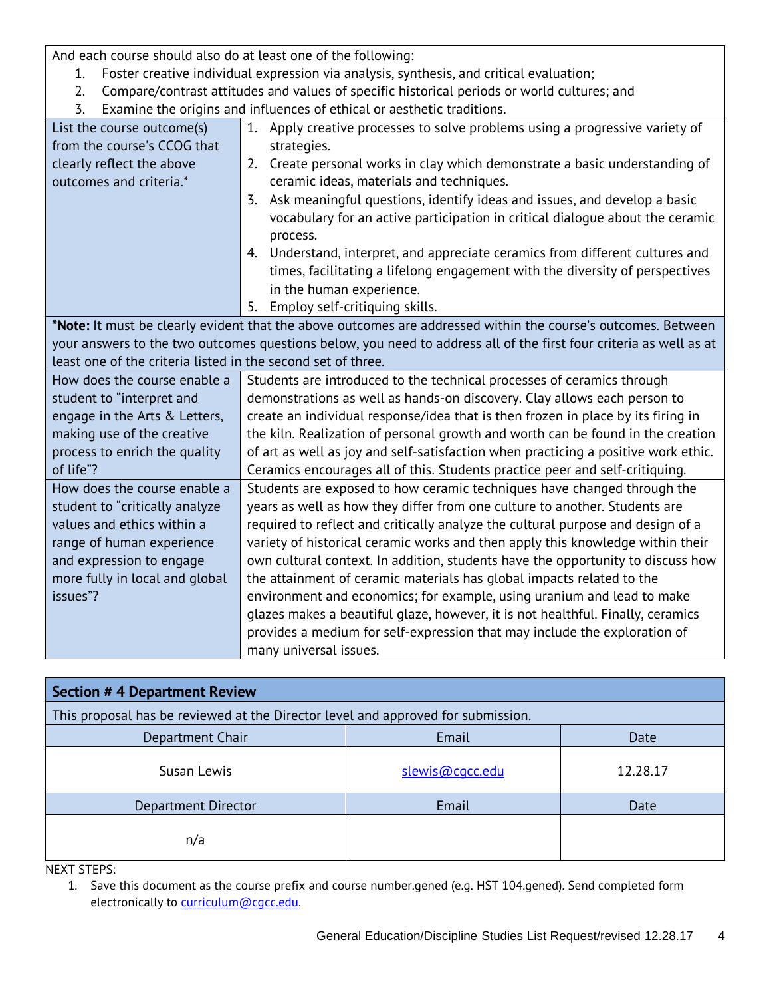And each course should also do at least one of the following:

- 1. Foster creative individual expression via analysis, synthesis, and critical evaluation;
- 2. Compare/contrast attitudes and values of specific historical periods or world cultures; and
- 3. Examine the origins and influences of ethical or aesthetic traditions.

| List the course outcome(s)<br>from the course's CCOG that<br>clearly reflect the above<br>outcomes and criteria.* | 1. Apply creative processes to solve problems using a progressive variety of<br>strategies.<br>2. Create personal works in clay which demonstrate a basic understanding of<br>ceramic ideas, materials and techniques.<br>Ask meaningful questions, identify ideas and issues, and develop a basic<br>3.<br>vocabulary for an active participation in critical dialogue about the ceramic<br>process.<br>4. Understand, interpret, and appreciate ceramics from different cultures and |  |  |
|-------------------------------------------------------------------------------------------------------------------|----------------------------------------------------------------------------------------------------------------------------------------------------------------------------------------------------------------------------------------------------------------------------------------------------------------------------------------------------------------------------------------------------------------------------------------------------------------------------------------|--|--|
|                                                                                                                   | times, facilitating a lifelong engagement with the diversity of perspectives<br>in the human experience.                                                                                                                                                                                                                                                                                                                                                                               |  |  |
|                                                                                                                   | Employ self-critiquing skills.<br>5.                                                                                                                                                                                                                                                                                                                                                                                                                                                   |  |  |
|                                                                                                                   | *Note: It must be clearly evident that the above outcomes are addressed within the course's outcomes. Between                                                                                                                                                                                                                                                                                                                                                                          |  |  |
|                                                                                                                   | your answers to the two outcomes questions below, you need to address all of the first four criteria as well as at                                                                                                                                                                                                                                                                                                                                                                     |  |  |
| least one of the criteria listed in the second set of three.                                                      |                                                                                                                                                                                                                                                                                                                                                                                                                                                                                        |  |  |
| How does the course enable a                                                                                      | Students are introduced to the technical processes of ceramics through                                                                                                                                                                                                                                                                                                                                                                                                                 |  |  |
| student to "interpret and                                                                                         | demonstrations as well as hands-on discovery. Clay allows each person to<br>create an individual response/idea that is then frozen in place by its firing in                                                                                                                                                                                                                                                                                                                           |  |  |
| engage in the Arts & Letters,                                                                                     | the kiln. Realization of personal growth and worth can be found in the creation                                                                                                                                                                                                                                                                                                                                                                                                        |  |  |
| making use of the creative<br>process to enrich the quality                                                       | of art as well as joy and self-satisfaction when practicing a positive work ethic.                                                                                                                                                                                                                                                                                                                                                                                                     |  |  |
| of life"?                                                                                                         | Ceramics encourages all of this. Students practice peer and self-critiquing.                                                                                                                                                                                                                                                                                                                                                                                                           |  |  |
| How does the course enable a                                                                                      | Students are exposed to how ceramic techniques have changed through the                                                                                                                                                                                                                                                                                                                                                                                                                |  |  |
| student to "critically analyze                                                                                    | years as well as how they differ from one culture to another. Students are                                                                                                                                                                                                                                                                                                                                                                                                             |  |  |
| values and ethics within a<br>required to reflect and critically analyze the cultural purpose and design of a     |                                                                                                                                                                                                                                                                                                                                                                                                                                                                                        |  |  |
| range of human experience                                                                                         | variety of historical ceramic works and then apply this knowledge within their                                                                                                                                                                                                                                                                                                                                                                                                         |  |  |
| and expression to engage                                                                                          | own cultural context. In addition, students have the opportunity to discuss how                                                                                                                                                                                                                                                                                                                                                                                                        |  |  |
| more fully in local and global                                                                                    | the attainment of ceramic materials has global impacts related to the                                                                                                                                                                                                                                                                                                                                                                                                                  |  |  |
| issues"?                                                                                                          | environment and economics; for example, using uranium and lead to make                                                                                                                                                                                                                                                                                                                                                                                                                 |  |  |
|                                                                                                                   | glazes makes a beautiful glaze, however, it is not healthful. Finally, ceramics                                                                                                                                                                                                                                                                                                                                                                                                        |  |  |
|                                                                                                                   | provides a medium for self-expression that may include the exploration of                                                                                                                                                                                                                                                                                                                                                                                                              |  |  |
|                                                                                                                   | many universal issues.                                                                                                                                                                                                                                                                                                                                                                                                                                                                 |  |  |

| <b>Section # 4 Department Review</b>                                             |                 |          |  |
|----------------------------------------------------------------------------------|-----------------|----------|--|
| This proposal has be reviewed at the Director level and approved for submission. |                 |          |  |
| Email<br>Department Chair<br>Date                                                |                 |          |  |
| Susan Lewis                                                                      | slewis@cgcc.edu | 12.28.17 |  |
| Department Director                                                              | Email           | Date     |  |
| n/a                                                                              |                 |          |  |

NEXT STEPS:

1. Save this document as the course prefix and course number.gened (e.g. HST 104.gened). Send completed form electronically to [curriculum@cgcc.edu.](mailto:curriculum@cgcc.edu)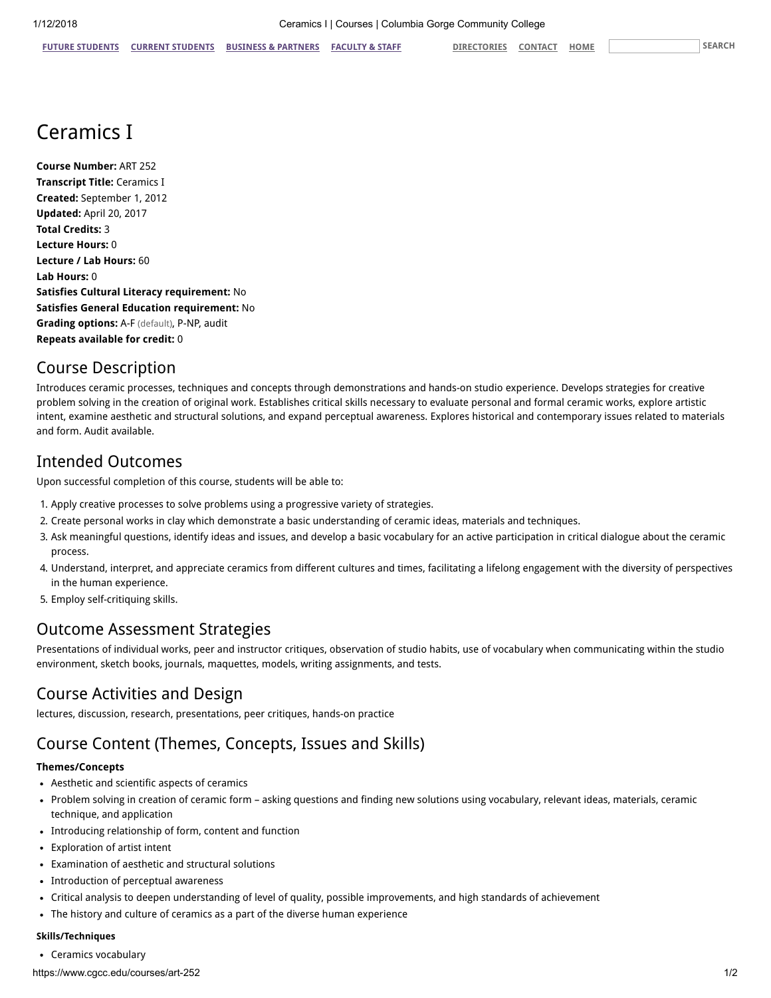# Ceramics I

Course Number: ART 252 Transcript Title: Ceramics I Created: September 1, 2012 Updated: April 20, 2017 Total Credits: 3 Lecture Hours: 0 Lecture / Lab Hours: 60 Lab Hours: 0 Satisfies Cultural Literacy requirement: No Satisfies General Education requirement: No Grading options: A-F (default), P-NP, audit Repeats available for credit: 0

# Course Description

Introduces ceramic processes, techniques and concepts through demonstrations and hands-on studio experience. Develops strategies for creative problem solving in the creation of original work. Establishes critical skills necessary to evaluate personal and formal ceramic works, explore artistic intent, examine aesthetic and structural solutions, and expand perceptual awareness. Explores historical and contemporary issues related to materials and form. Audit available.

#### Intended Outcomes

Upon successful completion of this course, students will be able to:

- 1. Apply creative processes to solve problems using a progressive variety of strategies.
- 2. Create personal works in clay which demonstrate a basic understanding of ceramic ideas, materials and techniques.
- 3. Ask meaningful questions, identify ideas and issues, and develop a basic vocabulary for an active participation in critical dialogue about the ceramic process.
- 4. Understand, interpret, and appreciate ceramics from different cultures and times, facilitating a lifelong engagement with the diversity of perspectives in the human experience.
- 5. Employ self-critiquing skills.

## Outcome Assessment Strategies

Presentations of individual works, peer and instructor critiques, observation of studio habits, use of vocabulary when communicating within the studio environment, sketch books, journals, maquettes, models, writing assignments, and tests.

# Course Activities and Design

lectures, discussion, research, presentations, peer critiques, hands-on practice

# Course Content (Themes, Concepts, Issues and Skills)

#### Themes/Concepts

- Aesthetic and scientific aspects of ceramics
- Problem solving in creation of ceramic form asking questions and finding new solutions using vocabulary, relevant ideas, materials, ceramic technique, and application
- Introducing relationship of form, content and function
- Exploration of artist intent
- Examination of aesthetic and structural solutions
- Introduction of perceptual awareness
- Critical analysis to deepen understanding of level of quality, possible improvements, and high standards of achievement
- The history and culture of ceramics as a part of the diverse human experience

#### Skills/Techniques

Ceramics vocabulary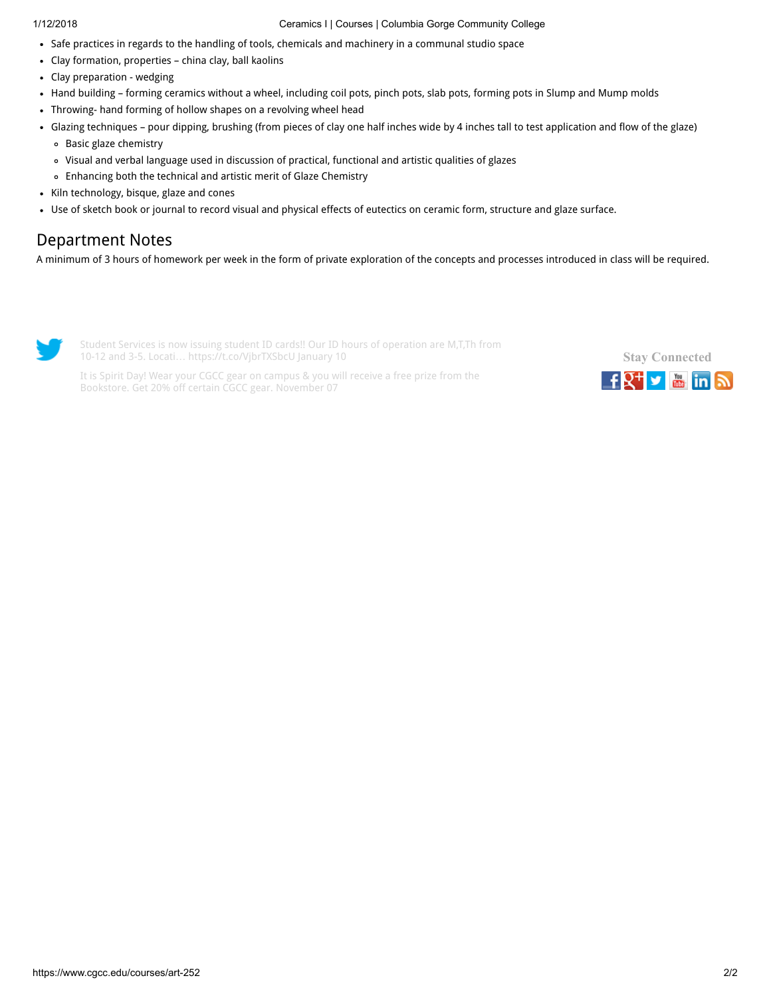#### 1/12/2018 Ceramics I | Courses | Columbia Gorge Community College

- Safe practices in regards to the handling of tools, chemicals and machinery in a communal studio space
- Clay formation, properties china clay, ball kaolins
- Clay preparation wedging
- Hand building forming ceramics without a wheel, including coil pots, pinch pots, slab pots, forming pots in Slump and Mump molds
- Throwing- hand forming of hollow shapes on a revolving wheel head
- Glazing techniques pour dipping, brushing (from pieces of clay one half inches wide by 4 inches tall to test application and flow of the glaze)
	- Basic glaze chemistry
	- Visual and verbal language used in discussion of practical, functional and artistic qualities of glazes
	- Enhancing both the technical and artistic merit of Glaze Chemistry
- Kiln technology, bisque, glaze and cones
- Use of sketch book or journal to record visual and physical effects of eutectics on ceramic form, structure and glaze surface.

# Department Notes

A minimum of 3 hours of homework per week in the form of private exploration of the concepts and processes introduced in class will be required.



Student Services is now issuing student ID cards!! Our ID hours of operation are M,T,Th from 10-12 and 3-5. Locati… <https://t.co/VjbrTXSbcU> January 10



It is Spirit Day! Wear your CGCC gear on campus & you will receive a free prize from the Bookstore. Get 20% off certain CGCC gear. November 07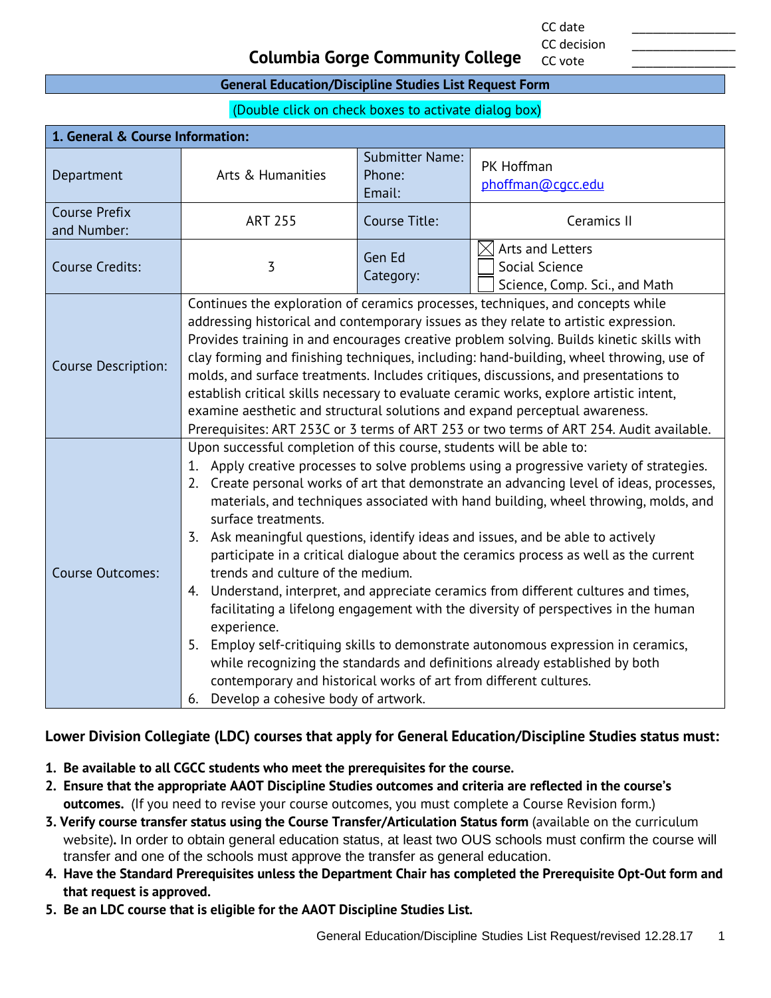CC date \_\_\_\_\_\_\_\_\_\_\_\_\_\_\_ CC decision

CC vote

#### **Columbia Gorge Community College**

#### **General Education/Discipline Studies List Request Form**

(Double click on check boxes to activate dialog box)

| 1. General & Course Information:    |                                                                                                                                                                                                                                                                                                                                                                                                                                                                                                                                                                                                                                                                                                                                                                                                                                                                                                                                                                                                                                                                                      |                                            |                                                                                 |
|-------------------------------------|--------------------------------------------------------------------------------------------------------------------------------------------------------------------------------------------------------------------------------------------------------------------------------------------------------------------------------------------------------------------------------------------------------------------------------------------------------------------------------------------------------------------------------------------------------------------------------------------------------------------------------------------------------------------------------------------------------------------------------------------------------------------------------------------------------------------------------------------------------------------------------------------------------------------------------------------------------------------------------------------------------------------------------------------------------------------------------------|--------------------------------------------|---------------------------------------------------------------------------------|
| Department                          | Arts & Humanities                                                                                                                                                                                                                                                                                                                                                                                                                                                                                                                                                                                                                                                                                                                                                                                                                                                                                                                                                                                                                                                                    | <b>Submitter Name:</b><br>Phone:<br>Email: | PK Hoffman<br>phoffman@cqcc.edu                                                 |
| <b>Course Prefix</b><br>and Number: | <b>ART 255</b>                                                                                                                                                                                                                                                                                                                                                                                                                                                                                                                                                                                                                                                                                                                                                                                                                                                                                                                                                                                                                                                                       | Course Title:                              | Ceramics II                                                                     |
| <b>Course Credits:</b>              | 3                                                                                                                                                                                                                                                                                                                                                                                                                                                                                                                                                                                                                                                                                                                                                                                                                                                                                                                                                                                                                                                                                    | Gen Ed<br>Category:                        | $\boxtimes$ Arts and Letters<br>Social Science<br>Science, Comp. Sci., and Math |
| Course Description:                 | Continues the exploration of ceramics processes, techniques, and concepts while<br>addressing historical and contemporary issues as they relate to artistic expression.<br>Provides training in and encourages creative problem solving. Builds kinetic skills with<br>clay forming and finishing techniques, including: hand-building, wheel throwing, use of<br>molds, and surface treatments. Includes critiques, discussions, and presentations to<br>establish critical skills necessary to evaluate ceramic works, explore artistic intent,<br>examine aesthetic and structural solutions and expand perceptual awareness.<br>Prerequisites: ART 253C or 3 terms of ART 253 or two terms of ART 254. Audit available.                                                                                                                                                                                                                                                                                                                                                          |                                            |                                                                                 |
| <b>Course Outcomes:</b>             | Upon successful completion of this course, students will be able to:<br>1. Apply creative processes to solve problems using a progressive variety of strategies.<br>2. Create personal works of art that demonstrate an advancing level of ideas, processes,<br>materials, and techniques associated with hand building, wheel throwing, molds, and<br>surface treatments.<br>3. Ask meaningful questions, identify ideas and issues, and be able to actively<br>participate in a critical dialogue about the ceramics process as well as the current<br>trends and culture of the medium.<br>Understand, interpret, and appreciate ceramics from different cultures and times,<br>4.<br>facilitating a lifelong engagement with the diversity of perspectives in the human<br>experience.<br>Employ self-critiquing skills to demonstrate autonomous expression in ceramics,<br>5.<br>while recognizing the standards and definitions already established by both<br>contemporary and historical works of art from different cultures.<br>Develop a cohesive body of artwork.<br>6. |                                            |                                                                                 |

#### **Lower Division Collegiate (LDC) courses that apply for General Education/Discipline Studies status must:**

- **1. Be available to all CGCC students who meet the prerequisites for the course.**
- **2. Ensure that the appropriate AAOT Discipline Studies outcomes and criteria are reflected in the course's outcomes.** (If you need to revise your course outcomes, you must complete a Course Revision form.)
- **3. Verify course transfer status using the Course Transfer/Articulation Status form** (available on the curriculum website)**.** In order to obtain general education status, at least two OUS schools must confirm the course will transfer and one of the schools must approve the transfer as general education.
- **4. Have the Standard Prerequisites unless the Department Chair has completed the Prerequisite Opt-Out form and that request is approved.**
- **5. Be an LDC course that is eligible for the AAOT Discipline Studies List.**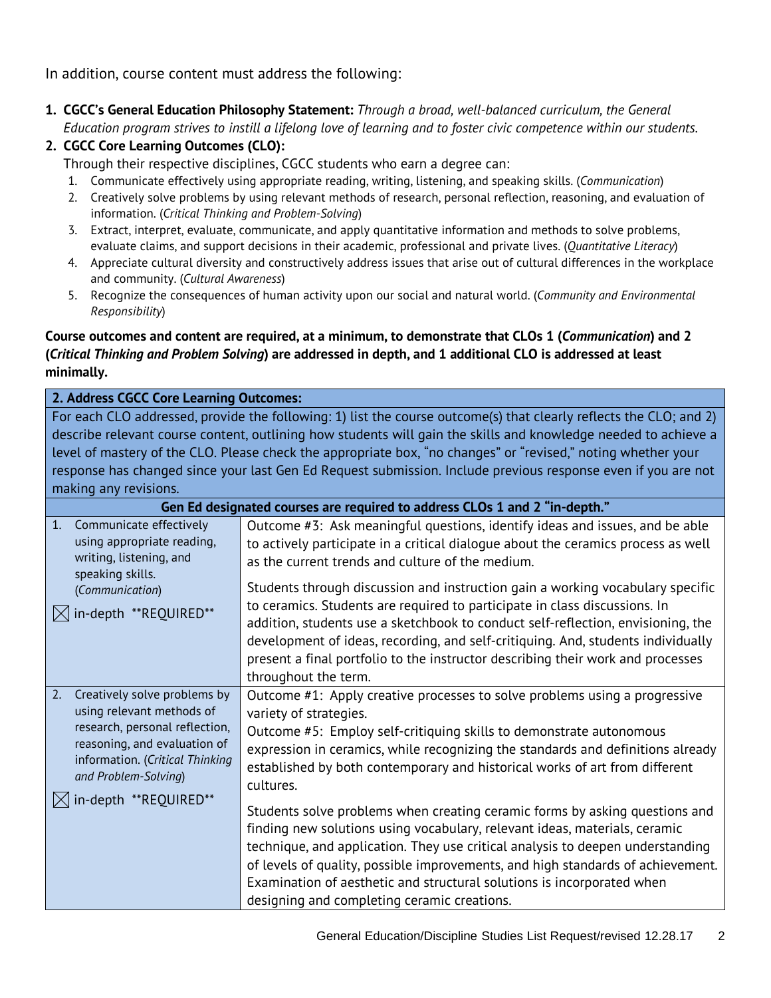In addition, course content must address the following:

**1. CGCC's General Education Philosophy Statement:** *Through a broad, well-balanced curriculum, the General Education program strives to instill a lifelong love of learning and to foster civic competence within our students.*

#### **2. CGCC Core Learning Outcomes (CLO):**

Through their respective disciplines, CGCC students who earn a degree can:

- 1. Communicate effectively using appropriate reading, writing, listening, and speaking skills. (*Communication*)
- 2. Creatively solve problems by using relevant methods of research, personal reflection, reasoning, and evaluation of information. (*Critical Thinking and Problem-Solving*)
- 3. Extract, interpret, evaluate, communicate, and apply quantitative information and methods to solve problems, evaluate claims, and support decisions in their academic, professional and private lives. (*Quantitative Literacy*)
- 4. Appreciate cultural diversity and constructively address issues that arise out of cultural differences in the workplace and community. (*Cultural Awareness*)
- 5. Recognize the consequences of human activity upon our social and natural world. (*Community and Environmental Responsibility*)

#### **Course outcomes and content are required, at a minimum, to demonstrate that CLOs 1 (***Communication***) and 2 (***Critical Thinking and Problem Solving***) are addressed in depth, and 1 additional CLO is addressed at least minimally.**

# **2. Address CGCC Core Learning Outcomes:**

For each CLO addressed, provide the following: 1) list the course outcome(s) that clearly reflects the CLO; and 2) describe relevant course content, outlining how students will gain the skills and knowledge needed to achieve a level of mastery of the CLO. Please check the appropriate box, "no changes" or "revised," noting whether your response has changed since your last Gen Ed Request submission. Include previous response even if you are not making any revisions.

| Gen Ed designated courses are required to address CLOs 1 and 2 "in-depth."                                                                                                                   |                                                                                                                                                                                                                                                                                                                                                                                                                                                         |  |
|----------------------------------------------------------------------------------------------------------------------------------------------------------------------------------------------|---------------------------------------------------------------------------------------------------------------------------------------------------------------------------------------------------------------------------------------------------------------------------------------------------------------------------------------------------------------------------------------------------------------------------------------------------------|--|
| $\mathbf{1}$ .<br>Communicate effectively<br>using appropriate reading,<br>writing, listening, and<br>speaking skills.                                                                       | Outcome #3: Ask meaningful questions, identify ideas and issues, and be able<br>to actively participate in a critical dialogue about the ceramics process as well<br>as the current trends and culture of the medium.                                                                                                                                                                                                                                   |  |
| (Communication)<br>in-depth **REQUIRED**                                                                                                                                                     | Students through discussion and instruction gain a working vocabulary specific<br>to ceramics. Students are required to participate in class discussions. In<br>addition, students use a sketchbook to conduct self-reflection, envisioning, the<br>development of ideas, recording, and self-critiquing. And, students individually<br>present a final portfolio to the instructor describing their work and processes<br>throughout the term.         |  |
| Creatively solve problems by<br>2.<br>using relevant methods of<br>research, personal reflection,<br>reasoning, and evaluation of<br>information. (Critical Thinking<br>and Problem-Solving) | Outcome #1: Apply creative processes to solve problems using a progressive<br>variety of strategies.<br>Outcome #5: Employ self-critiquing skills to demonstrate autonomous<br>expression in ceramics, while recognizing the standards and definitions already<br>established by both contemporary and historical works of art from different<br>cultures.                                                                                              |  |
| in-depth **REQUIRED**                                                                                                                                                                        | Students solve problems when creating ceramic forms by asking questions and<br>finding new solutions using vocabulary, relevant ideas, materials, ceramic<br>technique, and application. They use critical analysis to deepen understanding<br>of levels of quality, possible improvements, and high standards of achievement.<br>Examination of aesthetic and structural solutions is incorporated when<br>designing and completing ceramic creations. |  |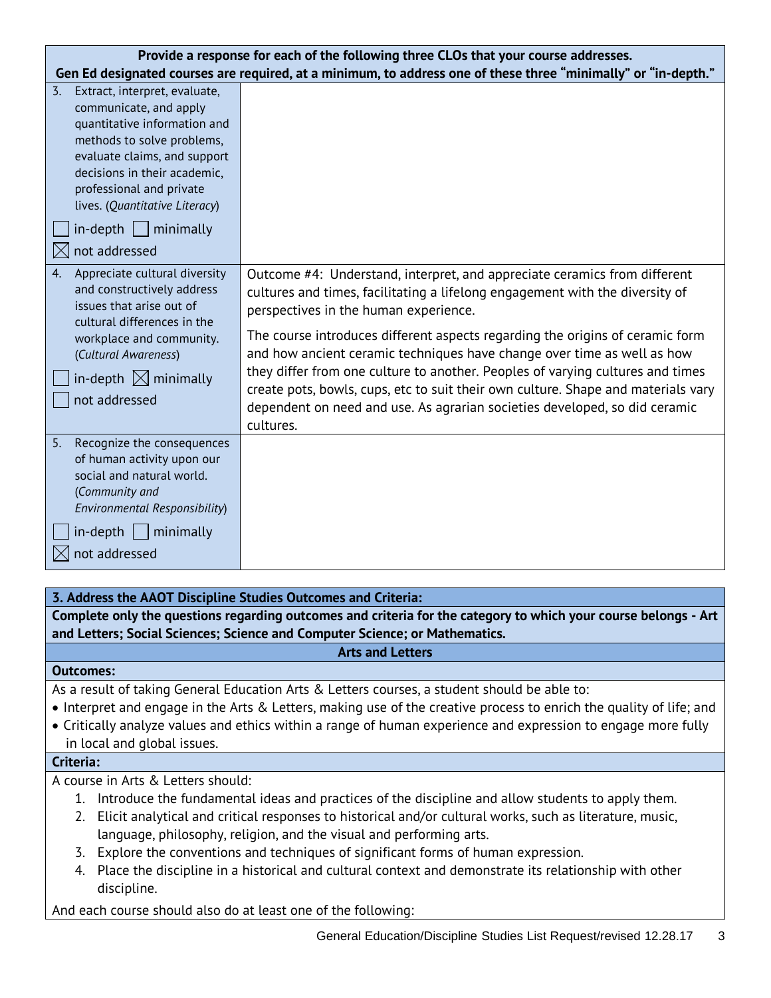| Provide a response for each of the following three CLOs that your course addresses.                                                                                                                                                                                                                     |                                                                                                                                                                                                                                                                                                                                                                                                                                                                                                                                                                                                                                  |  |
|---------------------------------------------------------------------------------------------------------------------------------------------------------------------------------------------------------------------------------------------------------------------------------------------------------|----------------------------------------------------------------------------------------------------------------------------------------------------------------------------------------------------------------------------------------------------------------------------------------------------------------------------------------------------------------------------------------------------------------------------------------------------------------------------------------------------------------------------------------------------------------------------------------------------------------------------------|--|
|                                                                                                                                                                                                                                                                                                         | Gen Ed designated courses are required, at a minimum, to address one of these three "minimally" or "in-depth."                                                                                                                                                                                                                                                                                                                                                                                                                                                                                                                   |  |
| Extract, interpret, evaluate,<br>3.<br>communicate, and apply<br>quantitative information and<br>methods to solve problems,<br>evaluate claims, and support<br>decisions in their academic,<br>professional and private<br>lives. (Quantitative Literacy)<br>$in$ -depth     minimally<br>not addressed |                                                                                                                                                                                                                                                                                                                                                                                                                                                                                                                                                                                                                                  |  |
| Appreciate cultural diversity<br>4.<br>and constructively address<br>issues that arise out of<br>cultural differences in the<br>workplace and community.<br>(Cultural Awareness)<br>in-depth $\boxtimes$ minimally<br>not addressed                                                                     | Outcome #4: Understand, interpret, and appreciate ceramics from different<br>cultures and times, facilitating a lifelong engagement with the diversity of<br>perspectives in the human experience.<br>The course introduces different aspects regarding the origins of ceramic form<br>and how ancient ceramic techniques have change over time as well as how<br>they differ from one culture to another. Peoples of varying cultures and times<br>create pots, bowls, cups, etc to suit their own culture. Shape and materials vary<br>dependent on need and use. As agrarian societies developed, so did ceramic<br>cultures. |  |
| Recognize the consequences<br>5.<br>of human activity upon our<br>social and natural world.<br>(Community and<br>Environmental Responsibility)<br>$in$ -depth $\Box$ minimally<br>not addressed                                                                                                         |                                                                                                                                                                                                                                                                                                                                                                                                                                                                                                                                                                                                                                  |  |
| 3. Address the AAOT Discipline Studies Outcomes and Criteria:                                                                                                                                                                                                                                           |                                                                                                                                                                                                                                                                                                                                                                                                                                                                                                                                                                                                                                  |  |
|                                                                                                                                                                                                                                                                                                         | Complete culy the curetians recording outcomes and suitaria for the cotegory to which you<br>المصمر مراجعا المام                                                                                                                                                                                                                                                                                                                                                                                                                                                                                                                 |  |

**Complete only the questions regarding outcomes and criteria for the category to which your course belongs - Art and Letters; Social Sciences; Science and Computer Science; or Mathematics.**

#### **Arts and Letters**

#### **Outcomes:**

As a result of taking General Education Arts & Letters courses, a student should be able to:

- Interpret and engage in the Arts & Letters, making use of the creative process to enrich the quality of life; and
- Critically analyze values and ethics within a range of human experience and expression to engage more fully in local and global issues.

#### **Criteria:**

A course in Arts & Letters should:

- 1. Introduce the fundamental ideas and practices of the discipline and allow students to apply them.
- 2. Elicit analytical and critical responses to historical and/or cultural works, such as literature, music, language, philosophy, religion, and the visual and performing arts.
- 3. Explore the conventions and techniques of significant forms of human expression.
- 4. Place the discipline in a historical and cultural context and demonstrate its relationship with other discipline.

And each course should also do at least one of the following: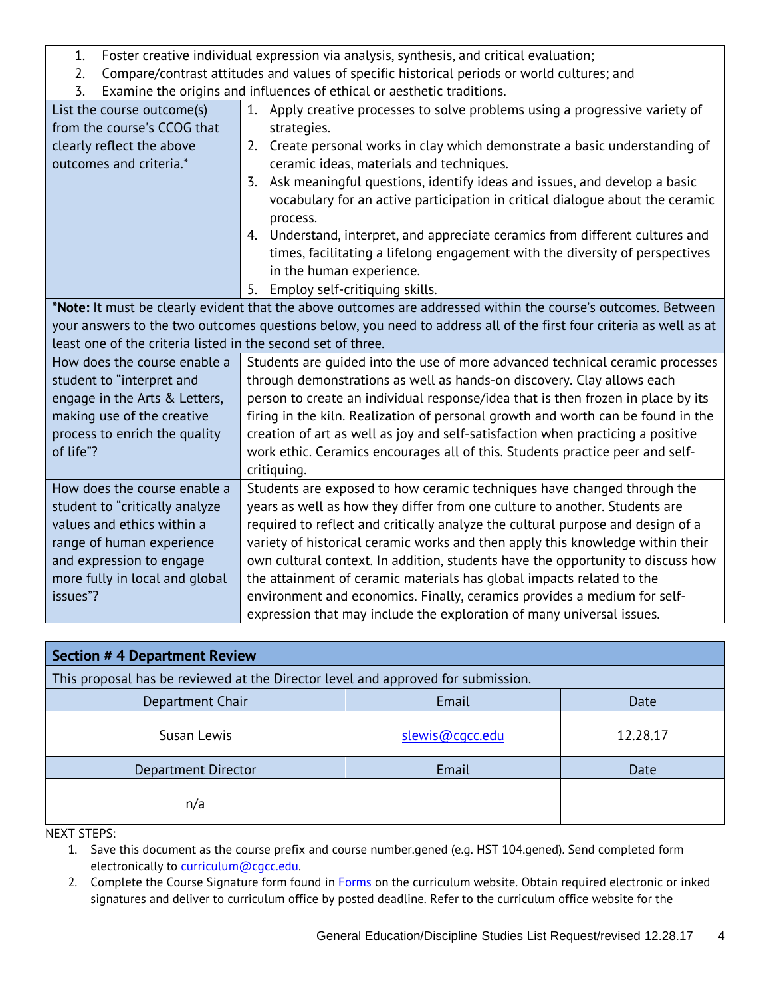| Foster creative individual expression via analysis, synthesis, and critical evaluation;<br>1.                 |                                                                                                                    |  |  |  |
|---------------------------------------------------------------------------------------------------------------|--------------------------------------------------------------------------------------------------------------------|--|--|--|
| Compare/contrast attitudes and values of specific historical periods or world cultures; and<br>2.             |                                                                                                                    |  |  |  |
| Examine the origins and influences of ethical or aesthetic traditions.<br>3.                                  |                                                                                                                    |  |  |  |
| List the course outcome(s)                                                                                    | 1. Apply creative processes to solve problems using a progressive variety of                                       |  |  |  |
| from the course's CCOG that                                                                                   | strategies.                                                                                                        |  |  |  |
| clearly reflect the above                                                                                     | 2. Create personal works in clay which demonstrate a basic understanding of                                        |  |  |  |
| outcomes and criteria.*                                                                                       | ceramic ideas, materials and techniques.                                                                           |  |  |  |
|                                                                                                               | Ask meaningful questions, identify ideas and issues, and develop a basic<br>3.                                     |  |  |  |
|                                                                                                               | vocabulary for an active participation in critical dialogue about the ceramic                                      |  |  |  |
|                                                                                                               | process.                                                                                                           |  |  |  |
|                                                                                                               | 4. Understand, interpret, and appreciate ceramics from different cultures and                                      |  |  |  |
|                                                                                                               | times, facilitating a lifelong engagement with the diversity of perspectives                                       |  |  |  |
|                                                                                                               | in the human experience.                                                                                           |  |  |  |
|                                                                                                               | 5. Employ self-critiquing skills.                                                                                  |  |  |  |
| *Note: It must be clearly evident that the above outcomes are addressed within the course's outcomes. Between |                                                                                                                    |  |  |  |
|                                                                                                               | your answers to the two outcomes questions below, you need to address all of the first four criteria as well as at |  |  |  |
| least one of the criteria listed in the second set of three.                                                  |                                                                                                                    |  |  |  |
| How does the course enable a                                                                                  | Students are guided into the use of more advanced technical ceramic processes                                      |  |  |  |
| student to "interpret and                                                                                     | through demonstrations as well as hands-on discovery. Clay allows each                                             |  |  |  |
| engage in the Arts & Letters,                                                                                 | person to create an individual response/idea that is then frozen in place by its                                   |  |  |  |
| making use of the creative                                                                                    | firing in the kiln. Realization of personal growth and worth can be found in the                                   |  |  |  |
| process to enrich the quality                                                                                 | creation of art as well as joy and self-satisfaction when practicing a positive                                    |  |  |  |
| of life"?                                                                                                     | work ethic. Ceramics encourages all of this. Students practice peer and self-                                      |  |  |  |
|                                                                                                               | critiquing.                                                                                                        |  |  |  |
| How does the course enable a                                                                                  | Students are exposed to how ceramic techniques have changed through the                                            |  |  |  |
| student to "critically analyze                                                                                | years as well as how they differ from one culture to another. Students are                                         |  |  |  |
| values and ethics within a                                                                                    | required to reflect and critically analyze the cultural purpose and design of a                                    |  |  |  |
| range of human experience                                                                                     | variety of historical ceramic works and then apply this knowledge within their                                     |  |  |  |
| and expression to engage                                                                                      | own cultural context. In addition, students have the opportunity to discuss how                                    |  |  |  |
| more fully in local and global                                                                                | the attainment of ceramic materials has global impacts related to the                                              |  |  |  |
| issues"?                                                                                                      | environment and economics. Finally, ceramics provides a medium for self-                                           |  |  |  |
|                                                                                                               | expression that may include the exploration of many universal issues.                                              |  |  |  |

| <b>Section #4 Department Review</b>                                              |                 |          |
|----------------------------------------------------------------------------------|-----------------|----------|
| This proposal has be reviewed at the Director level and approved for submission. |                 |          |
| Email<br>Department Chair<br>Date                                                |                 |          |
| Susan Lewis                                                                      | slewis@cacc.edu | 12.28.17 |
| Department Director                                                              | Email           | Date     |
| n/a                                                                              |                 |          |

NEXT STEPS:

- 1. Save this document as the course prefix and course number.gened (e.g. HST 104.gened). Send completed form electronically to [curriculum@cgcc.edu.](mailto:curriculum@cgcc.edu)
- 2. Complete the Course Signature form found in **Forms** on the curriculum website. Obtain required electronic or inked signatures and deliver to curriculum office by posted deadline. Refer to the curriculum office website for the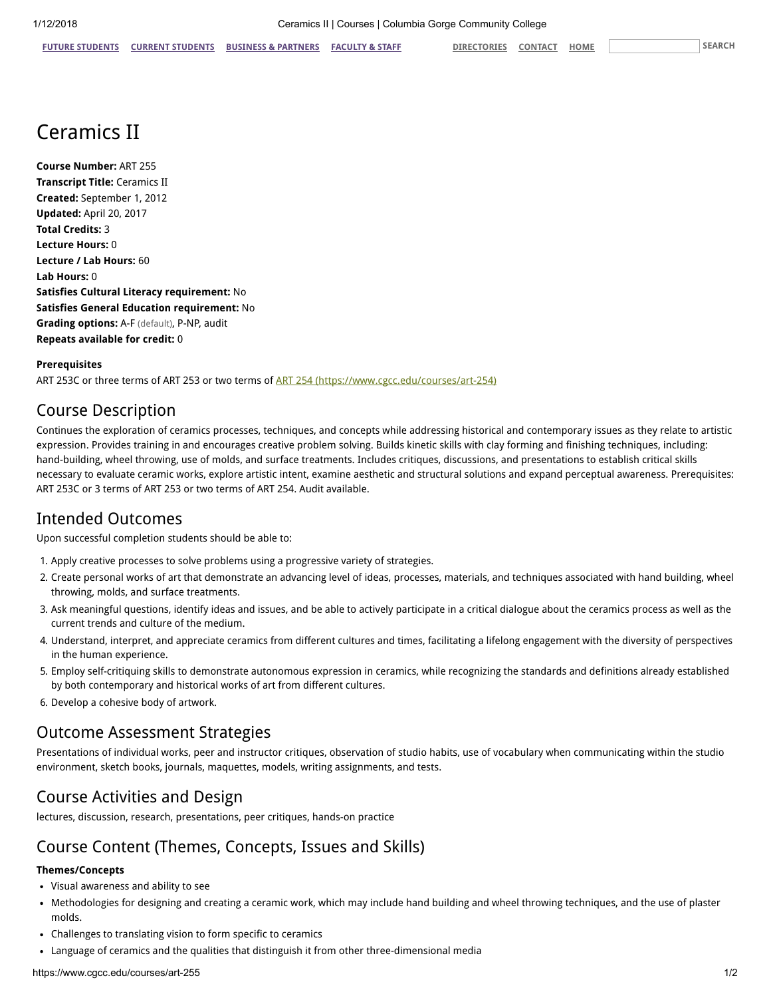# Ceramics II

Course Number: ART 255 Transcript Title: Ceramics II Created: September 1, 2012 Updated: April 20, 2017 Total Credits: 3 Lecture Hours: 0 Lecture / Lab Hours: 60 Lab Hours: 0 Satisfies Cultural Literacy requirement: No Satisfies General Education requirement: No Grading options: A-F (default), P-NP, audit Repeats available for credit: 0

#### Prerequisites

ART 253C or three terms of ART 253 or two terms of [ART 254 \(https://www.cgcc.edu/courses/art-254\)](https://www.cgcc.edu/courses/art-254)

#### Course Description

Continues the exploration of ceramics processes, techniques, and concepts while addressing historical and contemporary issues as they relate to artistic expression. Provides training in and encourages creative problem solving. Builds kinetic skills with clay forming and finishing techniques, including: hand-building, wheel throwing, use of molds, and surface treatments. Includes critiques, discussions, and presentations to establish critical skills necessary to evaluate ceramic works, explore artistic intent, examine aesthetic and structural solutions and expand perceptual awareness. Prerequisites: ART 253C or 3 terms of ART 253 or two terms of ART 254. Audit available.

#### Intended Outcomes

Upon successful completion students should be able to:

- 1. Apply creative processes to solve problems using a progressive variety of strategies.
- 2. Create personal works of art that demonstrate an advancing level of ideas, processes, materials, and techniques associated with hand building, wheel throwing, molds, and surface treatments.
- 3. Ask meaningful questions, identify ideas and issues, and be able to actively participate in a critical dialogue about the ceramics process as well as the current trends and culture of the medium.
- 4. Understand, interpret, and appreciate ceramics from different cultures and times, facilitating a lifelong engagement with the diversity of perspectives in the human experience.
- 5. Employ self-critiquing skills to demonstrate autonomous expression in ceramics, while recognizing the standards and definitions already established by both contemporary and historical works of art from different cultures.
- 6. Develop a cohesive body of artwork.

#### Outcome Assessment Strategies

Presentations of individual works, peer and instructor critiques, observation of studio habits, use of vocabulary when communicating within the studio environment, sketch books, journals, maquettes, models, writing assignments, and tests.

## Course Activities and Design

lectures, discussion, research, presentations, peer critiques, hands-on practice

# Course Content (Themes, Concepts, Issues and Skills)

#### Themes/Concepts

- Visual awareness and ability to see
- Methodologies for designing and creating a ceramic work, which may include hand building and wheel throwing techniques, and the use of plaster molds.
- Challenges to translating vision to form specific to ceramics
- Language of ceramics and the qualities that distinguish it from other three-dimensional media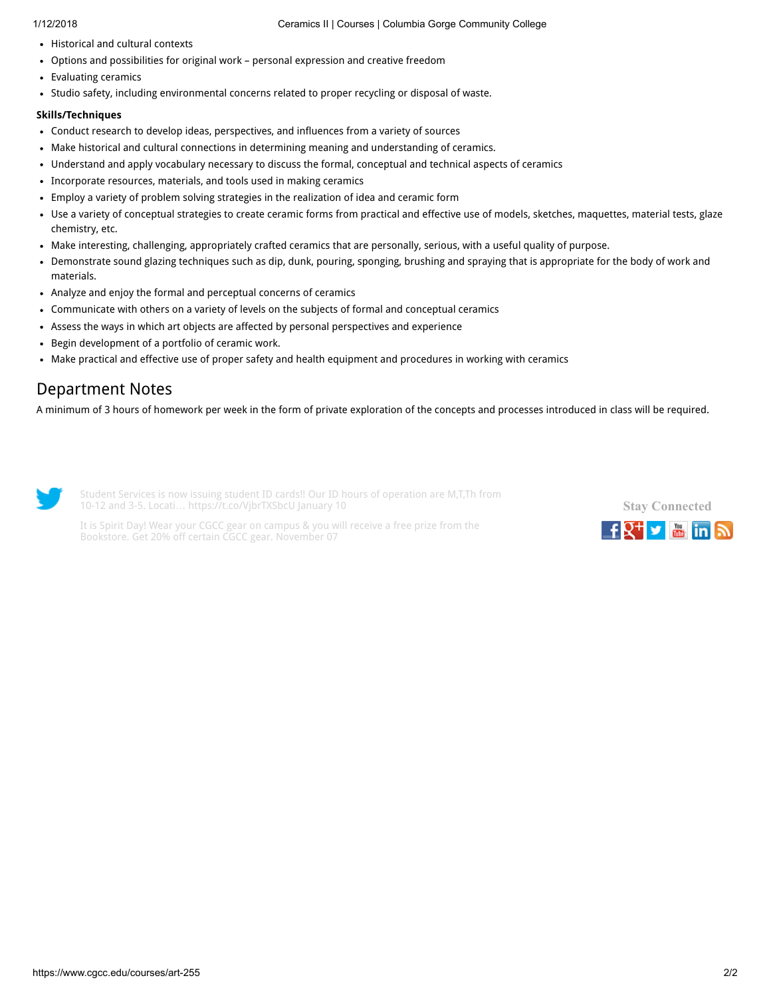- Historical and cultural contexts
- Options and possibilities for original work personal expression and creative freedom
- Evaluating ceramics
- Studio safety, including environmental concerns related to proper recycling or disposal of waste.

#### Skills/Techniques

- Conduct research to develop ideas, perspectives, and influences from a variety of sources
- Make historical and cultural connections in determining meaning and understanding of ceramics.
- Understand and apply vocabulary necessary to discuss the formal, conceptual and technical aspects of ceramics
- Incorporate resources, materials, and tools used in making ceramics
- Employ a variety of problem solving strategies in the realization of idea and ceramic form
- Use a variety of conceptual strategies to create ceramic forms from practical and effective use of models, sketches, maquettes, material tests, glaze  $\bullet$ chemistry, etc.
- Make interesting, challenging, appropriately crafted ceramics that are personally, serious, with a useful quality of purpose.
- Demonstrate sound glazing techniques such as dip, dunk, pouring, sponging, brushing and spraying that is appropriate for the body of work and materials.
- Analyze and enjoy the formal and perceptual concerns of ceramics
- Communicate with others on a variety of levels on the subjects of formal and conceptual ceramics
- Assess the ways in which art objects are affected by personal perspectives and experience
- Begin development of a portfolio of ceramic work.
- Make practical and effective use of proper safety and health equipment and procedures in working with ceramics

# Department Notes

A minimum of 3 hours of homework per week in the form of private exploration of the concepts and processes introduced in class will be required.



Student Services is now issuing student ID cards!! Our ID hours of operation are M,T,Th from 10-12 and 3-5. Locati… <https://t.co/VjbrTXSbcU> January 10

It is Spirit Day! Wear your CGCC gear on campus & you will receive a free prize from the Bookstore. Get 20% off certain CGCC gear. November 07

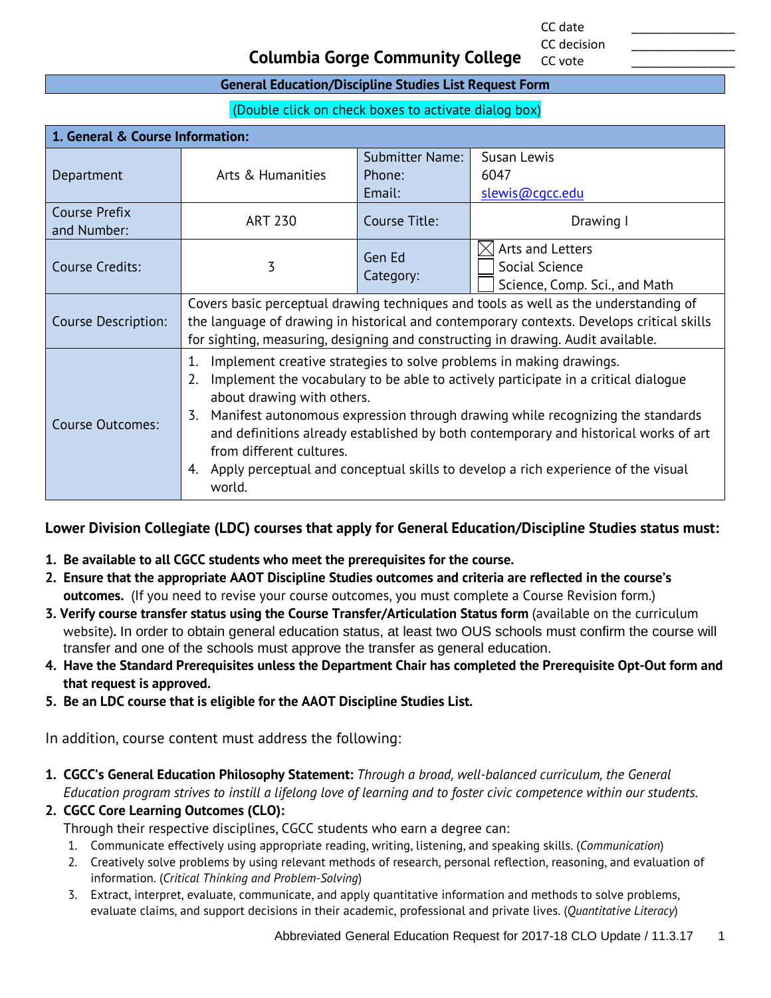CC date \_\_\_\_\_\_\_\_\_\_\_\_\_\_\_ CC decision

CC vote

#### **Columbia Gorge Community College**

#### **General Education/Discipline Studies List Request Form**

(Double click on check boxes to activate dialog box)

| 1. General & Course Information:    |                                                                                                                                                                                                                                                                                                                                                                                                                                                                                                                      |                                            |                                                                     |
|-------------------------------------|----------------------------------------------------------------------------------------------------------------------------------------------------------------------------------------------------------------------------------------------------------------------------------------------------------------------------------------------------------------------------------------------------------------------------------------------------------------------------------------------------------------------|--------------------------------------------|---------------------------------------------------------------------|
| Department                          | Arts & Humanities                                                                                                                                                                                                                                                                                                                                                                                                                                                                                                    | <b>Submitter Name:</b><br>Phone:<br>Email: | Susan Lewis<br>6047<br>slewis@cqcc.edu                              |
| <b>Course Prefix</b><br>and Number: | ART 230                                                                                                                                                                                                                                                                                                                                                                                                                                                                                                              | Course Title:                              | Drawing I                                                           |
| Course Credits:                     | 3                                                                                                                                                                                                                                                                                                                                                                                                                                                                                                                    | Gen Ed<br>Category:                        | Arts and Letters<br>Social Science<br>Science, Comp. Sci., and Math |
| <b>Course Description:</b>          | Covers basic perceptual drawing techniques and tools as well as the understanding of<br>the language of drawing in historical and contemporary contexts. Develops critical skills<br>for sighting, measuring, designing and constructing in drawing. Audit available.                                                                                                                                                                                                                                                |                                            |                                                                     |
| <b>Course Outcomes:</b>             | Implement creative strategies to solve problems in making drawings.<br>1.<br>Implement the vocabulary to be able to actively participate in a critical dialogue<br>2.<br>about drawing with others.<br>Manifest autonomous expression through drawing while recognizing the standards<br>3.<br>and definitions already established by both contemporary and historical works of art<br>from different cultures.<br>Apply perceptual and conceptual skills to develop a rich experience of the visual<br>4.<br>world. |                                            |                                                                     |

#### **Lower Division Collegiate (LDC) courses that apply for General Education/Discipline Studies status must:**

- **1. Be available to all CGCC students who meet the prerequisites for the course.**
- **2. Ensure that the appropriate AAOT Discipline Studies outcomes and criteria are reflected in the course's outcomes.** (If you need to revise your course outcomes, you must complete a Course Revision form.)
- **3. Verify course transfer status using the Course Transfer/Articulation Status form** (available on the curriculum website)**.** In order to obtain general education status, at least two OUS schools must confirm the course will transfer and one of the schools must approve the transfer as general education.
- **4. Have the Standard Prerequisites unless the Department Chair has completed the Prerequisite Opt-Out form and that request is approved.**
- **5. Be an LDC course that is eligible for the AAOT Discipline Studies List.**

In addition, course content must address the following:

- **1. CGCC's General Education Philosophy Statement:** *Through a broad, well-balanced curriculum, the General Education program strives to instill a lifelong love of learning and to foster civic competence within our students.*
- **2. CGCC Core Learning Outcomes (CLO):**

Through their respective disciplines, CGCC students who earn a degree can:

- 1. Communicate effectively using appropriate reading, writing, listening, and speaking skills. (*Communication*)
- 2. Creatively solve problems by using relevant methods of research, personal reflection, reasoning, and evaluation of information. (*Critical Thinking and Problem-Solving*)
- 3. Extract, interpret, evaluate, communicate, and apply quantitative information and methods to solve problems, evaluate claims, and support decisions in their academic, professional and private lives. (*Quantitative Literacy*)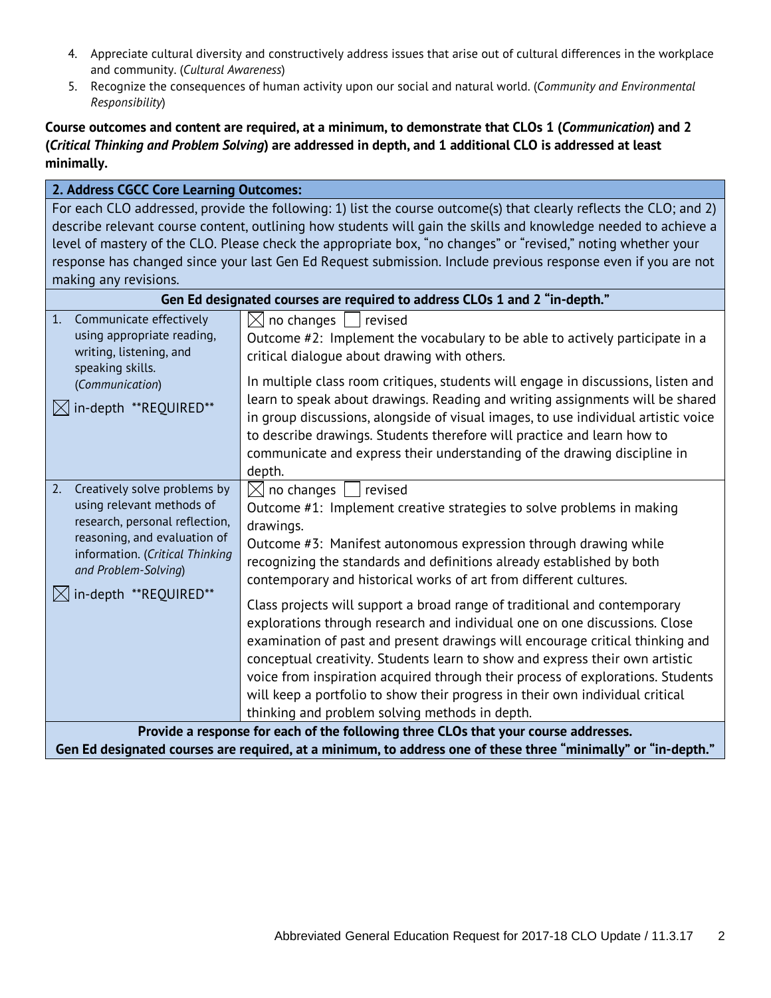- 4. Appreciate cultural diversity and constructively address issues that arise out of cultural differences in the workplace and community. (*Cultural Awareness*)
- 5. Recognize the consequences of human activity upon our social and natural world. (*Community and Environmental Responsibility*)

#### **Course outcomes and content are required, at a minimum, to demonstrate that CLOs 1 (***Communication***) and 2 (***Critical Thinking and Problem Solving***) are addressed in depth, and 1 additional CLO is addressed at least minimally.**

| 2. Address CGCC Core Learning Outcomes:                                                                         |                                                                                                                                                                     |  |
|-----------------------------------------------------------------------------------------------------------------|---------------------------------------------------------------------------------------------------------------------------------------------------------------------|--|
|                                                                                                                 | For each CLO addressed, provide the following: 1) list the course outcome(s) that clearly reflects the CLO; and 2)                                                  |  |
| describe relevant course content, outlining how students will gain the skills and knowledge needed to achieve a |                                                                                                                                                                     |  |
| level of mastery of the CLO. Please check the appropriate box, "no changes" or "revised," noting whether your   |                                                                                                                                                                     |  |
|                                                                                                                 | response has changed since your last Gen Ed Request submission. Include previous response even if you are not                                                       |  |
| making any revisions.                                                                                           |                                                                                                                                                                     |  |
|                                                                                                                 | Gen Ed designated courses are required to address CLOs 1 and 2 "in-depth."                                                                                          |  |
| Communicate effectively<br>1.<br>using appropriate reading,                                                     | $\boxtimes$ no changes  <br>revised<br>Outcome #2: Implement the vocabulary to be able to actively participate in a                                                 |  |
| writing, listening, and<br>speaking skills.                                                                     | critical dialogue about drawing with others.                                                                                                                        |  |
| (Communication)                                                                                                 | In multiple class room critiques, students will engage in discussions, listen and                                                                                   |  |
| $\boxtimes$ in-depth **REQUIRED**                                                                               | learn to speak about drawings. Reading and writing assignments will be shared<br>in group discussions, alongside of visual images, to use individual artistic voice |  |
|                                                                                                                 | to describe drawings. Students therefore will practice and learn how to                                                                                             |  |
|                                                                                                                 | communicate and express their understanding of the drawing discipline in                                                                                            |  |
|                                                                                                                 | depth.                                                                                                                                                              |  |
| Creatively solve problems by<br>2.                                                                              | $\boxtimes$ no changes<br>revised                                                                                                                                   |  |
| using relevant methods of<br>research, personal reflection,                                                     | Outcome #1: Implement creative strategies to solve problems in making                                                                                               |  |
| reasoning, and evaluation of                                                                                    | drawings.                                                                                                                                                           |  |
| information. (Critical Thinking                                                                                 | Outcome #3: Manifest autonomous expression through drawing while                                                                                                    |  |
| and Problem-Solving)                                                                                            | recognizing the standards and definitions already established by both                                                                                               |  |
| $\boxtimes$ in-depth **REQUIRED**                                                                               | contemporary and historical works of art from different cultures.                                                                                                   |  |
|                                                                                                                 | Class projects will support a broad range of traditional and contemporary                                                                                           |  |
|                                                                                                                 | explorations through research and individual one on one discussions. Close                                                                                          |  |
|                                                                                                                 | examination of past and present drawings will encourage critical thinking and                                                                                       |  |
|                                                                                                                 | conceptual creativity. Students learn to show and express their own artistic                                                                                        |  |
|                                                                                                                 | voice from inspiration acquired through their process of explorations. Students                                                                                     |  |
|                                                                                                                 | will keep a portfolio to show their progress in their own individual critical                                                                                       |  |
|                                                                                                                 | thinking and problem solving methods in depth.                                                                                                                      |  |
| Provide a response for each of the following three CLOs that your course addresses.                             |                                                                                                                                                                     |  |
|                                                                                                                 | Gen Ed designated courses are required, at a minimum, to address one of these three "minimally" or "in-depth."                                                      |  |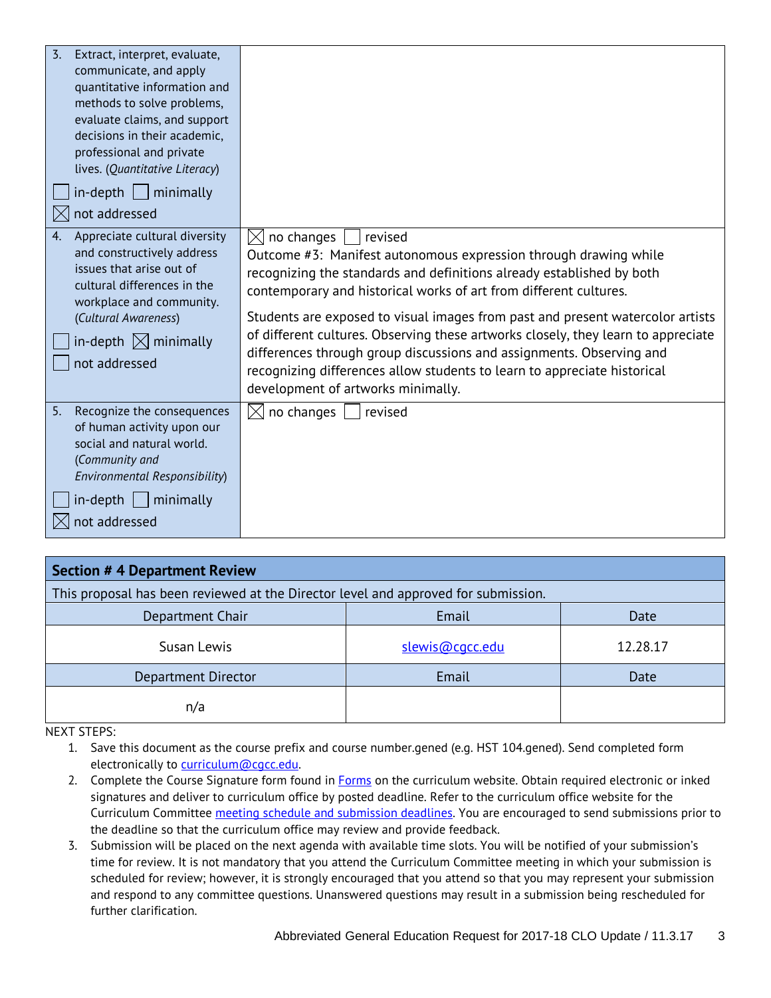| $\overline{3}$ .<br>Extract, interpret, evaluate,<br>communicate, and apply<br>quantitative information and<br>methods to solve problems,<br>evaluate claims, and support<br>decisions in their academic.<br>professional and private<br>lives. (Quantitative Literacy)<br>$in$ -depth     minimally<br>not addressed |                                                                                                                                                                                                                                                                                                                                                                                                                                                                                                                                                                                                                      |
|-----------------------------------------------------------------------------------------------------------------------------------------------------------------------------------------------------------------------------------------------------------------------------------------------------------------------|----------------------------------------------------------------------------------------------------------------------------------------------------------------------------------------------------------------------------------------------------------------------------------------------------------------------------------------------------------------------------------------------------------------------------------------------------------------------------------------------------------------------------------------------------------------------------------------------------------------------|
| Appreciate cultural diversity<br>4.<br>and constructively address<br>issues that arise out of<br>cultural differences in the<br>workplace and community.<br>(Cultural Awareness)<br>in-depth $\boxtimes$ minimally<br>not addressed                                                                                   | $\boxtimes$ no changes<br>revised<br>Outcome #3: Manifest autonomous expression through drawing while<br>recognizing the standards and definitions already established by both<br>contemporary and historical works of art from different cultures.<br>Students are exposed to visual images from past and present watercolor artists<br>of different cultures. Observing these artworks closely, they learn to appreciate<br>differences through group discussions and assignments. Observing and<br>recognizing differences allow students to learn to appreciate historical<br>development of artworks minimally. |
| 5.<br>Recognize the consequences<br>of human activity upon our<br>social and natural world.<br>(Community and<br>Environmental Responsibility)<br>$in$ -depth $ $<br>minimally<br>not addressed                                                                                                                       | $\boxtimes$ no changes<br>revised                                                                                                                                                                                                                                                                                                                                                                                                                                                                                                                                                                                    |

| <b>Section #4 Department Review</b>                                                |                 |          |  |  |  |
|------------------------------------------------------------------------------------|-----------------|----------|--|--|--|
| This proposal has been reviewed at the Director level and approved for submission. |                 |          |  |  |  |
| Department Chair                                                                   | Email           | Date     |  |  |  |
| Susan Lewis                                                                        | slewis@cgcc.edu | 12.28.17 |  |  |  |
| Department Director                                                                | Email           | Date     |  |  |  |
| n/a                                                                                |                 |          |  |  |  |

NEXT STEPS:

- 1. Save this document as the course prefix and course number.gened (e.g. HST 104.gened). Send completed form electronically to [curriculum@cgcc.edu.](mailto:curriculum@cgcc.edu)
- 2. Complete the Course Signature form found in **Forms** on the curriculum website. Obtain required electronic or inked signatures and deliver to curriculum office by posted deadline. Refer to the curriculum office website for the Curriculum Committee [meeting schedule and](http://www.cgcc.cc.or.us/Academics/FacultyResources/cccalendar.cfm) submission deadlines. You are encouraged to send submissions prior to the deadline so that the curriculum office may review and provide feedback.
- 3. Submission will be placed on the next agenda with available time slots. You will be notified of your submission's time for review. It is not mandatory that you attend the Curriculum Committee meeting in which your submission is scheduled for review; however, it is strongly encouraged that you attend so that you may represent your submission and respond to any committee questions. Unanswered questions may result in a submission being rescheduled for further clarification.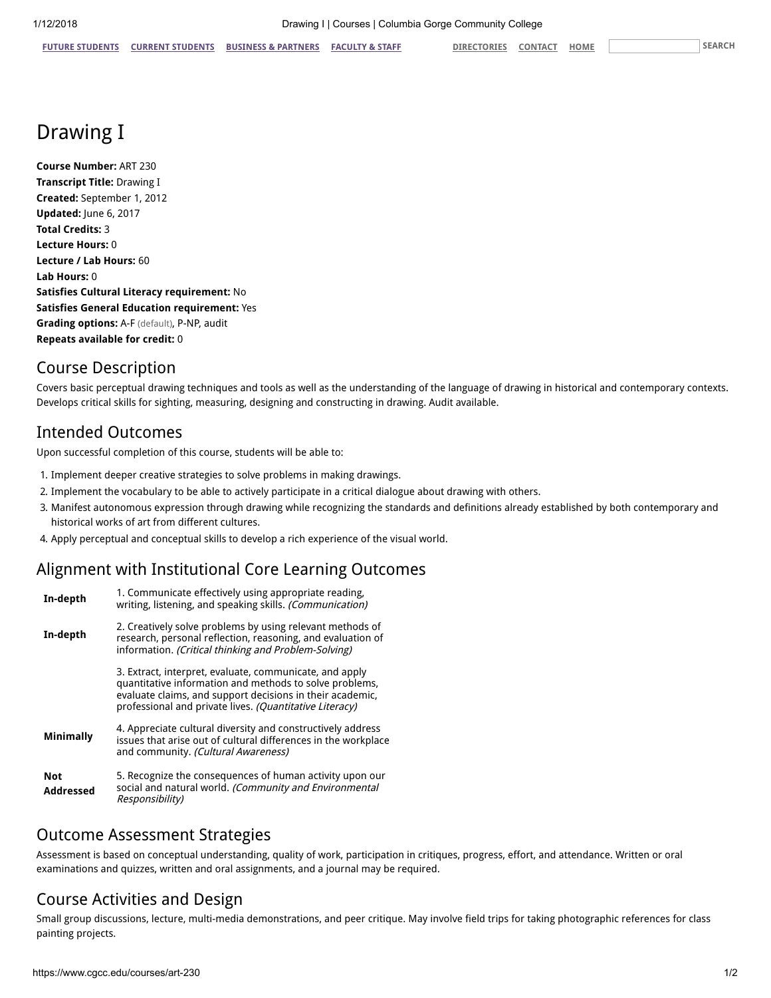# Drawing I

Course Number: ART 230 Transcript Title: Drawing I Created: September 1, 2012 Updated: June 6, 2017 Total Credits: 3 Lecture Hours: 0 Lecture / Lab Hours: 60 Lab Hours: 0 Satisfies Cultural Literacy requirement: No Satisfies General Education requirement: Yes Grading options: A-F (default), P-NP, audit Repeats available for credit: 0

# Course Description

Covers basic perceptual drawing techniques and tools as well as the understanding of the language of drawing in historical and contemporary contexts. Develops critical skills for sighting, measuring, designing and constructing in drawing. Audit available.

# Intended Outcomes

Upon successful completion of this course, students will be able to:

- 1. Implement deeper creative strategies to solve problems in making drawings.
- 2. Implement the vocabulary to be able to actively participate in a critical dialogue about drawing with others.
- 3. Manifest autonomous expression through drawing while recognizing the standards and definitions already established by both contemporary and historical works of art from different cultures.
- 4. Apply perceptual and conceptual skills to develop a rich experience of the visual world.

# Alignment with Institutional Core Learning Outcomes

| In-depth                | 1. Communicate effectively using appropriate reading.<br>writing, listening, and speaking skills. (Communication)                                                                                                                          |  |
|-------------------------|--------------------------------------------------------------------------------------------------------------------------------------------------------------------------------------------------------------------------------------------|--|
| In-depth                | 2. Creatively solve problems by using relevant methods of<br>research, personal reflection, reasoning, and evaluation of<br>information. (Critical thinking and Problem-Solving)                                                           |  |
|                         | 3. Extract, interpret, evaluate, communicate, and apply<br>quantitative information and methods to solve problems,<br>evaluate claims, and support decisions in their academic,<br>professional and private lives. (Quantitative Literacy) |  |
| <b>Minimally</b>        | 4. Appreciate cultural diversity and constructively address<br>issues that arise out of cultural differences in the workplace<br>and community. (Cultural Awareness)                                                                       |  |
| <b>Not</b><br>Addressed | 5. Recognize the consequences of human activity upon our<br>social and natural world. (Community and Environmental<br>Responsibility)                                                                                                      |  |

## Outcome Assessment Strategies

Assessment is based on conceptual understanding, quality of work, participation in critiques, progress, effort, and attendance. Written or oral examinations and quizzes, written and oral assignments, and a journal may be required.

# Course Activities and Design

Small group discussions, lecture, multi-media demonstrations, and peer critique. May involve field trips for taking photographic references for class painting projects.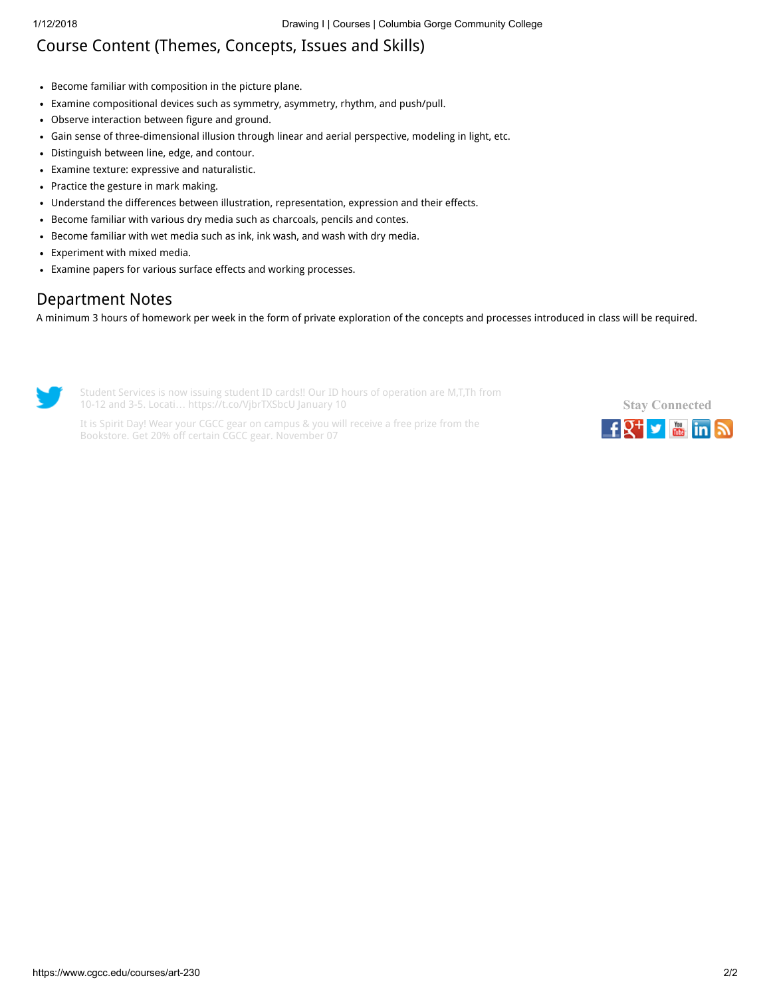# Course Content (Themes, Concepts, Issues and Skills)

- Become familiar with composition in the picture plane.
- Examine compositional devices such as symmetry, asymmetry, rhythm, and push/pull.
- Observe interaction between figure and ground.
- Gain sense of three-dimensional illusion through linear and aerial perspective, modeling in light, etc.
- Distinguish between line, edge, and contour.
- Examine texture: expressive and naturalistic.
- Practice the gesture in mark making.
- Understand the differences between illustration, representation, expression and their effects.
- Become familiar with various dry media such as charcoals, pencils and contes.
- Become familiar with wet media such as ink, ink wash, and wash with dry media.
- Experiment with mixed media.
- Examine papers for various surface effects and working processes.

# Department Notes

A minimum 3 hours of homework per week in the form of private exploration of the concepts and processes introduced in class will be required.



Student Services is now issuing student ID cards!! Our ID hours of operation are M,T,Th from 10-12 and 3-5. Locati… <https://t.co/VjbrTXSbcU> January 10

It is Spirit Day! Wear your CGCC gear on campus & you will receive a free prize from the Bookstore. Get 20% off certain CGCC gear. November 07

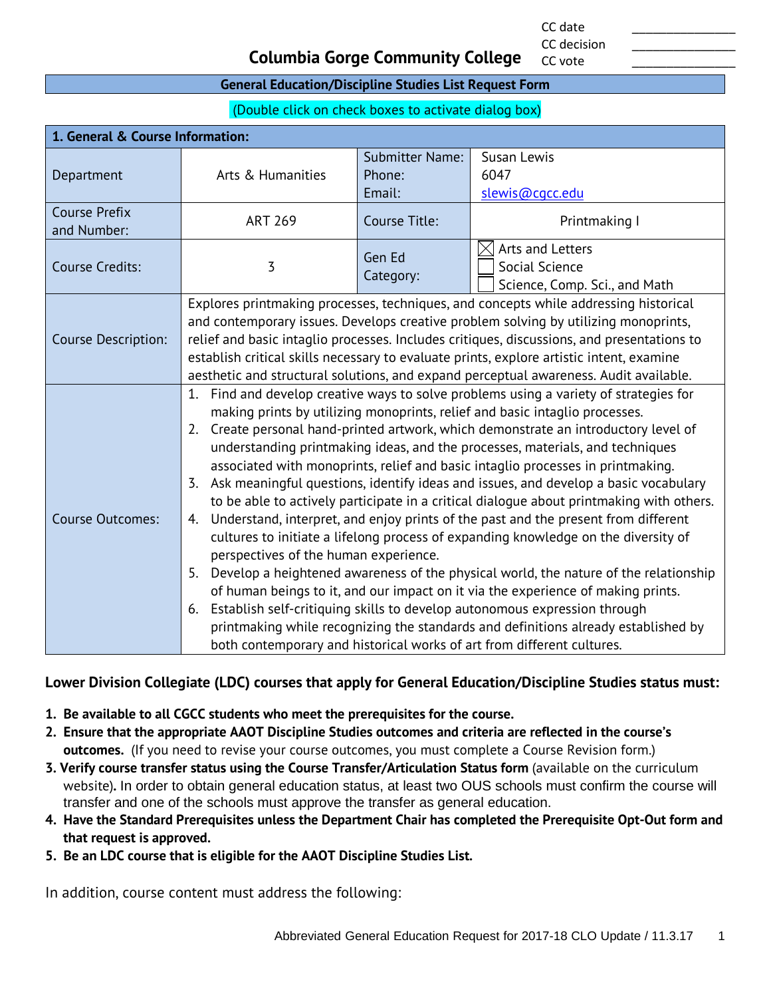CC date \_\_\_\_\_\_\_\_\_\_\_\_\_\_\_ CC decision

CC vote

#### **Columbia Gorge Community College**

#### **General Education/Discipline Studies List Request Form**

(Double click on check boxes to activate dialog box)

| 1. General & Course Information:    |                                                                                                                                                                       |                        |                               |  |  |  |
|-------------------------------------|-----------------------------------------------------------------------------------------------------------------------------------------------------------------------|------------------------|-------------------------------|--|--|--|
|                                     |                                                                                                                                                                       | <b>Submitter Name:</b> | Susan Lewis                   |  |  |  |
| Department                          | Arts & Humanities                                                                                                                                                     | Phone:                 | 6047                          |  |  |  |
|                                     |                                                                                                                                                                       | Email:                 | slewis@cqcc.edu               |  |  |  |
| <b>Course Prefix</b><br>and Number: | <b>ART 269</b>                                                                                                                                                        | Course Title:          | Printmaking I                 |  |  |  |
| <b>Course Credits:</b>              |                                                                                                                                                                       | Gen Ed                 | Arts and Letters              |  |  |  |
|                                     | $\overline{3}$                                                                                                                                                        | Category:              | Social Science                |  |  |  |
|                                     |                                                                                                                                                                       |                        | Science, Comp. Sci., and Math |  |  |  |
|                                     | Explores printmaking processes, techniques, and concepts while addressing historical                                                                                  |                        |                               |  |  |  |
|                                     | and contemporary issues. Develops creative problem solving by utilizing monoprints,                                                                                   |                        |                               |  |  |  |
| <b>Course Description:</b>          | relief and basic intaglio processes. Includes critiques, discussions, and presentations to                                                                            |                        |                               |  |  |  |
|                                     | establish critical skills necessary to evaluate prints, explore artistic intent, examine                                                                              |                        |                               |  |  |  |
|                                     | aesthetic and structural solutions, and expand perceptual awareness. Audit available.                                                                                 |                        |                               |  |  |  |
|                                     | 1. Find and develop creative ways to solve problems using a variety of strategies for                                                                                 |                        |                               |  |  |  |
|                                     | making prints by utilizing monoprints, relief and basic intaglio processes.<br>Create personal hand-printed artwork, which demonstrate an introductory level of<br>2. |                        |                               |  |  |  |
|                                     | understanding printmaking ideas, and the processes, materials, and techniques                                                                                         |                        |                               |  |  |  |
|                                     | associated with monoprints, relief and basic intaglio processes in printmaking.                                                                                       |                        |                               |  |  |  |
|                                     | 3. Ask meaningful questions, identify ideas and issues, and develop a basic vocabulary                                                                                |                        |                               |  |  |  |
|                                     | to be able to actively participate in a critical dialogue about printmaking with others.                                                                              |                        |                               |  |  |  |
| <b>Course Outcomes:</b>             | Understand, interpret, and enjoy prints of the past and the present from different<br>4.                                                                              |                        |                               |  |  |  |
|                                     | cultures to initiate a lifelong process of expanding knowledge on the diversity of                                                                                    |                        |                               |  |  |  |
|                                     | perspectives of the human experience.                                                                                                                                 |                        |                               |  |  |  |
|                                     | Develop a heightened awareness of the physical world, the nature of the relationship<br>5.                                                                            |                        |                               |  |  |  |
|                                     | of human beings to it, and our impact on it via the experience of making prints.                                                                                      |                        |                               |  |  |  |
|                                     | Establish self-critiquing skills to develop autonomous expression through<br>6.                                                                                       |                        |                               |  |  |  |
|                                     | printmaking while recognizing the standards and definitions already established by                                                                                    |                        |                               |  |  |  |
|                                     | both contemporary and historical works of art from different cultures.                                                                                                |                        |                               |  |  |  |

#### **Lower Division Collegiate (LDC) courses that apply for General Education/Discipline Studies status must:**

- **1. Be available to all CGCC students who meet the prerequisites for the course.**
- **2. Ensure that the appropriate AAOT Discipline Studies outcomes and criteria are reflected in the course's outcomes.** (If you need to revise your course outcomes, you must complete a Course Revision form.)
- **3. Verify course transfer status using the Course Transfer/Articulation Status form** (available on the curriculum website)**.** In order to obtain general education status, at least two OUS schools must confirm the course will transfer and one of the schools must approve the transfer as general education.
- **4. Have the Standard Prerequisites unless the Department Chair has completed the Prerequisite Opt-Out form and that request is approved.**
- **5. Be an LDC course that is eligible for the AAOT Discipline Studies List.**

In addition, course content must address the following: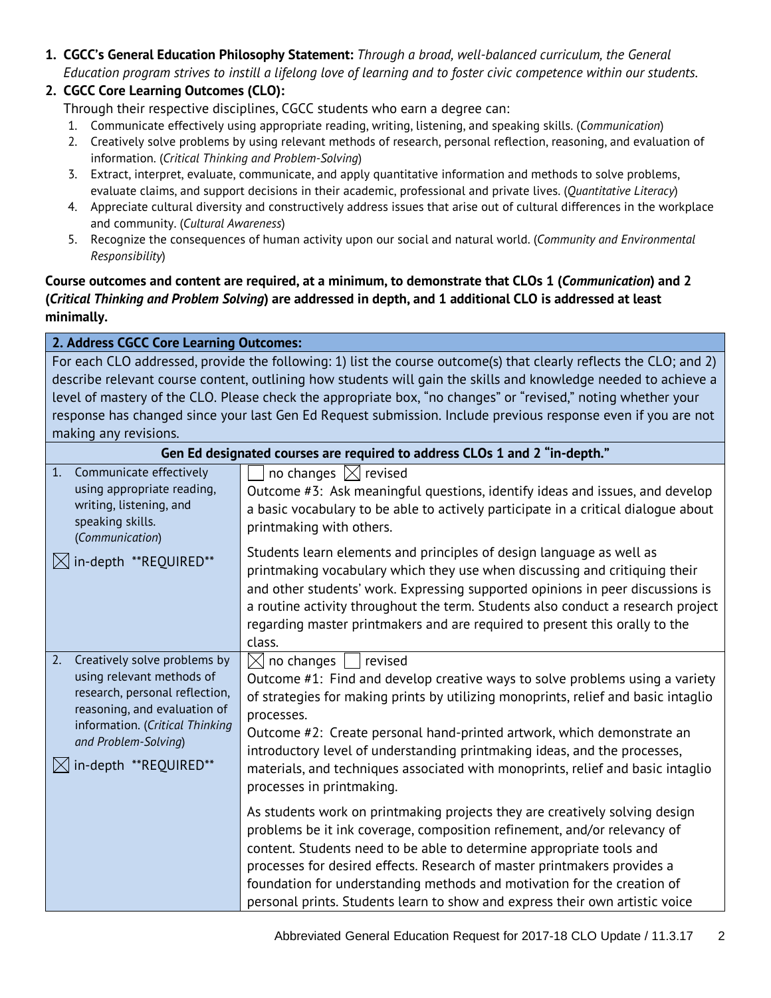**1. CGCC's General Education Philosophy Statement:** *Through a broad, well-balanced curriculum, the General Education program strives to instill a lifelong love of learning and to foster civic competence within our students.*

#### **2. CGCC Core Learning Outcomes (CLO):**

Through their respective disciplines, CGCC students who earn a degree can:

- 1. Communicate effectively using appropriate reading, writing, listening, and speaking skills. (*Communication*)
- 2. Creatively solve problems by using relevant methods of research, personal reflection, reasoning, and evaluation of information. (*Critical Thinking and Problem-Solving*)
- 3. Extract, interpret, evaluate, communicate, and apply quantitative information and methods to solve problems, evaluate claims, and support decisions in their academic, professional and private lives. (*Quantitative Literacy*)
- 4. Appreciate cultural diversity and constructively address issues that arise out of cultural differences in the workplace and community. (*Cultural Awareness*)
- 5. Recognize the consequences of human activity upon our social and natural world. (*Community and Environmental Responsibility*)

#### **Course outcomes and content are required, at a minimum, to demonstrate that CLOs 1 (***Communication***) and 2 (***Critical Thinking and Problem Solving***) are addressed in depth, and 1 additional CLO is addressed at least minimally.**

| 2. Address CGCC Core Learning Outcomes:                                                                                                                                                                               |                                                                                                                                                                                                                                                                                                                                                                                                                                                                                              |  |
|-----------------------------------------------------------------------------------------------------------------------------------------------------------------------------------------------------------------------|----------------------------------------------------------------------------------------------------------------------------------------------------------------------------------------------------------------------------------------------------------------------------------------------------------------------------------------------------------------------------------------------------------------------------------------------------------------------------------------------|--|
| For each CLO addressed, provide the following: 1) list the course outcome(s) that clearly reflects the CLO; and 2)                                                                                                    |                                                                                                                                                                                                                                                                                                                                                                                                                                                                                              |  |
|                                                                                                                                                                                                                       | describe relevant course content, outlining how students will gain the skills and knowledge needed to achieve a                                                                                                                                                                                                                                                                                                                                                                              |  |
|                                                                                                                                                                                                                       | level of mastery of the CLO. Please check the appropriate box, "no changes" or "revised," noting whether your                                                                                                                                                                                                                                                                                                                                                                                |  |
|                                                                                                                                                                                                                       | response has changed since your last Gen Ed Request submission. Include previous response even if you are not                                                                                                                                                                                                                                                                                                                                                                                |  |
| making any revisions.                                                                                                                                                                                                 |                                                                                                                                                                                                                                                                                                                                                                                                                                                                                              |  |
|                                                                                                                                                                                                                       | Gen Ed designated courses are required to address CLOs 1 and 2 "in-depth."                                                                                                                                                                                                                                                                                                                                                                                                                   |  |
| Communicate effectively<br>1.<br>using appropriate reading,<br>writing, listening, and<br>speaking skills.<br>(Communication)                                                                                         | no changes $\boxtimes$ revised<br>Outcome #3: Ask meaningful questions, identify ideas and issues, and develop<br>a basic vocabulary to be able to actively participate in a critical dialogue about<br>printmaking with others.                                                                                                                                                                                                                                                             |  |
| in-depth **REQUIRED**                                                                                                                                                                                                 | Students learn elements and principles of design language as well as<br>printmaking vocabulary which they use when discussing and critiquing their<br>and other students' work. Expressing supported opinions in peer discussions is<br>a routine activity throughout the term. Students also conduct a research project<br>regarding master printmakers and are required to present this orally to the<br>class.                                                                            |  |
| 2.<br>Creatively solve problems by<br>using relevant methods of<br>research, personal reflection,<br>reasoning, and evaluation of<br>information. (Critical Thinking<br>and Problem-Solving)<br>in-depth **REQUIRED** | $\boxtimes$ no changes<br>revised<br>Outcome #1: Find and develop creative ways to solve problems using a variety<br>of strategies for making prints by utilizing monoprints, relief and basic intaglio<br>processes.<br>Outcome #2: Create personal hand-printed artwork, which demonstrate an<br>introductory level of understanding printmaking ideas, and the processes,<br>materials, and techniques associated with monoprints, relief and basic intaglio<br>processes in printmaking. |  |
|                                                                                                                                                                                                                       | As students work on printmaking projects they are creatively solving design<br>problems be it ink coverage, composition refinement, and/or relevancy of<br>content. Students need to be able to determine appropriate tools and<br>processes for desired effects. Research of master printmakers provides a<br>foundation for understanding methods and motivation for the creation of<br>personal prints. Students learn to show and express their own artistic voice                       |  |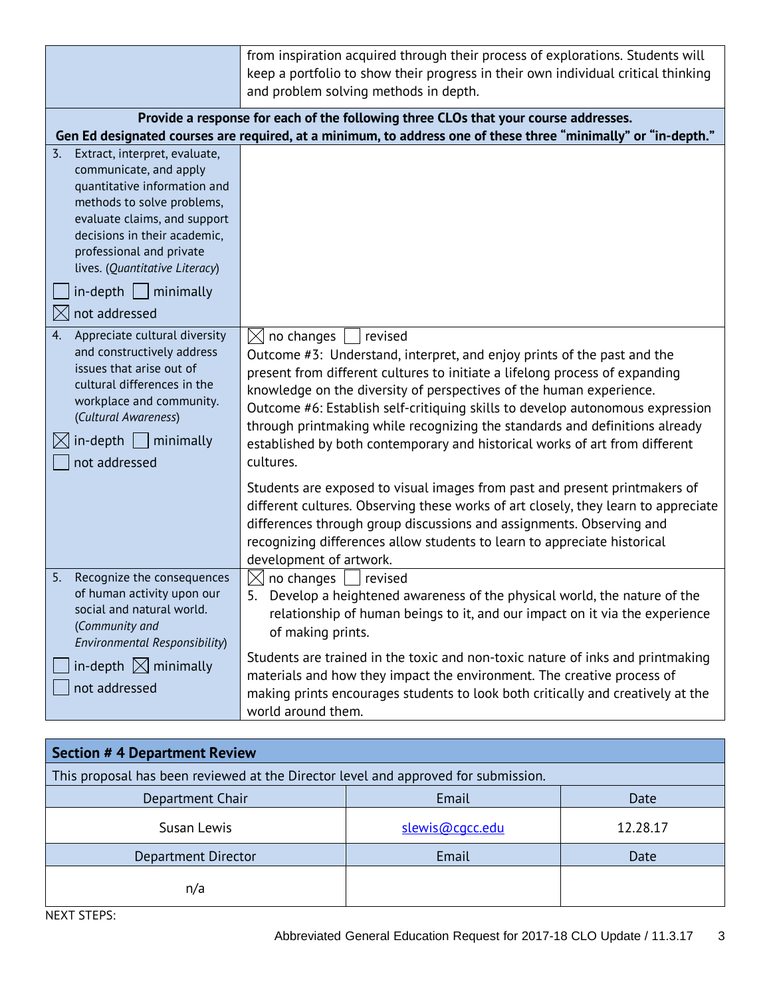|                                                                                                                                                                                                                                                                                                                             | from inspiration acquired through their process of explorations. Students will<br>keep a portfolio to show their progress in their own individual critical thinking<br>and problem solving methods in depth.                                                                                                                                                                                                                                                                                                                   |
|-----------------------------------------------------------------------------------------------------------------------------------------------------------------------------------------------------------------------------------------------------------------------------------------------------------------------------|--------------------------------------------------------------------------------------------------------------------------------------------------------------------------------------------------------------------------------------------------------------------------------------------------------------------------------------------------------------------------------------------------------------------------------------------------------------------------------------------------------------------------------|
|                                                                                                                                                                                                                                                                                                                             | Provide a response for each of the following three CLOs that your course addresses.<br>Gen Ed designated courses are required, at a minimum, to address one of these three "minimally" or "in-depth."                                                                                                                                                                                                                                                                                                                          |
| Extract, interpret, evaluate,<br>$\overline{3}$ .<br>communicate, and apply<br>quantitative information and<br>methods to solve problems,<br>evaluate claims, and support<br>decisions in their academic,<br>professional and private<br>lives. (Quantitative Literacy)<br>$in$ -depth     minimally<br>not addressed<br>IX |                                                                                                                                                                                                                                                                                                                                                                                                                                                                                                                                |
| 4.<br>Appreciate cultural diversity<br>and constructively address<br>issues that arise out of<br>cultural differences in the<br>workplace and community.<br>(Cultural Awareness)<br>in-depth<br>minimally<br>not addressed                                                                                                  | $\boxtimes$ no changes<br>revised<br>Outcome #3: Understand, interpret, and enjoy prints of the past and the<br>present from different cultures to initiate a lifelong process of expanding<br>knowledge on the diversity of perspectives of the human experience.<br>Outcome #6: Establish self-critiquing skills to develop autonomous expression<br>through printmaking while recognizing the standards and definitions already<br>established by both contemporary and historical works of art from different<br>cultures. |
|                                                                                                                                                                                                                                                                                                                             | Students are exposed to visual images from past and present printmakers of<br>different cultures. Observing these works of art closely, they learn to appreciate<br>differences through group discussions and assignments. Observing and<br>recognizing differences allow students to learn to appreciate historical<br>development of artwork.                                                                                                                                                                                |
| Recognize the consequences<br>5.<br>of human activity upon our<br>social and natural world.<br>(Community and<br>Environmental Responsibility)                                                                                                                                                                              | $\boxtimes$ no changes  <br>  revised<br>Develop a heightened awareness of the physical world, the nature of the<br>5.<br>relationship of human beings to it, and our impact on it via the experience<br>of making prints.                                                                                                                                                                                                                                                                                                     |
| in-depth $\boxtimes$ minimally<br>not addressed                                                                                                                                                                                                                                                                             | Students are trained in the toxic and non-toxic nature of inks and printmaking<br>materials and how they impact the environment. The creative process of<br>making prints encourages students to look both critically and creatively at the<br>world around them.                                                                                                                                                                                                                                                              |

| <b>Section #4 Department Review</b>                                                |                 |          |  |
|------------------------------------------------------------------------------------|-----------------|----------|--|
| This proposal has been reviewed at the Director level and approved for submission. |                 |          |  |
| Department Chair                                                                   | Email           | Date     |  |
| Susan Lewis                                                                        | slewis@cacc.edu | 12.28.17 |  |
| Department Director                                                                | Email           | Date     |  |
| n/a                                                                                |                 |          |  |

NEXT STEPS: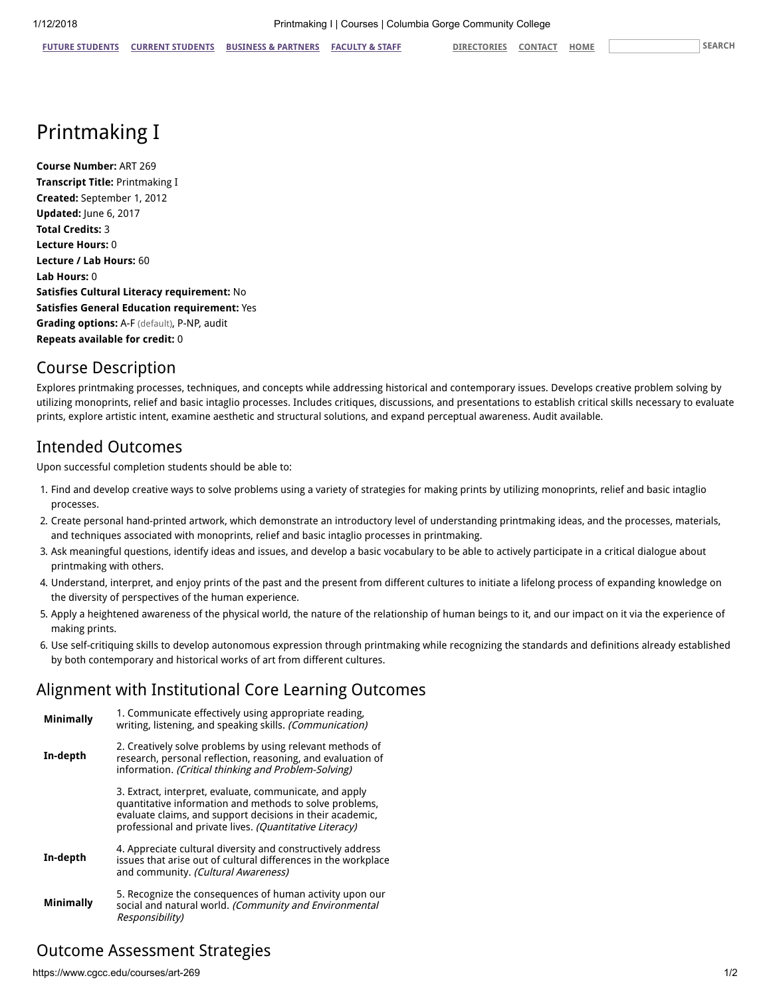# Printmaking I

Course Number: ART 269 Transcript Title: Printmaking I Created: September 1, 2012 Updated: June 6, 2017 Total Credits: 3 Lecture Hours: 0 Lecture / Lab Hours: 60 Lab Hours: 0 Satisfies Cultural Literacy requirement: No Satisfies General Education requirement: Yes Grading options: A-F (default), P-NP, audit Repeats available for credit: 0

#### Course Description

Explores printmaking processes, techniques, and concepts while addressing historical and contemporary issues. Develops creative problem solving by utilizing monoprints, relief and basic intaglio processes. Includes critiques, discussions, and presentations to establish critical skills necessary to evaluate prints, explore artistic intent, examine aesthetic and structural solutions, and expand perceptual awareness. Audit available.

## Intended Outcomes

Upon successful completion students should be able to:

- 1. Find and develop creative ways to solve problems using a variety of strategies for making prints by utilizing monoprints, relief and basic intaglio processes.
- 2. Create personal hand-printed artwork, which demonstrate an introductory level of understanding printmaking ideas, and the processes, materials, and techniques associated with monoprints, relief and basic intaglio processes in printmaking.
- 3. Ask meaningful questions, identify ideas and issues, and develop a basic vocabulary to be able to actively participate in a critical dialogue about printmaking with others.
- 4. Understand, interpret, and enjoy prints of the past and the present from different cultures to initiate a lifelong process of expanding knowledge on the diversity of perspectives of the human experience.
- 5. Apply a heightened awareness of the physical world, the nature of the relationship of human beings to it, and our impact on it via the experience of making prints.
- 6. Use self-critiquing skills to develop autonomous expression through printmaking while recognizing the standards and definitions already established by both contemporary and historical works of art from different cultures.

#### Alignment with Institutional Core Learning Outcomes

| <b>Minimally</b> | 1. Communicate effectively using appropriate reading,<br>writing, listening, and speaking skills. (Communication)                                                                                                                          |
|------------------|--------------------------------------------------------------------------------------------------------------------------------------------------------------------------------------------------------------------------------------------|
| In-depth         | 2. Creatively solve problems by using relevant methods of<br>research, personal reflection, reasoning, and evaluation of<br>information. (Critical thinking and Problem-Solving)                                                           |
|                  | 3. Extract, interpret, evaluate, communicate, and apply<br>quantitative information and methods to solve problems,<br>evaluate claims, and support decisions in their academic,<br>professional and private lives. (Quantitative Literacy) |
| In-depth         | 4. Appreciate cultural diversity and constructively address<br>issues that arise out of cultural differences in the workplace<br>and community. (Cultural Awareness)                                                                       |
| <b>Minimally</b> | 5. Recognize the consequences of human activity upon our<br>social and natural world. (Community and Environmental<br>Responsibility)                                                                                                      |

### Outcome Assessment Strategies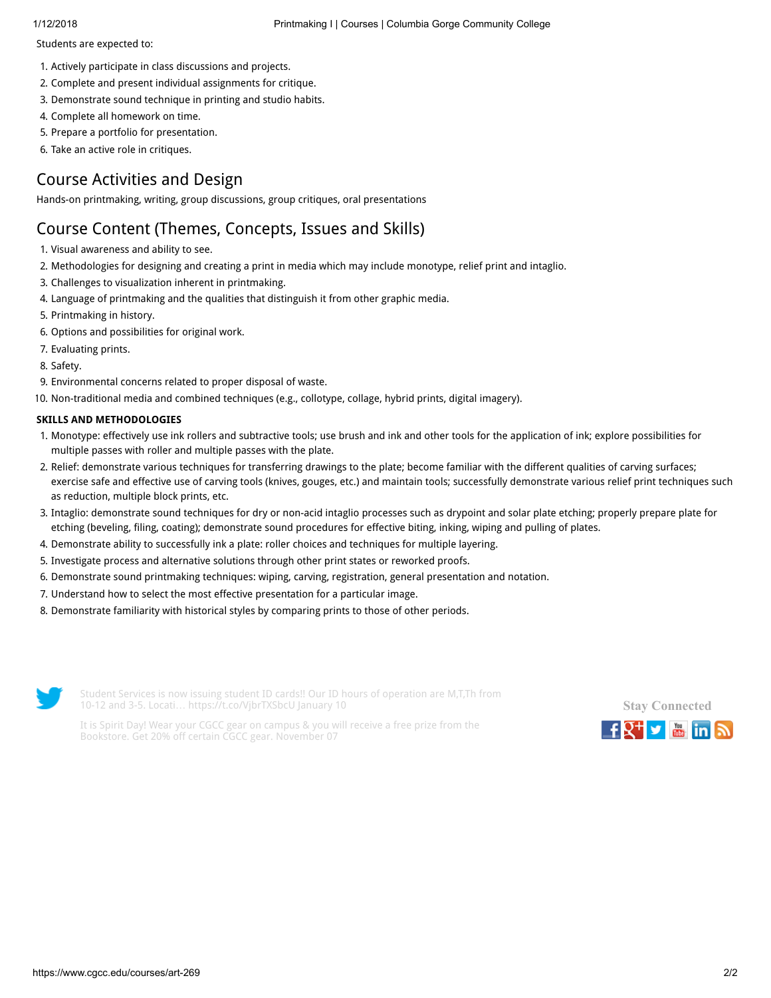Students are expected to:

- 1. Actively participate in class discussions and projects.
- 2. Complete and present individual assignments for critique.
- 3. Demonstrate sound technique in printing and studio habits.
- 4. Complete all homework on time.
- 5. Prepare a portfolio for presentation.
- 6. Take an active role in critiques.

## Course Activities and Design

Hands-on printmaking, writing, group discussions, group critiques, oral presentations

## Course Content (Themes, Concepts, Issues and Skills)

- 1. Visual awareness and ability to see.
- 2. Methodologies for designing and creating a print in media which may include monotype, relief print and intaglio.
- 3. Challenges to visualization inherent in printmaking.
- 4. Language of printmaking and the qualities that distinguish it from other graphic media.
- 5. Printmaking in history.
- 6. Options and possibilities for original work.
- 7. Evaluating prints.
- 8. Safety.
- 9. Environmental concerns related to proper disposal of waste.
- 10. Non-traditional media and combined techniques (e.g., collotype, collage, hybrid prints, digital imagery).

#### SKILLS AND METHODOLOGIES

- 1. Monotype: effectively use ink rollers and subtractive tools; use brush and ink and other tools for the application of ink; explore possibilities for multiple passes with roller and multiple passes with the plate.
- 2. Relief: demonstrate various techniques for transferring drawings to the plate; become familiar with the different qualities of carving surfaces; exercise safe and effective use of carving tools (knives, gouges, etc.) and maintain tools; successfully demonstrate various relief print techniques such as reduction, multiple block prints, etc.
- 3. Intaglio: demonstrate sound techniques for dry or non-acid intaglio processes such as drypoint and solar plate etching; properly prepare plate for etching (beveling, filing, coating); demonstrate sound procedures for effective biting, inking, wiping and pulling of plates.
- 4. Demonstrate ability to successfully ink a plate: roller choices and techniques for multiple layering.
- 5. Investigate process and alternative solutions through other print states or reworked proofs.
- 6. Demonstrate sound printmaking techniques: wiping, carving, registration, general presentation and notation.
- 7. Understand how to select the most effective presentation for a particular image.
- 8. Demonstrate familiarity with historical styles by comparing prints to those of other periods.



Student Services is now issuing student ID cards!! Our ID hours of operation are M,T,Th from 10-12 and 3-5. Locati… <https://t.co/VjbrTXSbcU> January 10



It is Spirit Day! Wear your CGCC gear on campus & you will receive a free prize from the Bookstore. Get 20% off certain CGCC gear. November 07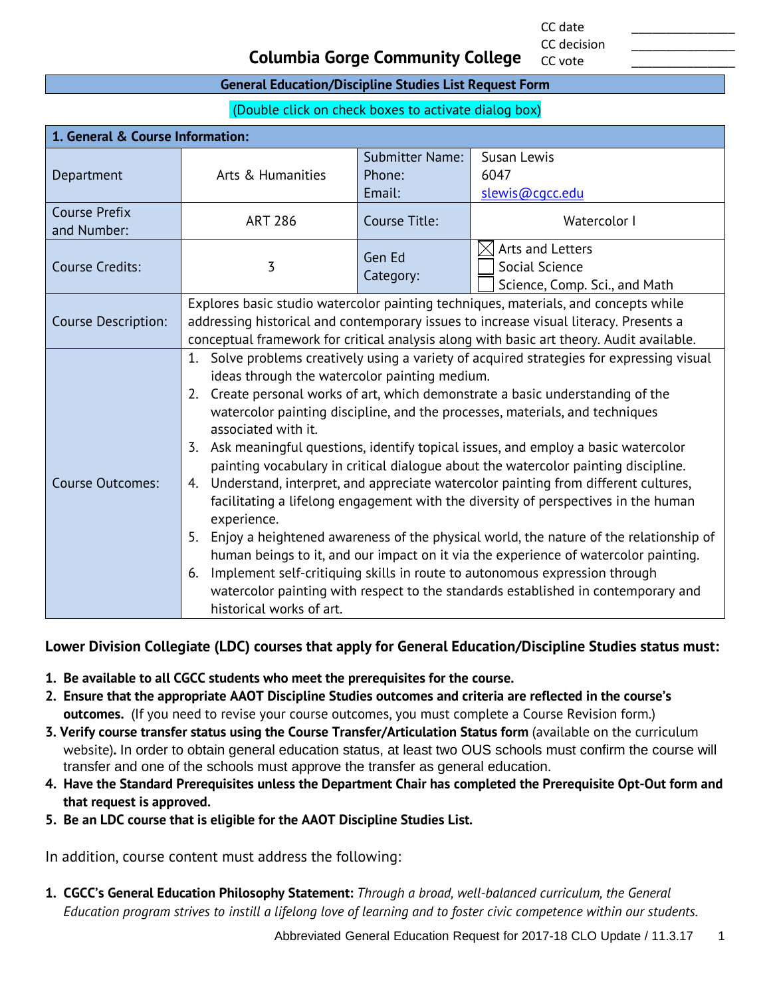CC date \_\_\_\_\_\_\_\_\_\_\_\_\_\_\_ CC decision

CC vote

#### **Columbia Gorge Community College**

#### **General Education/Discipline Studies List Request Form**

(Double click on check boxes to activate dialog box)

| 1. General & Course Information:    |                                                                                                                                                                                                                                                                                                                                                                                                                                                                                                                                                                                                                                                                                                                                                                                                                                                                                                                                                                                                                                                                                                                                                                                        |                     |                                                                     |
|-------------------------------------|----------------------------------------------------------------------------------------------------------------------------------------------------------------------------------------------------------------------------------------------------------------------------------------------------------------------------------------------------------------------------------------------------------------------------------------------------------------------------------------------------------------------------------------------------------------------------------------------------------------------------------------------------------------------------------------------------------------------------------------------------------------------------------------------------------------------------------------------------------------------------------------------------------------------------------------------------------------------------------------------------------------------------------------------------------------------------------------------------------------------------------------------------------------------------------------|---------------------|---------------------------------------------------------------------|
|                                     |                                                                                                                                                                                                                                                                                                                                                                                                                                                                                                                                                                                                                                                                                                                                                                                                                                                                                                                                                                                                                                                                                                                                                                                        | Submitter Name:     | Susan Lewis                                                         |
| Department                          | Arts & Humanities                                                                                                                                                                                                                                                                                                                                                                                                                                                                                                                                                                                                                                                                                                                                                                                                                                                                                                                                                                                                                                                                                                                                                                      | Phone:              | 6047                                                                |
|                                     |                                                                                                                                                                                                                                                                                                                                                                                                                                                                                                                                                                                                                                                                                                                                                                                                                                                                                                                                                                                                                                                                                                                                                                                        | Email:              | slewis@cqcc.edu                                                     |
| <b>Course Prefix</b><br>and Number: | <b>ART 286</b>                                                                                                                                                                                                                                                                                                                                                                                                                                                                                                                                                                                                                                                                                                                                                                                                                                                                                                                                                                                                                                                                                                                                                                         | Course Title:       | Watercolor I                                                        |
| <b>Course Credits:</b>              | 3                                                                                                                                                                                                                                                                                                                                                                                                                                                                                                                                                                                                                                                                                                                                                                                                                                                                                                                                                                                                                                                                                                                                                                                      | Gen Ed<br>Category: | Arts and Letters<br>Social Science<br>Science, Comp. Sci., and Math |
| Course Description:                 | Explores basic studio watercolor painting techniques, materials, and concepts while<br>addressing historical and contemporary issues to increase visual literacy. Presents a                                                                                                                                                                                                                                                                                                                                                                                                                                                                                                                                                                                                                                                                                                                                                                                                                                                                                                                                                                                                           |                     |                                                                     |
| <b>Course Outcomes:</b>             | conceptual framework for critical analysis along with basic art theory. Audit available.<br>Solve problems creatively using a variety of acquired strategies for expressing visual<br>1.<br>ideas through the watercolor painting medium.<br>Create personal works of art, which demonstrate a basic understanding of the<br>2.<br>watercolor painting discipline, and the processes, materials, and techniques<br>associated with it.<br>Ask meaningful questions, identify topical issues, and employ a basic watercolor<br>3.<br>painting vocabulary in critical dialogue about the watercolor painting discipline.<br>Understand, interpret, and appreciate watercolor painting from different cultures,<br>4.<br>facilitating a lifelong engagement with the diversity of perspectives in the human<br>experience.<br>Enjoy a heightened awareness of the physical world, the nature of the relationship of<br>5.<br>human beings to it, and our impact on it via the experience of watercolor painting.<br>Implement self-critiquing skills in route to autonomous expression through<br>6.<br>watercolor painting with respect to the standards established in contemporary and |                     |                                                                     |

#### **Lower Division Collegiate (LDC) courses that apply for General Education/Discipline Studies status must:**

- **1. Be available to all CGCC students who meet the prerequisites for the course.**
- **2. Ensure that the appropriate AAOT Discipline Studies outcomes and criteria are reflected in the course's outcomes.** (If you need to revise your course outcomes, you must complete a Course Revision form.)
- **3. Verify course transfer status using the Course Transfer/Articulation Status form** (available on the curriculum website)**.** In order to obtain general education status, at least two OUS schools must confirm the course will transfer and one of the schools must approve the transfer as general education.
- **4. Have the Standard Prerequisites unless the Department Chair has completed the Prerequisite Opt-Out form and that request is approved.**
- **5. Be an LDC course that is eligible for the AAOT Discipline Studies List.**

In addition, course content must address the following:

**1. CGCC's General Education Philosophy Statement:** *Through a broad, well-balanced curriculum, the General Education program strives to instill a lifelong love of learning and to foster civic competence within our students.*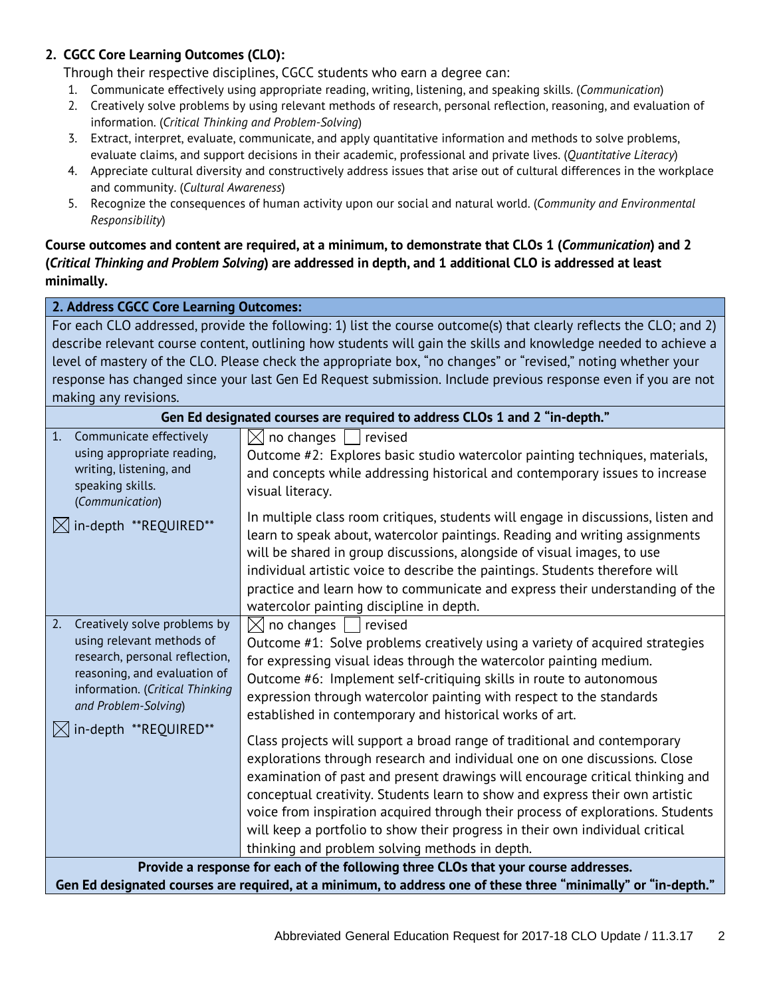#### **2. CGCC Core Learning Outcomes (CLO):**

Through their respective disciplines, CGCC students who earn a degree can:

- 1. Communicate effectively using appropriate reading, writing, listening, and speaking skills. (*Communication*)
- 2. Creatively solve problems by using relevant methods of research, personal reflection, reasoning, and evaluation of information. (*Critical Thinking and Problem-Solving*)
- 3. Extract, interpret, evaluate, communicate, and apply quantitative information and methods to solve problems, evaluate claims, and support decisions in their academic, professional and private lives. (*Quantitative Literacy*)
- 4. Appreciate cultural diversity and constructively address issues that arise out of cultural differences in the workplace and community. (*Cultural Awareness*)
- 5. Recognize the consequences of human activity upon our social and natural world. (*Community and Environmental Responsibility*)

#### **Course outcomes and content are required, at a minimum, to demonstrate that CLOs 1 (***Communication***) and 2 (***Critical Thinking and Problem Solving***) are addressed in depth, and 1 additional CLO is addressed at least minimally.**

**2. Address CGCC Core Learning Outcomes:**

For each CLO addressed, provide the following: 1) list the course outcome(s) that clearly reflects the CLO; and 2) describe relevant course content, outlining how students will gain the skills and knowledge needed to achieve a level of mastery of the CLO. Please check the appropriate box, "no changes" or "revised," noting whether your response has changed since your last Gen Ed Request submission. Include previous response even if you are not making any revisions.

| Gen Ed designated courses are required to address CLOs 1 and 2 "in-depth."                                                                                                                   |                                                                                                                                                                                                                                                                                                                                                                                                                                                                                                                                                |  |
|----------------------------------------------------------------------------------------------------------------------------------------------------------------------------------------------|------------------------------------------------------------------------------------------------------------------------------------------------------------------------------------------------------------------------------------------------------------------------------------------------------------------------------------------------------------------------------------------------------------------------------------------------------------------------------------------------------------------------------------------------|--|
| 1.<br>Communicate effectively<br>using appropriate reading,<br>writing, listening, and<br>speaking skills.<br>(Communication)                                                                | no changes<br>$\boxtimes$<br>revised<br>Outcome #2: Explores basic studio watercolor painting techniques, materials,<br>and concepts while addressing historical and contemporary issues to increase<br>visual literacy.                                                                                                                                                                                                                                                                                                                       |  |
| $\boxtimes$ in-depth **REQUIRED**                                                                                                                                                            | In multiple class room critiques, students will engage in discussions, listen and<br>learn to speak about, watercolor paintings. Reading and writing assignments<br>will be shared in group discussions, alongside of visual images, to use<br>individual artistic voice to describe the paintings. Students therefore will<br>practice and learn how to communicate and express their understanding of the<br>watercolor painting discipline in depth.                                                                                        |  |
| Creatively solve problems by<br>2.<br>using relevant methods of<br>research, personal reflection,<br>reasoning, and evaluation of<br>information. (Critical Thinking<br>and Problem-Solving) | $\boxtimes$ no changes  <br>revised<br>Outcome #1: Solve problems creatively using a variety of acquired strategies<br>for expressing visual ideas through the watercolor painting medium.<br>Outcome #6: Implement self-critiquing skills in route to autonomous<br>expression through watercolor painting with respect to the standards<br>established in contemporary and historical works of art.                                                                                                                                          |  |
| $\bowtie$ in-depth **REQUIRED**                                                                                                                                                              | Class projects will support a broad range of traditional and contemporary<br>explorations through research and individual one on one discussions. Close<br>examination of past and present drawings will encourage critical thinking and<br>conceptual creativity. Students learn to show and express their own artistic<br>voice from inspiration acquired through their process of explorations. Students<br>will keep a portfolio to show their progress in their own individual critical<br>thinking and problem solving methods in depth. |  |
| Provide a response for each of the following three CLOs that your course addresses.                                                                                                          |                                                                                                                                                                                                                                                                                                                                                                                                                                                                                                                                                |  |
|                                                                                                                                                                                              | Gen Ed designated courses are required, at a minimum, to address one of these three "minimally" or "in-depth."                                                                                                                                                                                                                                                                                                                                                                                                                                 |  |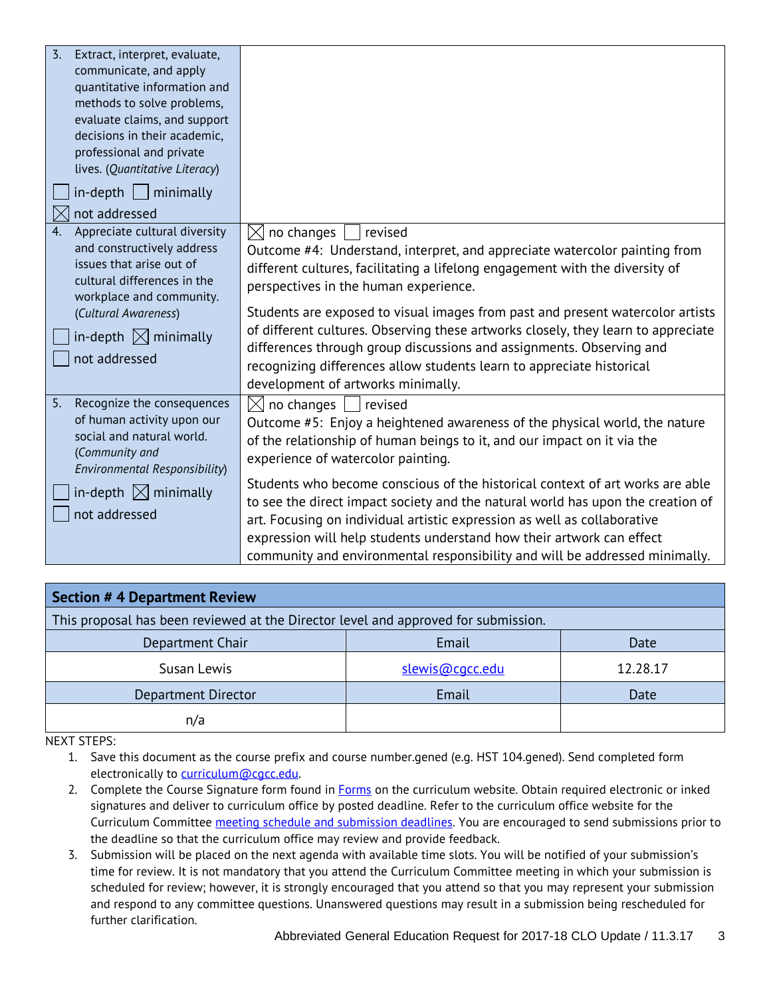| $\overline{3}$ .<br>Extract, interpret, evaluate,<br>communicate, and apply<br>quantitative information and<br>methods to solve problems,<br>evaluate claims, and support<br>decisions in their academic,<br>professional and private<br>lives. (Quantitative Literacy)<br>$in$ -depth     minimally<br>not addressed |                                                                                                                                                                                                                                                                                                                                                                                                                                                                                                                                                                                                                                          |
|-----------------------------------------------------------------------------------------------------------------------------------------------------------------------------------------------------------------------------------------------------------------------------------------------------------------------|------------------------------------------------------------------------------------------------------------------------------------------------------------------------------------------------------------------------------------------------------------------------------------------------------------------------------------------------------------------------------------------------------------------------------------------------------------------------------------------------------------------------------------------------------------------------------------------------------------------------------------------|
| Appreciate cultural diversity<br>4.<br>and constructively address<br>issues that arise out of<br>cultural differences in the<br>workplace and community.<br>(Cultural Awareness)<br>in-depth $\boxtimes$ minimally<br>not addressed                                                                                   | $\boxtimes$ no changes<br>revised<br>Outcome #4: Understand, interpret, and appreciate watercolor painting from<br>different cultures, facilitating a lifelong engagement with the diversity of<br>perspectives in the human experience.<br>Students are exposed to visual images from past and present watercolor artists<br>of different cultures. Observing these artworks closely, they learn to appreciate<br>differences through group discussions and assignments. Observing and<br>recognizing differences allow students learn to appreciate historical<br>development of artworks minimally.                                   |
| 5.<br>Recognize the consequences<br>of human activity upon our<br>social and natural world.<br>(Community and<br>Environmental Responsibility)<br>in-depth $\boxtimes$ minimally<br>not addressed                                                                                                                     | $\boxtimes$ no changes<br>revised<br>Outcome #5: Enjoy a heightened awareness of the physical world, the nature<br>of the relationship of human beings to it, and our impact on it via the<br>experience of watercolor painting.<br>Students who become conscious of the historical context of art works are able<br>to see the direct impact society and the natural world has upon the creation of<br>art. Focusing on individual artistic expression as well as collaborative<br>expression will help students understand how their artwork can effect<br>community and environmental responsibility and will be addressed minimally. |

| <b>Section # 4 Department Review</b>                                               |                 |          |  |
|------------------------------------------------------------------------------------|-----------------|----------|--|
| This proposal has been reviewed at the Director level and approved for submission. |                 |          |  |
| Department Chair                                                                   | Email           | Date     |  |
| Susan Lewis                                                                        | slewis@cgcc.edu | 12.28.17 |  |
| Department Director                                                                | Email           | Date     |  |
| n/a                                                                                |                 |          |  |

NEXT STEPS:

1. Save this document as the course prefix and course number.gened (e.g. HST 104.gened). Send completed form electronically to [curriculum@cgcc.edu.](mailto:curriculum@cgcc.edu)

- 2. Complete the Course Signature form found in **Forms** on the curriculum website. Obtain required electronic or inked signatures and deliver to curriculum office by posted deadline. Refer to the curriculum office website for the Curriculum Committee [meeting schedule and submission deadlines.](http://www.cgcc.cc.or.us/Academics/FacultyResources/cccalendar.cfm) You are encouraged to send submissions prior to the deadline so that the curriculum office may review and provide feedback.
- 3. Submission will be placed on the next agenda with available time slots. You will be notified of your submission's time for review. It is not mandatory that you attend the Curriculum Committee meeting in which your submission is scheduled for review; however, it is strongly encouraged that you attend so that you may represent your submission and respond to any committee questions. Unanswered questions may result in a submission being rescheduled for further clarification.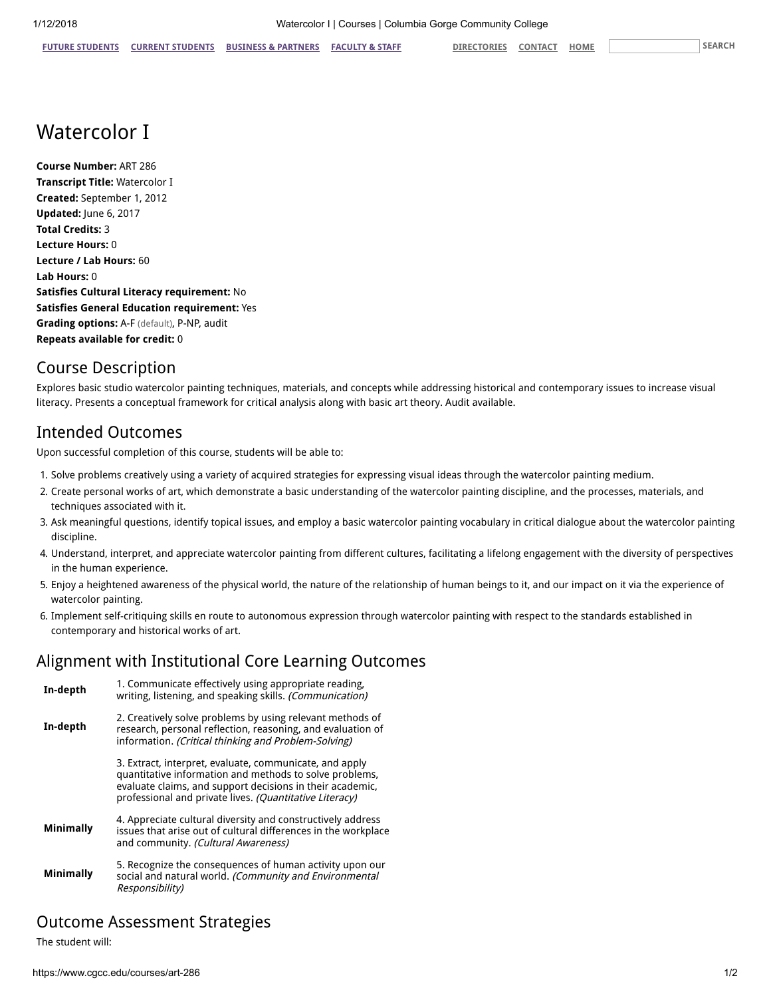# Watercolor I

Course Number: ART 286 Transcript Title: Watercolor I Created: September 1, 2012 Updated: June 6, 2017 Total Credits: 3 Lecture Hours: 0 Lecture / Lab Hours: 60 Lab Hours: 0 Satisfies Cultural Literacy requirement: No Satisfies General Education requirement: Yes Grading options: A-F (default), P-NP, audit Repeats available for credit: 0

## Course Description

Explores basic studio watercolor painting techniques, materials, and concepts while addressing historical and contemporary issues to increase visual literacy. Presents a conceptual framework for critical analysis along with basic art theory. Audit available.

#### Intended Outcomes

Upon successful completion of this course, students will be able to:

- 1. Solve problems creatively using a variety of acquired strategies for expressing visual ideas through the watercolor painting medium.
- 2. Create personal works of art, which demonstrate a basic understanding of the watercolor painting discipline, and the processes, materials, and techniques associated with it.
- 3. Ask meaningful questions, identify topical issues, and employ a basic watercolor painting vocabulary in critical dialogue about the watercolor painting discipline.
- 4. Understand, interpret, and appreciate watercolor painting from different cultures, facilitating a lifelong engagement with the diversity of perspectives in the human experience.
- 5. Enjoy a heightened awareness of the physical world, the nature of the relationship of human beings to it, and our impact on it via the experience of watercolor painting.
- 6. Implement self-critiquing skills en route to autonomous expression through watercolor painting with respect to the standards established in contemporary and historical works of art.

#### Alignment with Institutional Core Learning Outcomes

In-depth 1. Communicate effectively using appropriate reading, writing, listening, and speaking skills. (Communication) In-depth 2. Creatively solve problems by using relevant methods of research, personal reflection, reasoning, and evaluation of information. (Critical thinking and Problem-Solving) 3. Extract, interpret, evaluate, communicate, and apply quantitative information and methods to solve problems, evaluate claims, and support decisions in their academic, professional and private lives. (Quantitative Literacy) Minimally 4. Appreciate cultural diversity and constructively address issues that arise out of cultural differences in the workplace and community. (Cultural Awareness) Minimally 5. Recognize the consequences of human activity upon our social and natural world. (Community and Environmental Responsibility)

#### Outcome Assessment Strategies

The student will: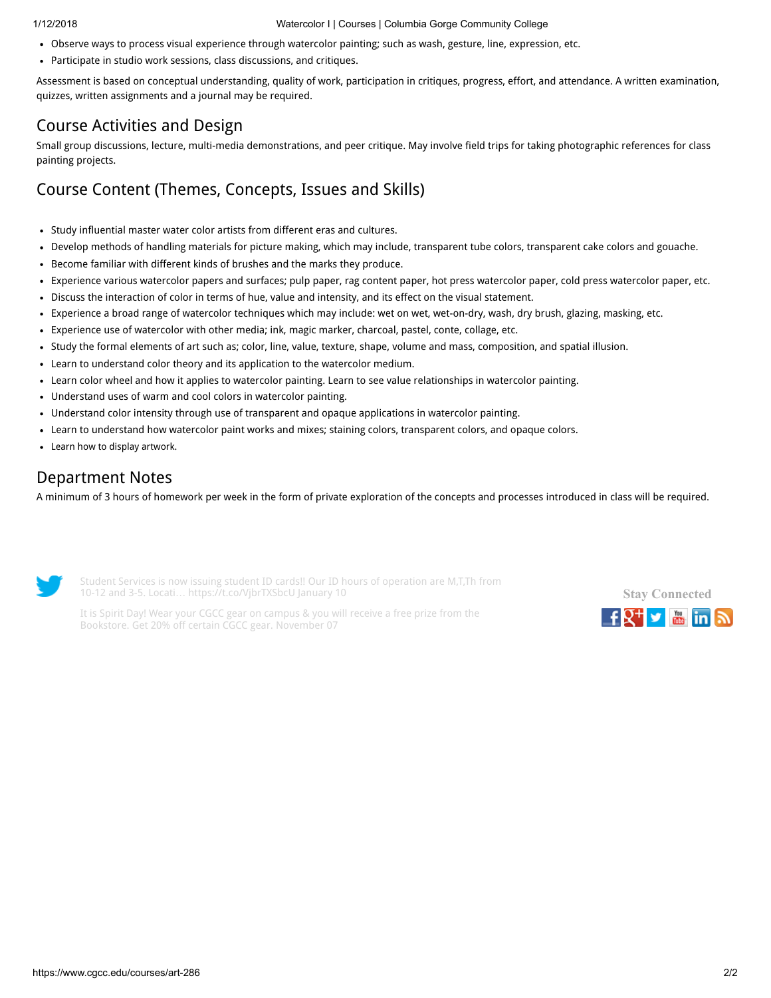- Observe ways to process visual experience through watercolor painting; such as wash, gesture, line, expression, etc.
- Participate in studio work sessions, class discussions, and critiques.

Assessment is based on conceptual understanding, quality of work, participation in critiques, progress, effort, and attendance. A written examination, quizzes, written assignments and a journal may be required.

#### Course Activities and Design

Small group discussions, lecture, multi-media demonstrations, and peer critique. May involve field trips for taking photographic references for class painting projects.

# Course Content (Themes, Concepts, Issues and Skills)

- Study influential master water color artists from different eras and cultures.
- Develop methods of handling materials for picture making, which may include, transparent tube colors, transparent cake colors and gouache.
- Become familiar with different kinds of brushes and the marks they produce.
- Experience various watercolor papers and surfaces; pulp paper, rag content paper, hot press watercolor paper, cold press watercolor paper, etc.  $\bullet$
- Discuss the interaction of color in terms of hue, value and intensity, and its effect on the visual statement.
- Experience a broad range of watercolor techniques which may include: wet on wet, wet-on-dry, wash, dry brush, glazing, masking, etc.  $\bullet$
- Experience use of watercolor with other media; ink, magic marker, charcoal, pastel, conte, collage, etc.
- Study the formal elements of art such as; color, line, value, texture, shape, volume and mass, composition, and spatial illusion.  $\bullet$
- Learn to understand color theory and its application to the watercolor medium.
- Learn color wheel and how it applies to watercolor painting. Learn to see value relationships in watercolor painting.
- Understand uses of warm and cool colors in watercolor painting.
- $\bullet$ Understand color intensity through use of transparent and opaque applications in watercolor painting.
- Learn to understand how watercolor paint works and mixes; staining colors, transparent colors, and opaque colors.
- Learn how to display artwork.

#### Department Notes

A minimum of 3 hours of homework per week in the form of private exploration of the concepts and processes introduced in class will be required.



Student Services is now issuing student ID cards!! Our ID hours of operation are M,T,Th from 10-12 and 3-5. Locati… <https://t.co/VjbrTXSbcU> January 10

Stay [Connected](https://www.cgcc.edu/social)  $f_X^+$   $\rightarrow$   $\mathbb{R}$  in  $\mathbb{R}$ 

It is Spirit Day! Wear your CGCC gear on campus & you will receive a free prize from the Bookstore. Get 20% off certain CGCC gear. November 07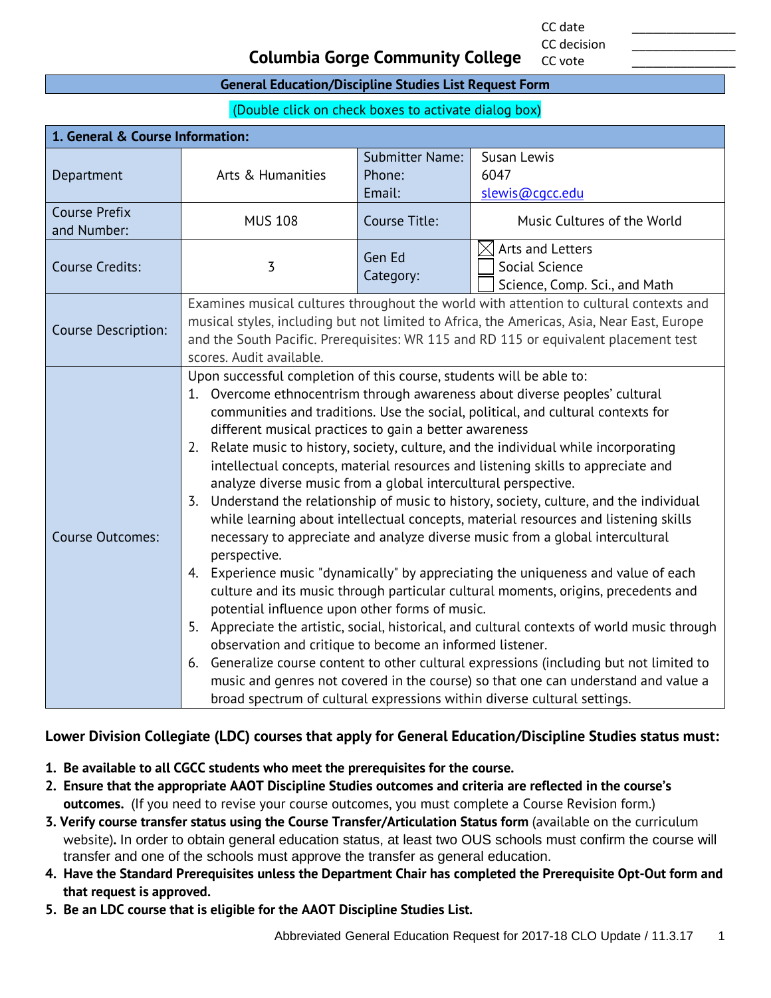CC date \_\_\_\_\_\_\_\_\_\_\_\_\_\_\_ CC decision

CC vote

#### **Columbia Gorge Community College**

#### **General Education/Discipline Studies List Request Form**

(Double click on check boxes to activate dialog box)

| 1. General & Course Information: |                                                                                                                                                    |                                  |                                                                                            |  |
|----------------------------------|----------------------------------------------------------------------------------------------------------------------------------------------------|----------------------------------|--------------------------------------------------------------------------------------------|--|
|                                  |                                                                                                                                                    | <b>Submitter Name:</b><br>Phone: | Susan Lewis<br>6047                                                                        |  |
| Department                       | Arts & Humanities                                                                                                                                  | Email:                           | slewis@cgcc.edu                                                                            |  |
| <b>Course Prefix</b>             | <b>MUS 108</b>                                                                                                                                     | Course Title:                    | Music Cultures of the World                                                                |  |
| and Number:                      |                                                                                                                                                    |                                  |                                                                                            |  |
| <b>Course Credits:</b>           | 3                                                                                                                                                  | Gen Ed                           | Arts and Letters<br>$\boxtimes$<br>Social Science                                          |  |
|                                  |                                                                                                                                                    | Category:                        | Science, Comp. Sci., and Math                                                              |  |
|                                  |                                                                                                                                                    |                                  | Examines musical cultures throughout the world with attention to cultural contexts and     |  |
| Course Description:              |                                                                                                                                                    |                                  | musical styles, including but not limited to Africa, the Americas, Asia, Near East, Europe |  |
|                                  | scores. Audit available.                                                                                                                           |                                  | and the South Pacific. Prerequisites: WR 115 and RD 115 or equivalent placement test       |  |
|                                  | Upon successful completion of this course, students will be able to:                                                                               |                                  |                                                                                            |  |
|                                  |                                                                                                                                                    |                                  | 1. Overcome ethnocentrism through awareness about diverse peoples' cultural                |  |
|                                  |                                                                                                                                                    |                                  | communities and traditions. Use the social, political, and cultural contexts for           |  |
|                                  | different musical practices to gain a better awareness                                                                                             |                                  |                                                                                            |  |
|                                  | Relate music to history, society, culture, and the individual while incorporating<br>2.                                                            |                                  |                                                                                            |  |
| <b>Course Outcomes:</b>          | intellectual concepts, material resources and listening skills to appreciate and<br>analyze diverse music from a global intercultural perspective. |                                  |                                                                                            |  |
|                                  | Understand the relationship of music to history, society, culture, and the individual<br>3.                                                        |                                  |                                                                                            |  |
|                                  | while learning about intellectual concepts, material resources and listening skills                                                                |                                  |                                                                                            |  |
|                                  | necessary to appreciate and analyze diverse music from a global intercultural                                                                      |                                  |                                                                                            |  |
|                                  | perspective.                                                                                                                                       |                                  |                                                                                            |  |
|                                  | Experience music "dynamically" by appreciating the uniqueness and value of each<br>4.                                                              |                                  |                                                                                            |  |
|                                  | culture and its music through particular cultural moments, origins, precedents and                                                                 |                                  |                                                                                            |  |
|                                  | potential influence upon other forms of music.<br>5. Appreciate the artistic, social, historical, and cultural contexts of world music through     |                                  |                                                                                            |  |
|                                  | observation and critique to become an informed listener.                                                                                           |                                  |                                                                                            |  |
|                                  | 6.                                                                                                                                                 |                                  | Generalize course content to other cultural expressions (including but not limited to      |  |
|                                  |                                                                                                                                                    |                                  | music and genres not covered in the course) so that one can understand and value a         |  |
|                                  |                                                                                                                                                    |                                  | broad spectrum of cultural expressions within diverse cultural settings.                   |  |

#### **Lower Division Collegiate (LDC) courses that apply for General Education/Discipline Studies status must:**

- **1. Be available to all CGCC students who meet the prerequisites for the course.**
- **2. Ensure that the appropriate AAOT Discipline Studies outcomes and criteria are reflected in the course's outcomes.** (If you need to revise your course outcomes, you must complete a Course Revision form.)
- **3. Verify course transfer status using the Course Transfer/Articulation Status form** (available on the curriculum website)**.** In order to obtain general education status, at least two OUS schools must confirm the course will transfer and one of the schools must approve the transfer as general education.
- **4. Have the Standard Prerequisites unless the Department Chair has completed the Prerequisite Opt-Out form and that request is approved.**
- **5. Be an LDC course that is eligible for the AAOT Discipline Studies List.**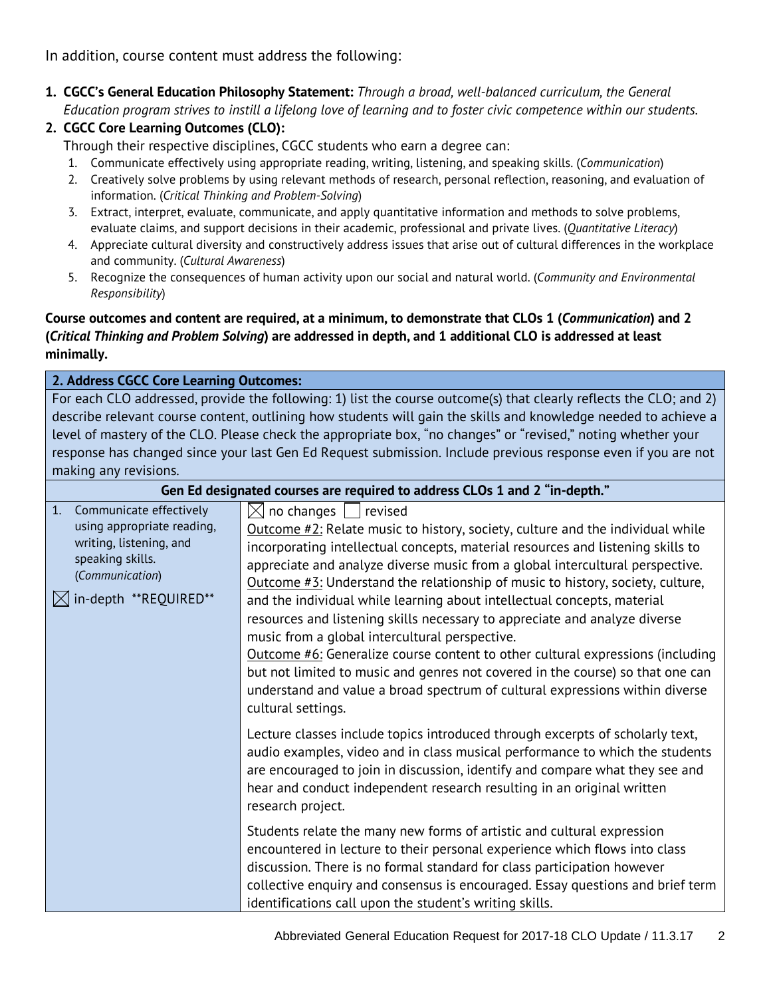In addition, course content must address the following:

**1. CGCC's General Education Philosophy Statement:** *Through a broad, well-balanced curriculum, the General Education program strives to instill a lifelong love of learning and to foster civic competence within our students.*

#### **2. CGCC Core Learning Outcomes (CLO):**

Through their respective disciplines, CGCC students who earn a degree can:

- 1. Communicate effectively using appropriate reading, writing, listening, and speaking skills. (*Communication*)
- 2. Creatively solve problems by using relevant methods of research, personal reflection, reasoning, and evaluation of information. (*Critical Thinking and Problem-Solving*)
- 3. Extract, interpret, evaluate, communicate, and apply quantitative information and methods to solve problems, evaluate claims, and support decisions in their academic, professional and private lives. (*Quantitative Literacy*)
- 4. Appreciate cultural diversity and constructively address issues that arise out of cultural differences in the workplace and community. (*Cultural Awareness*)
- 5. Recognize the consequences of human activity upon our social and natural world. (*Community and Environmental Responsibility*)

#### **Course outcomes and content are required, at a minimum, to demonstrate that CLOs 1 (***Communication***) and 2 (***Critical Thinking and Problem Solving***) are addressed in depth, and 1 additional CLO is addressed at least minimally.**

#### **2. Address CGCC Core Learning Outcomes:**

For each CLO addressed, provide the following: 1) list the course outcome(s) that clearly reflects the CLO; and 2) describe relevant course content, outlining how students will gain the skills and knowledge needed to achieve a level of mastery of the CLO. Please check the appropriate box, "no changes" or "revised," noting whether your response has changed since your last Gen Ed Request submission. Include previous response even if you are not making any revisions.

| Gen Ed designated courses are required to address CLOs 1 and 2 "in-depth."                                                                                       |                                                                                                                                                                                                                                                                                                                                                                                                                                                                                                                                                                                                                                                                                                                                                                                                                                                                      |  |
|------------------------------------------------------------------------------------------------------------------------------------------------------------------|----------------------------------------------------------------------------------------------------------------------------------------------------------------------------------------------------------------------------------------------------------------------------------------------------------------------------------------------------------------------------------------------------------------------------------------------------------------------------------------------------------------------------------------------------------------------------------------------------------------------------------------------------------------------------------------------------------------------------------------------------------------------------------------------------------------------------------------------------------------------|--|
| Communicate effectively<br>1.<br>using appropriate reading,<br>writing, listening, and<br>speaking skills.<br>(Communication)<br>$\bowtie$ in-depth **REQUIRED** | $\boxtimes$ no changes  <br>revised<br>Outcome $\#2$ : Relate music to history, society, culture and the individual while<br>incorporating intellectual concepts, material resources and listening skills to<br>appreciate and analyze diverse music from a global intercultural perspective.<br>Outcome #3: Understand the relationship of music to history, society, culture,<br>and the individual while learning about intellectual concepts, material<br>resources and listening skills necessary to appreciate and analyze diverse<br>music from a global intercultural perspective.<br>Outcome #6: Generalize course content to other cultural expressions (including<br>but not limited to music and genres not covered in the course) so that one can<br>understand and value a broad spectrum of cultural expressions within diverse<br>cultural settings. |  |
|                                                                                                                                                                  | Lecture classes include topics introduced through excerpts of scholarly text,<br>audio examples, video and in class musical performance to which the students<br>are encouraged to join in discussion, identify and compare what they see and<br>hear and conduct independent research resulting in an original written<br>research project.<br>Students relate the many new forms of artistic and cultural expression                                                                                                                                                                                                                                                                                                                                                                                                                                               |  |
|                                                                                                                                                                  | encountered in lecture to their personal experience which flows into class<br>discussion. There is no formal standard for class participation however<br>collective enquiry and consensus is encouraged. Essay questions and brief term<br>identifications call upon the student's writing skills.                                                                                                                                                                                                                                                                                                                                                                                                                                                                                                                                                                   |  |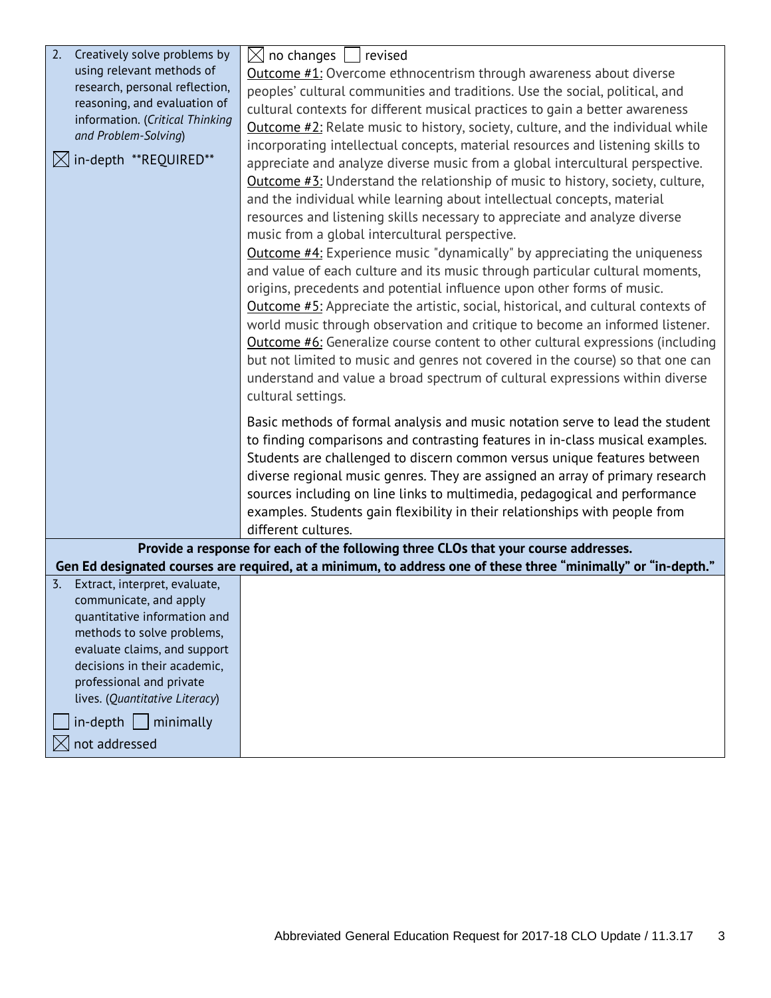| 2.<br>Creatively solve problems by<br>$\boxtimes$<br>no changes<br>revised                                                               |  |
|------------------------------------------------------------------------------------------------------------------------------------------|--|
| using relevant methods of<br><b>Outcome #1:</b> Overcome ethnocentrism through awareness about diverse<br>research, personal reflection, |  |
| peoples' cultural communities and traditions. Use the social, political, and<br>reasoning, and evaluation of                             |  |
| cultural contexts for different musical practices to gain a better awareness<br>information. (Critical Thinking                          |  |
| Outcome $#2$ : Relate music to history, society, culture, and the individual while<br>and Problem-Solving)                               |  |
| incorporating intellectual concepts, material resources and listening skills to                                                          |  |
| $\bowtie$ in-depth **REQUIRED**<br>appreciate and analyze diverse music from a global intercultural perspective.                         |  |
| <b>Outcome #3:</b> Understand the relationship of music to history, society, culture,                                                    |  |
| and the individual while learning about intellectual concepts, material                                                                  |  |
| resources and listening skills necessary to appreciate and analyze diverse                                                               |  |
| music from a global intercultural perspective.                                                                                           |  |
| <b>Outcome #4:</b> Experience music "dynamically" by appreciating the uniqueness                                                         |  |
| and value of each culture and its music through particular cultural moments,                                                             |  |
| origins, precedents and potential influence upon other forms of music.                                                                   |  |
| Outcome #5: Appreciate the artistic, social, historical, and cultural contexts of                                                        |  |
| world music through observation and critique to become an informed listener.                                                             |  |
| <b>Outcome #6:</b> Generalize course content to other cultural expressions (including                                                    |  |
| but not limited to music and genres not covered in the course) so that one can                                                           |  |
| understand and value a broad spectrum of cultural expressions within diverse                                                             |  |
| cultural settings.                                                                                                                       |  |
|                                                                                                                                          |  |
| Basic methods of formal analysis and music notation serve to lead the student                                                            |  |
| to finding comparisons and contrasting features in in-class musical examples.                                                            |  |
| Students are challenged to discern common versus unique features between                                                                 |  |
| diverse regional music genres. They are assigned an array of primary research                                                            |  |
| sources including on line links to multimedia, pedagogical and performance                                                               |  |
| examples. Students gain flexibility in their relationships with people from                                                              |  |
| different cultures.                                                                                                                      |  |
| Provide a response for each of the following three CLOs that your course addresses.                                                      |  |
| Gen Ed designated courses are required, at a minimum, to address one of these three "minimally" or "in-depth."                           |  |
| Extract, interpret, evaluate,<br>$\overline{3}$ .                                                                                        |  |
| communicate, and apply                                                                                                                   |  |
| quantitative information and<br>methods to solve problems,                                                                               |  |
| evaluate claims, and support                                                                                                             |  |
| decisions in their academic,                                                                                                             |  |
| professional and private                                                                                                                 |  |
| lives. (Quantitative Literacy)                                                                                                           |  |
| $in$ -depth $\vert$<br>  minimally                                                                                                       |  |
| not addressed                                                                                                                            |  |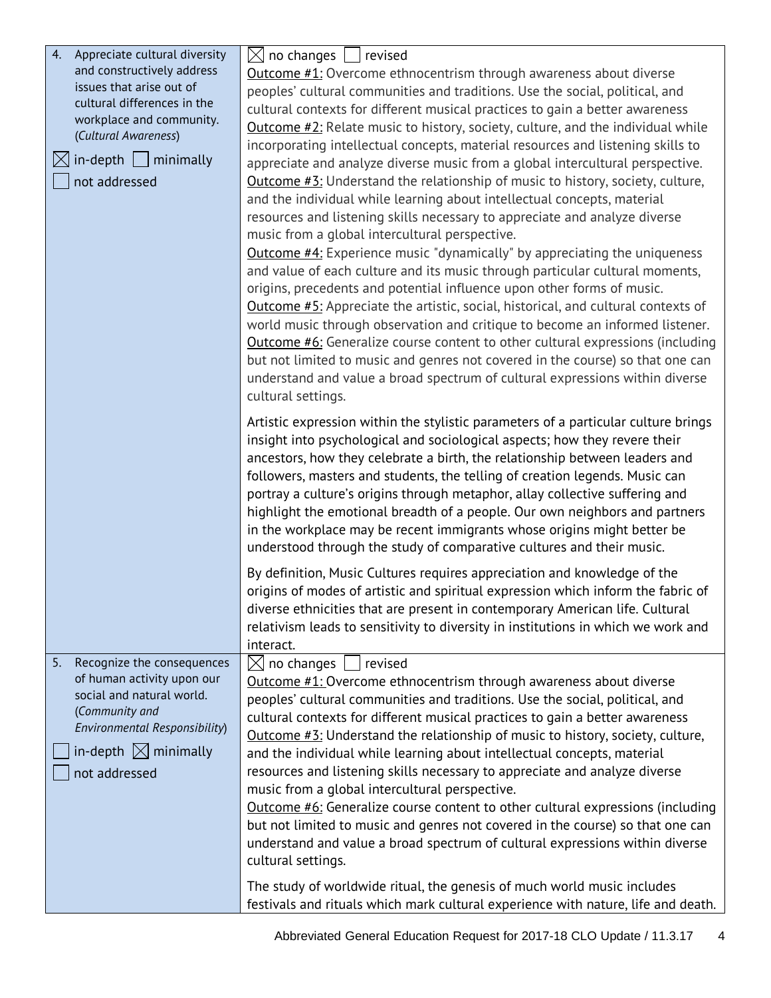| 4.<br>Appreciate cultural diversity         | $\boxtimes$ no changes $\bigsqcup$ revised                                                                                                             |
|---------------------------------------------|--------------------------------------------------------------------------------------------------------------------------------------------------------|
| and constructively address                  | <b>Outcome #1:</b> Overcome ethnocentrism through awareness about diverse                                                                              |
| issues that arise out of                    | peoples' cultural communities and traditions. Use the social, political, and                                                                           |
| cultural differences in the                 | cultural contexts for different musical practices to gain a better awareness                                                                           |
| workplace and community.                    | Outcome #2: Relate music to history, society, culture, and the individual while                                                                        |
| (Cultural Awareness)                        | incorporating intellectual concepts, material resources and listening skills to                                                                        |
| $\bowtie$ in-depth     minimally            | appreciate and analyze diverse music from a global intercultural perspective.                                                                          |
| not addressed                               | <b>Outcome #3:</b> Understand the relationship of music to history, society, culture,                                                                  |
|                                             | and the individual while learning about intellectual concepts, material                                                                                |
|                                             | resources and listening skills necessary to appreciate and analyze diverse                                                                             |
|                                             | music from a global intercultural perspective.                                                                                                         |
|                                             | <b>Outcome #4:</b> Experience music "dynamically" by appreciating the uniqueness                                                                       |
|                                             | and value of each culture and its music through particular cultural moments,                                                                           |
|                                             | origins, precedents and potential influence upon other forms of music.                                                                                 |
|                                             | Outcome #5: Appreciate the artistic, social, historical, and cultural contexts of                                                                      |
|                                             | world music through observation and critique to become an informed listener.                                                                           |
|                                             | <b>Outcome #6:</b> Generalize course content to other cultural expressions (including                                                                  |
|                                             | but not limited to music and genres not covered in the course) so that one can                                                                         |
|                                             | understand and value a broad spectrum of cultural expressions within diverse                                                                           |
|                                             | cultural settings.                                                                                                                                     |
|                                             |                                                                                                                                                        |
|                                             | Artistic expression within the stylistic parameters of a particular culture brings                                                                     |
|                                             | insight into psychological and sociological aspects; how they revere their                                                                             |
|                                             | ancestors, how they celebrate a birth, the relationship between leaders and                                                                            |
|                                             | followers, masters and students, the telling of creation legends. Music can                                                                            |
|                                             | portray a culture's origins through metaphor, allay collective suffering and                                                                           |
|                                             | highlight the emotional breadth of a people. Our own neighbors and partners<br>in the workplace may be recent immigrants whose origins might better be |
|                                             | understood through the study of comparative cultures and their music.                                                                                  |
|                                             |                                                                                                                                                        |
|                                             | By definition, Music Cultures requires appreciation and knowledge of the                                                                               |
|                                             | origins of modes of artistic and spiritual expression which inform the fabric of                                                                       |
|                                             | diverse ethnicities that are present in contemporary American life. Cultural                                                                           |
|                                             | relativism leads to sensitivity to diversity in institutions in which we work and                                                                      |
|                                             | interact.                                                                                                                                              |
| 5.<br>Recognize the consequences            | $\boxtimes$ no changes  <br>  revised                                                                                                                  |
| of human activity upon our                  | Outcome #1: Overcome ethnocentrism through awareness about diverse                                                                                     |
| social and natural world.<br>(Community and | peoples' cultural communities and traditions. Use the social, political, and                                                                           |
| Environmental Responsibility)               | cultural contexts for different musical practices to gain a better awareness                                                                           |
|                                             | Outcome #3: Understand the relationship of music to history, society, culture,                                                                         |
| in-depth $\boxtimes$ minimally              | and the individual while learning about intellectual concepts, material                                                                                |
| not addressed                               | resources and listening skills necessary to appreciate and analyze diverse                                                                             |
|                                             | music from a global intercultural perspective.                                                                                                         |
|                                             | Outcome #6: Generalize course content to other cultural expressions (including                                                                         |
|                                             | but not limited to music and genres not covered in the course) so that one can                                                                         |
|                                             | understand and value a broad spectrum of cultural expressions within diverse                                                                           |
|                                             | cultural settings.                                                                                                                                     |
|                                             | The study of worldwide ritual, the genesis of much world music includes                                                                                |
|                                             | festivals and rituals which mark cultural experience with nature, life and death.                                                                      |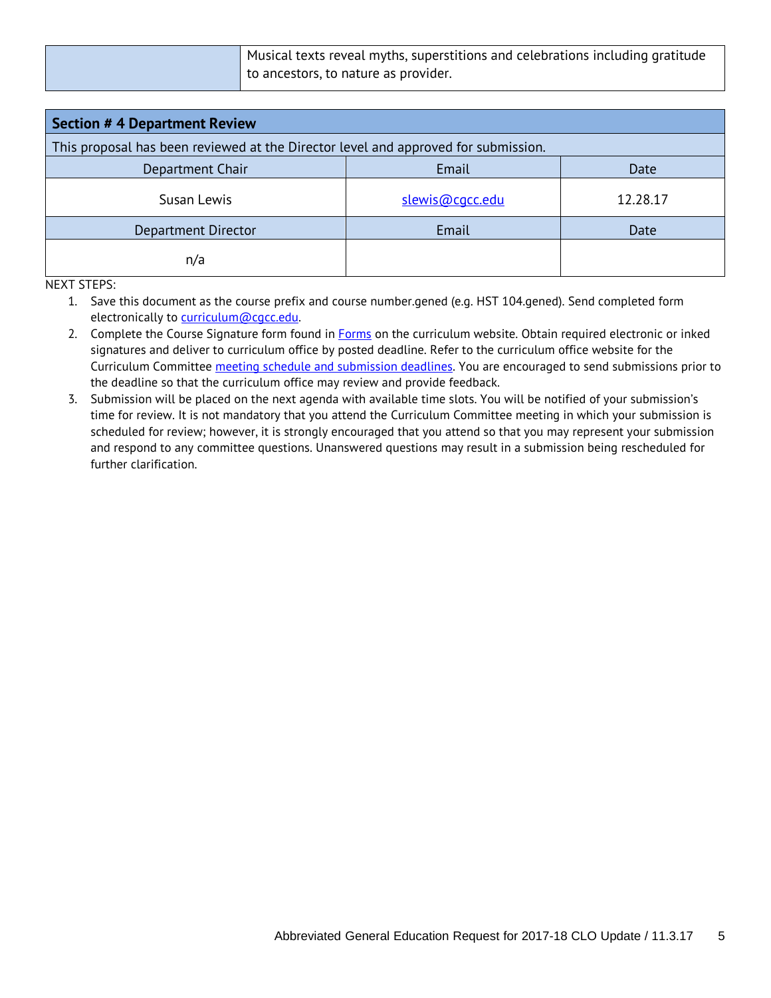Musical texts reveal myths, superstitions and celebrations including gratitude to ancestors, to nature as provider.

| <b>Section # 4 Department Review</b>                                               |                 |          |  |
|------------------------------------------------------------------------------------|-----------------|----------|--|
| This proposal has been reviewed at the Director level and approved for submission. |                 |          |  |
| Department Chair<br>Email<br>Date                                                  |                 |          |  |
| Susan Lewis                                                                        | slewis@cqcc.edu | 12.28.17 |  |
| Department Director                                                                | Email           | Date     |  |
| n/a                                                                                |                 |          |  |

NEXT STEPS:

1. Save this document as the course prefix and course number.gened (e.g. HST 104.gened). Send completed form electronically to [curriculum@cgcc.edu.](mailto:curriculum@cgcc.edu)

- 2. Complete the Course Signature form found in **Forms** on the curriculum website. Obtain required electronic or inked signatures and deliver to curriculum office by posted deadline. Refer to the curriculum office website for the Curriculum Committee [meeting schedule and submission deadlines.](http://www.cgcc.cc.or.us/Academics/FacultyResources/cccalendar.cfm) You are encouraged to send submissions prior to the deadline so that the curriculum office may review and provide feedback.
- 3. Submission will be placed on the next agenda with available time slots. You will be notified of your submission's time for review. It is not mandatory that you attend the Curriculum Committee meeting in which your submission is scheduled for review; however, it is strongly encouraged that you attend so that you may represent your submission and respond to any committee questions. Unanswered questions may result in a submission being rescheduled for further clarification.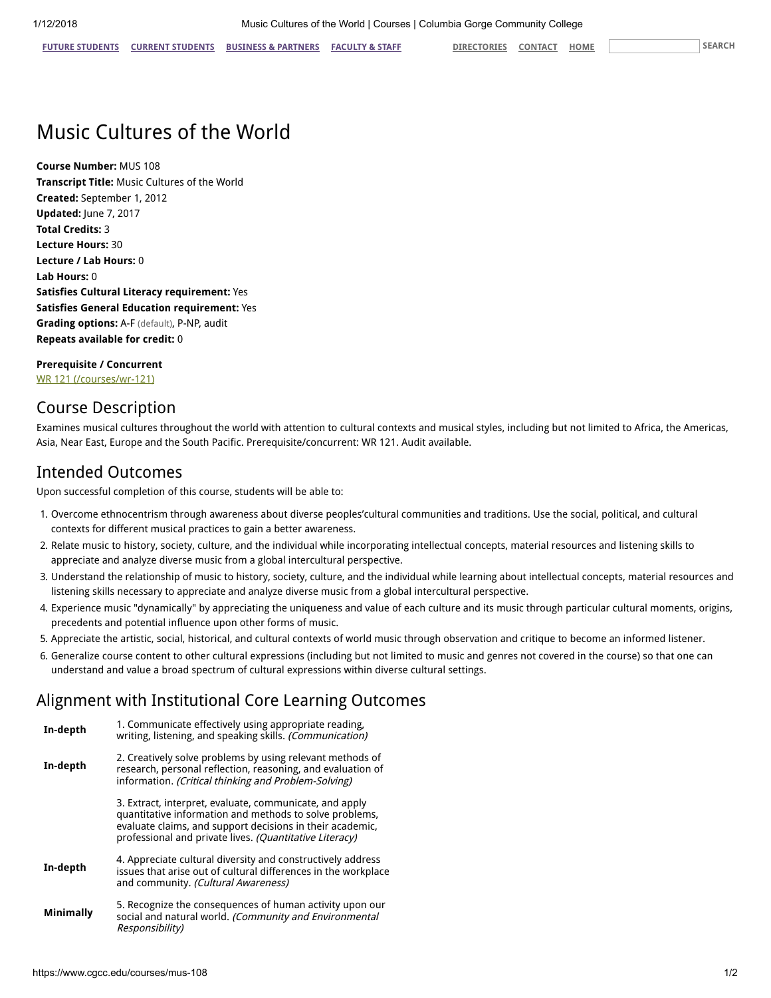# Music Cultures of the World

Course Number: MUS 108 Transcript Title: Music Cultures of the World Created: September 1, 2012 Updated: June 7, 2017 Total Credits: 3 Lecture Hours: 30 Lecture / Lab Hours: 0 Lab Hours: 0 Satisfies Cultural Literacy requirement: Yes Satisfies General Education requirement: Yes Grading options: A-F (default), P-NP, audit Repeats available for credit: 0

Prerequisite / Concurrent [WR 121 \(/courses/wr-121\)](https://www.cgcc.edu/courses/wr-121)

#### Course Description

Examines musical cultures throughout the world with attention to cultural contexts and musical styles, including but not limited to Africa, the Americas, Asia, Near East, Europe and the South Pacific. Prerequisite/concurrent: WR 121. Audit available.

#### Intended Outcomes

Upon successful completion of this course, students will be able to:

- 1. Overcome ethnocentrism through awareness about diverse peoples'cultural communities and traditions. Use the social, political, and cultural contexts for different musical practices to gain a better awareness.
- 2. Relate music to history, society, culture, and the individual while incorporating intellectual concepts, material resources and listening skills to appreciate and analyze diverse music from a global intercultural perspective.
- 3. Understand the relationship of music to history, society, culture, and the individual while learning about intellectual concepts, material resources and listening skills necessary to appreciate and analyze diverse music from a global intercultural perspective.
- 4. Experience music "dynamically" by appreciating the uniqueness and value of each culture and its music through particular cultural moments, origins, precedents and potential influence upon other forms of music.
- 5. Appreciate the artistic, social, historical, and cultural contexts of world music through observation and critique to become an informed listener.
- 6. Generalize course content to other cultural expressions (including but not limited to music and genres not covered in the course) so that one can understand and value a broad spectrum of cultural expressions within diverse cultural settings.

#### Alignment with Institutional Core Learning Outcomes

In-depth 1. Communicate effectively using appropriate reading, writing, listening, and speaking skills. (Communication) In-depth 2. Creatively solve problems by using relevant methods of research, personal reflection, reasoning, and evaluation of information. (Critical thinking and Problem-Solving) 3. Extract, interpret, evaluate, communicate, and apply quantitative information and methods to solve problems, evaluate claims, and support decisions in their academic, professional and private lives. (Quantitative Literacy) In-depth 4. Appreciate cultural diversity and constructively address issues that arise out of cultural differences in the workplace and community. (Cultural Awareness) Minimally 5. Recognize the consequences of human activity upon our social and natural world. (Community and Environmental Responsibility)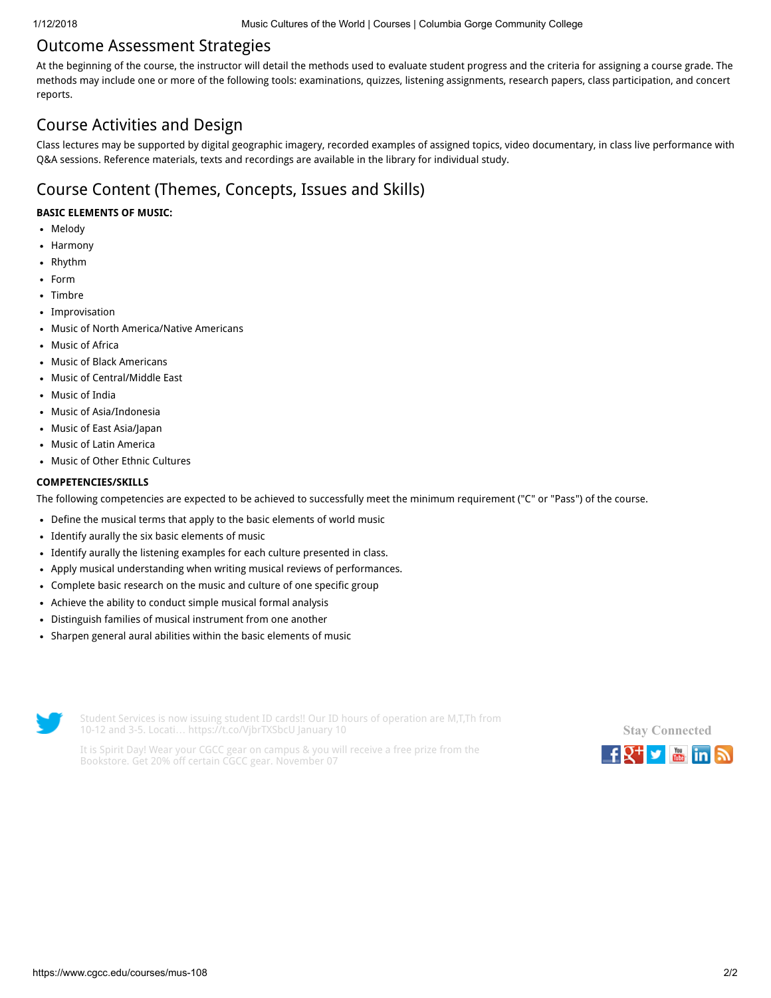#### Outcome Assessment Strategies

At the beginning of the course, the instructor will detail the methods used to evaluate student progress and the criteria for assigning a course grade. The methods may include one or more of the following tools: examinations, quizzes, listening assignments, research papers, class participation, and concert reports.

## Course Activities and Design

Class lectures may be supported by digital geographic imagery, recorded examples of assigned topics, video documentary, in class live performance with Q&A sessions. Reference materials, texts and recordings are available in the library for individual study.

# Course Content (Themes, Concepts, Issues and Skills)

#### BASIC ELEMENTS OF MUSIC:

- Melody
- Harmony  $\bullet$
- Rhythm
- Form
- Timbre
- Improvisation
- Music of North America/Native Americans
- Music of Africa  $\bullet$
- Music of Black Americans
- Music of Central/Middle East
- Music of India
- Music of Asia/Indonesia
- Music of East Asia/Japan  $\bullet$
- Music of Latin America
- Music of Other Ethnic Cultures

#### COMPETENCIES/SKILLS

The following competencies are expected to be achieved to successfully meet the minimum requirement ("C" or "Pass") of the course.

- Define the musical terms that apply to the basic elements of world music
- Identify aurally the six basic elements of music
- Identify aurally the listening examples for each culture presented in class.
- Apply musical understanding when writing musical reviews of performances.
- Complete basic research on the music and culture of one specific group  $\bullet$
- Achieve the ability to conduct simple musical formal analysis
- Distinguish families of musical instrument from one another  $\bullet$
- Sharpen general aural abilities within the basic elements of music



Student Services is now issuing student ID cards!! Our ID hours of operation are M,T,Th from 10-12 and 3-5. Locati… <https://t.co/VjbrTXSbcU> January 10

It is Spirit Day! Wear your CGCC gear on campus & you will receive a free prize from the Bookstore. Get 20% off certain CGCC gear. November 07

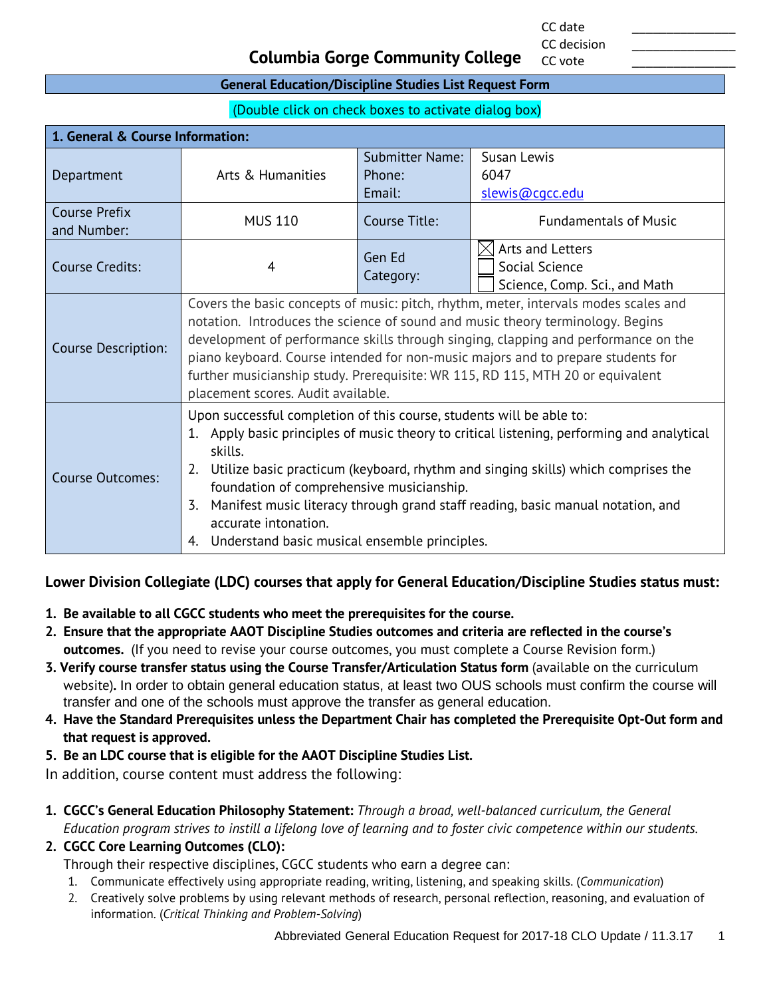CC date \_\_\_\_\_\_\_\_\_\_\_\_\_\_\_ CC decision

CC vote

#### **Columbia Gorge Community College**

#### **General Education/Discipline Studies List Request Form**

(Double click on check boxes to activate dialog box)

| 1. General & Course Information:    |                                                                                                                                                                                                                                                                                                                                                                                                                                                                                               |                                            |                                                                     |
|-------------------------------------|-----------------------------------------------------------------------------------------------------------------------------------------------------------------------------------------------------------------------------------------------------------------------------------------------------------------------------------------------------------------------------------------------------------------------------------------------------------------------------------------------|--------------------------------------------|---------------------------------------------------------------------|
| Department                          | Arts & Humanities                                                                                                                                                                                                                                                                                                                                                                                                                                                                             | <b>Submitter Name:</b><br>Phone:<br>Email: | Susan Lewis<br>6047<br>slewis@cqcc.edu                              |
| <b>Course Prefix</b><br>and Number: | <b>MUS 110</b>                                                                                                                                                                                                                                                                                                                                                                                                                                                                                | Course Title:                              | <b>Fundamentals of Music</b>                                        |
| <b>Course Credits:</b>              | 4                                                                                                                                                                                                                                                                                                                                                                                                                                                                                             | Gen Ed<br>Category:                        | Arts and Letters<br>Social Science<br>Science, Comp. Sci., and Math |
| <b>Course Description:</b>          | Covers the basic concepts of music: pitch, rhythm, meter, intervals modes scales and<br>notation. Introduces the science of sound and music theory terminology. Begins<br>development of performance skills through singing, clapping and performance on the<br>piano keyboard. Course intended for non-music majors and to prepare students for<br>further musicianship study. Prerequisite: WR 115, RD 115, MTH 20 or equivalent<br>placement scores. Audit available.                      |                                            |                                                                     |
| Course Outcomes:                    | Upon successful completion of this course, students will be able to:<br>1. Apply basic principles of music theory to critical listening, performing and analytical<br>skills.<br>Utilize basic practicum (keyboard, rhythm and singing skills) which comprises the<br>2.<br>foundation of comprehensive musicianship.<br>Manifest music literacy through grand staff reading, basic manual notation, and<br>3.<br>accurate intonation.<br>Understand basic musical ensemble principles.<br>4. |                                            |                                                                     |

#### **Lower Division Collegiate (LDC) courses that apply for General Education/Discipline Studies status must:**

- **1. Be available to all CGCC students who meet the prerequisites for the course.**
- **2. Ensure that the appropriate AAOT Discipline Studies outcomes and criteria are reflected in the course's outcomes.** (If you need to revise your course outcomes, you must complete a Course Revision form.)
- **3. Verify course transfer status using the Course Transfer/Articulation Status form** (available on the curriculum website)**.** In order to obtain general education status, at least two OUS schools must confirm the course will transfer and one of the schools must approve the transfer as general education.
- **4. Have the Standard Prerequisites unless the Department Chair has completed the Prerequisite Opt-Out form and that request is approved.**
- **5. Be an LDC course that is eligible for the AAOT Discipline Studies List.**

In addition, course content must address the following:

- **1. CGCC's General Education Philosophy Statement:** *Through a broad, well-balanced curriculum, the General Education program strives to instill a lifelong love of learning and to foster civic competence within our students.*
- **2. CGCC Core Learning Outcomes (CLO):**

Through their respective disciplines, CGCC students who earn a degree can:

- 1. Communicate effectively using appropriate reading, writing, listening, and speaking skills. (*Communication*)
- 2. Creatively solve problems by using relevant methods of research, personal reflection, reasoning, and evaluation of information. (*Critical Thinking and Problem-Solving*)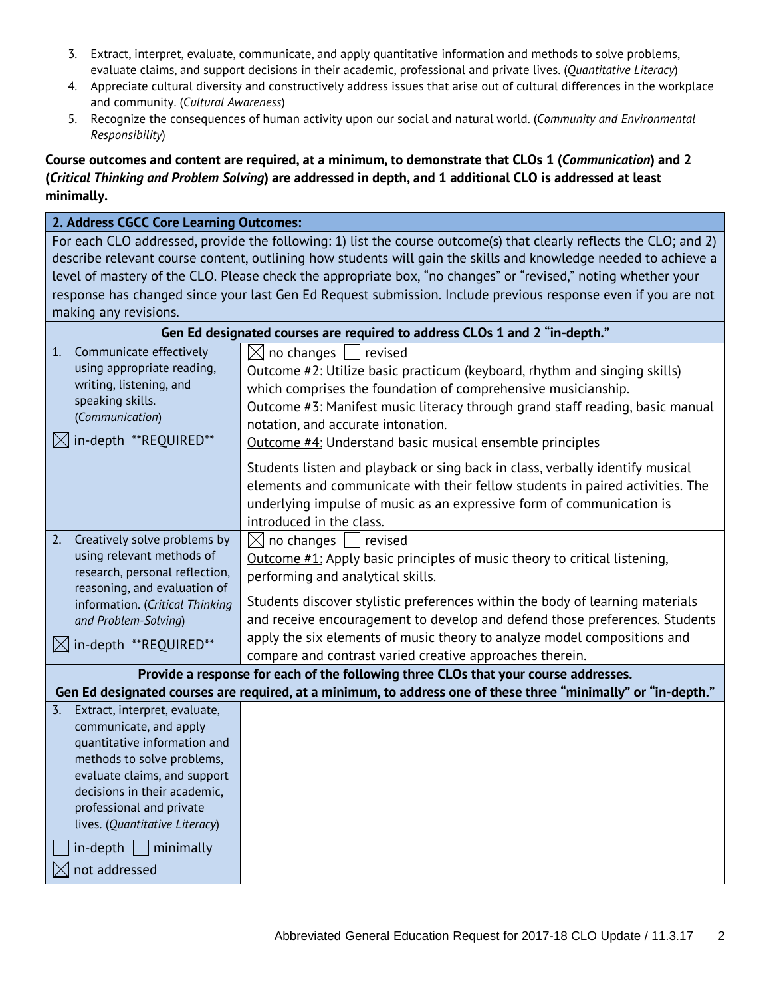- 3. Extract, interpret, evaluate, communicate, and apply quantitative information and methods to solve problems, evaluate claims, and support decisions in their academic, professional and private lives. (*Quantitative Literacy*)
- 4. Appreciate cultural diversity and constructively address issues that arise out of cultural differences in the workplace and community. (*Cultural Awareness*)
- 5. Recognize the consequences of human activity upon our social and natural world. (*Community and Environmental Responsibility*)

#### **Course outcomes and content are required, at a minimum, to demonstrate that CLOs 1 (***Communication***) and 2 (***Critical Thinking and Problem Solving***) are addressed in depth, and 1 additional CLO is addressed at least minimally.**

#### **2. Address CGCC Core Learning Outcomes:**

For each CLO addressed, provide the following: 1) list the course outcome(s) that clearly reflects the CLO; and 2) describe relevant course content, outlining how students will gain the skills and knowledge needed to achieve a level of mastery of the CLO. Please check the appropriate box, "no changes" or "revised," noting whether your response has changed since your last Gen Ed Request submission. Include previous response even if you are not making any revisions.

|                                                                                                                                                                                                                                                           | Gen Ed designated courses are required to address CLOs 1 and 2 "in-depth."                                                                                                                                                                                                                                                                                                    |  |  |  |
|-----------------------------------------------------------------------------------------------------------------------------------------------------------------------------------------------------------------------------------------------------------|-------------------------------------------------------------------------------------------------------------------------------------------------------------------------------------------------------------------------------------------------------------------------------------------------------------------------------------------------------------------------------|--|--|--|
| Communicate effectively<br>1.<br>using appropriate reading,<br>writing, listening, and<br>speaking skills.<br>(Communication)<br>in-depth **REQUIRED**                                                                                                    | $\boxtimes$ no changes $\Box$<br>revised<br>Outcome $\#2$ : Utilize basic practicum (keyboard, rhythm and singing skills)<br>which comprises the foundation of comprehensive musicianship.<br>Outcome #3: Manifest music literacy through grand staff reading, basic manual<br>notation, and accurate intonation.<br>Outcome #4: Understand basic musical ensemble principles |  |  |  |
|                                                                                                                                                                                                                                                           | Students listen and playback or sing back in class, verbally identify musical<br>elements and communicate with their fellow students in paired activities. The<br>underlying impulse of music as an expressive form of communication is<br>introduced in the class.                                                                                                           |  |  |  |
| Creatively solve problems by<br>2.<br>using relevant methods of<br>research, personal reflection,<br>reasoning, and evaluation of<br>information. (Critical Thinking<br>and Problem-Solving)                                                              | $\boxtimes$ no changes $\,\sqcup\,$<br>revised<br>Outcome #1: Apply basic principles of music theory to critical listening,<br>performing and analytical skills.<br>Students discover stylistic preferences within the body of learning materials<br>and receive encouragement to develop and defend those preferences. Students                                              |  |  |  |
| in-depth **REQUIRED**<br>IXI                                                                                                                                                                                                                              | apply the six elements of music theory to analyze model compositions and<br>compare and contrast varied creative approaches therein.                                                                                                                                                                                                                                          |  |  |  |
|                                                                                                                                                                                                                                                           | Provide a response for each of the following three CLOs that your course addresses.                                                                                                                                                                                                                                                                                           |  |  |  |
|                                                                                                                                                                                                                                                           | Gen Ed designated courses are required, at a minimum, to address one of these three "minimally" or "in-depth."                                                                                                                                                                                                                                                                |  |  |  |
| Extract, interpret, evaluate,<br>3.<br>communicate, and apply<br>quantitative information and<br>methods to solve problems,<br>evaluate claims, and support<br>decisions in their academic,<br>professional and private<br>lives. (Quantitative Literacy) |                                                                                                                                                                                                                                                                                                                                                                               |  |  |  |
| $in$ -depth $\Box$ minimally<br>not addressed                                                                                                                                                                                                             |                                                                                                                                                                                                                                                                                                                                                                               |  |  |  |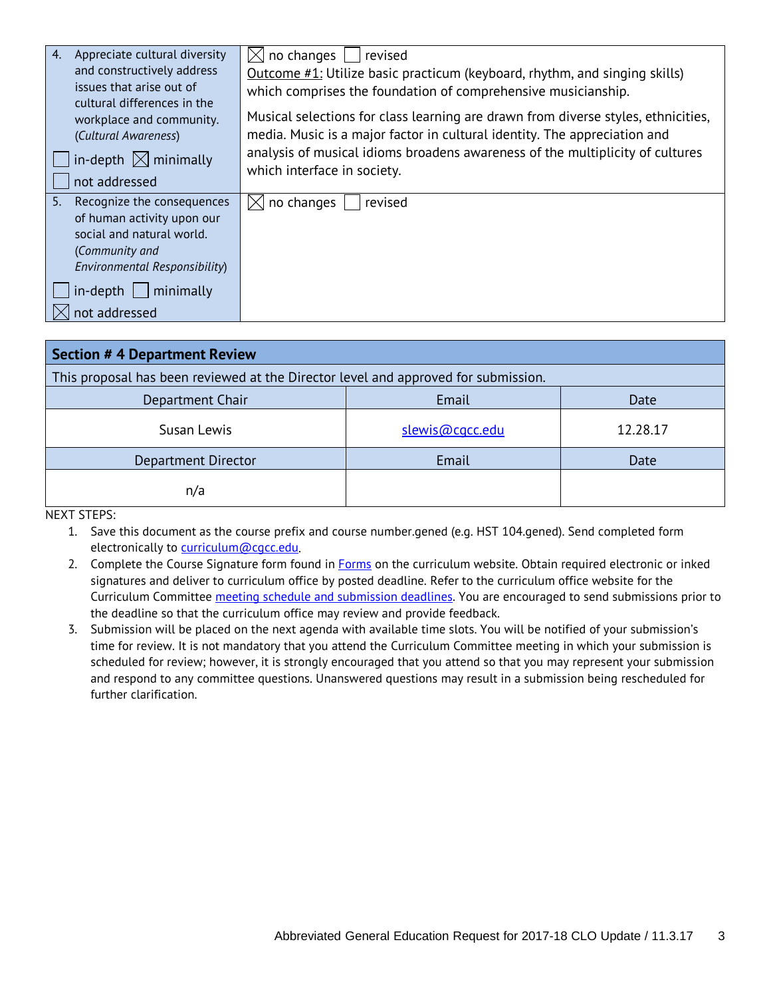| 4.<br>Appreciate cultural diversity                     | no changes<br>revised<br>IXI                                                      |
|---------------------------------------------------------|-----------------------------------------------------------------------------------|
| and constructively address                              | Outcome $\#1$ : Utilize basic practicum (keyboard, rhythm, and singing skills)    |
| issues that arise out of                                | which comprises the foundation of comprehensive musicianship.                     |
| cultural differences in the<br>workplace and community. | Musical selections for class learning are drawn from diverse styles, ethnicities, |
| (Cultural Awareness)                                    | media. Music is a major factor in cultural identity. The appreciation and         |
| in-depth $\boxtimes$ minimally                          | analysis of musical idioms broadens awareness of the multiplicity of cultures     |
|                                                         | which interface in society.                                                       |
| not addressed                                           |                                                                                   |
| 5.<br>Recognize the consequences                        | no changes<br>revised                                                             |
| of human activity upon our                              |                                                                                   |
| social and natural world.                               |                                                                                   |
| (Community and                                          |                                                                                   |
| Environmental Responsibility)                           |                                                                                   |
| in-depth<br>minimally                                   |                                                                                   |
| not addressed                                           |                                                                                   |

| <b>Section # 4 Department Review</b>                                               |                 |          |  |
|------------------------------------------------------------------------------------|-----------------|----------|--|
| This proposal has been reviewed at the Director level and approved for submission. |                 |          |  |
| Department Chair<br>Email<br>Date                                                  |                 |          |  |
| Susan Lewis                                                                        | slewis@cgcc.edu | 12.28.17 |  |
| Department Director                                                                | Email           | Date     |  |
| n/a                                                                                |                 |          |  |

NEXT STEPS:

1. Save this document as the course prefix and course number.gened (e.g. HST 104.gened). Send completed form electronically to curriculum@cacc.edu.

2. Complete the Course Signature form found in [Forms](http://www.cgcc.edu/curriculum/forms) on the curriculum website. Obtain required electronic or inked signatures and deliver to curriculum office by posted deadline. Refer to the curriculum office website for the Curriculum Committee [meeting schedule and submission deadlines.](http://www.cgcc.cc.or.us/Academics/FacultyResources/cccalendar.cfm) You are encouraged to send submissions prior to the deadline so that the curriculum office may review and provide feedback.

3. Submission will be placed on the next agenda with available time slots. You will be notified of your submission's time for review. It is not mandatory that you attend the Curriculum Committee meeting in which your submission is scheduled for review; however, it is strongly encouraged that you attend so that you may represent your submission and respond to any committee questions. Unanswered questions may result in a submission being rescheduled for further clarification.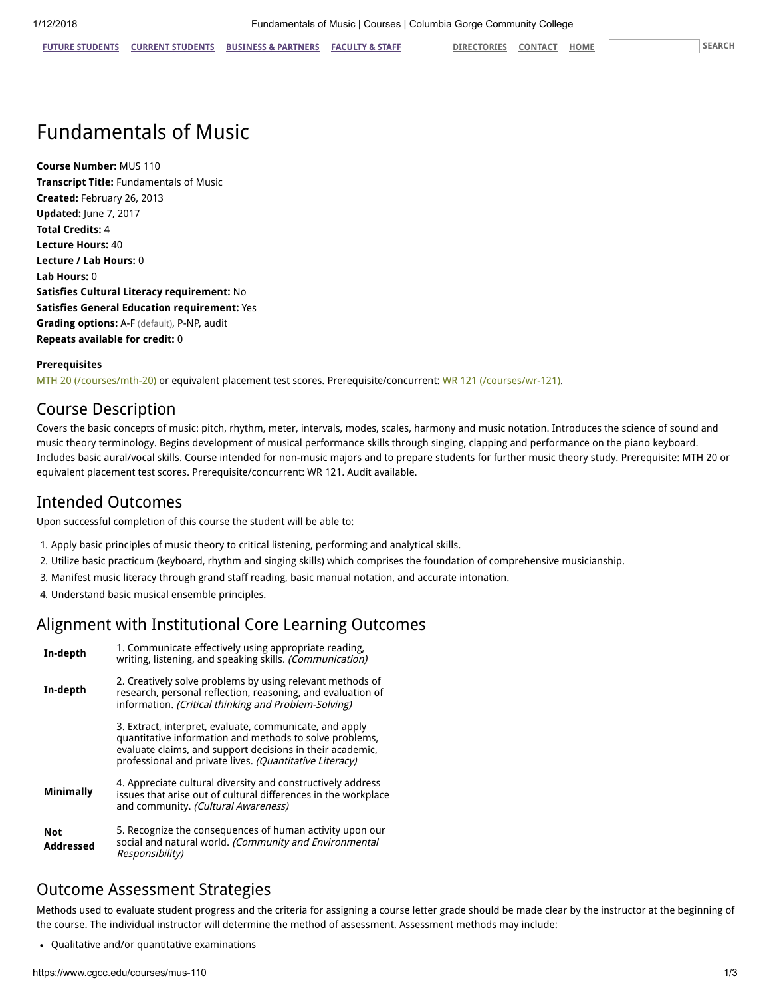# Fundamentals of Music

Course Number: MUS 110 Transcript Title: Fundamentals of Music Created: February 26, 2013 Updated: June 7, 2017 Total Credits: 4 Lecture Hours: 40 Lecture / Lab Hours: 0 Lab Hours: 0 Satisfies Cultural Literacy requirement: No Satisfies General Education requirement: Yes Grading options: A-F (default), P-NP, audit Repeats available for credit: 0

#### Prerequisites

[MTH 20 \(/courses/mth-20\)](https://www.cgcc.edu/courses/mth-20) or equivalent placement test scores. Prerequisite/concurrent: [WR 121 \(/courses/wr-121\)](https://www.cgcc.edu/courses/wr-121).

### Course Description

Covers the basic concepts of music: pitch, rhythm, meter, intervals, modes, scales, harmony and music notation. Introduces the science of sound and music theory terminology. Begins development of musical performance skills through singing, clapping and performance on the piano keyboard. Includes basic aural/vocal skills. Course intended for non-music majors and to prepare students for further music theory study. Prerequisite: MTH 20 or equivalent placement test scores. Prerequisite/concurrent: WR 121. Audit available.

## Intended Outcomes

Upon successful completion of this course the student will be able to:

- 1. Apply basic principles of music theory to critical listening, performing and analytical skills.
- 2. Utilize basic practicum (keyboard, rhythm and singing skills) which comprises the foundation of comprehensive musicianship.
- 3. Manifest music literacy through grand staff reading, basic manual notation, and accurate intonation.
- 4. Understand basic musical ensemble principles.

## Alignment with Institutional Core Learning Outcomes

| In-depth                | 1. Communicate effectively using appropriate reading,<br>writing, listening, and speaking skills. (Communication)                                                                                                                          |  |
|-------------------------|--------------------------------------------------------------------------------------------------------------------------------------------------------------------------------------------------------------------------------------------|--|
| In-depth                | 2. Creatively solve problems by using relevant methods of<br>research, personal reflection, reasoning, and evaluation of<br>information. (Critical thinking and Problem-Solving)                                                           |  |
|                         | 3. Extract, interpret, evaluate, communicate, and apply<br>quantitative information and methods to solve problems,<br>evaluate claims, and support decisions in their academic,<br>professional and private lives. (Quantitative Literacy) |  |
| <b>Minimally</b>        | 4. Appreciate cultural diversity and constructively address<br>issues that arise out of cultural differences in the workplace<br>and community. (Cultural Awareness)                                                                       |  |
| <b>Not</b><br>Addressed | 5. Recognize the consequences of human activity upon our<br>social and natural world. (Community and Environmental<br>Responsibility)                                                                                                      |  |

# Outcome Assessment Strategies

Methods used to evaluate student progress and the criteria for assigning a course letter grade should be made clear by the instructor at the beginning of the course. The individual instructor will determine the method of assessment. Assessment methods may include:

Qualitative and/or quantitative examinations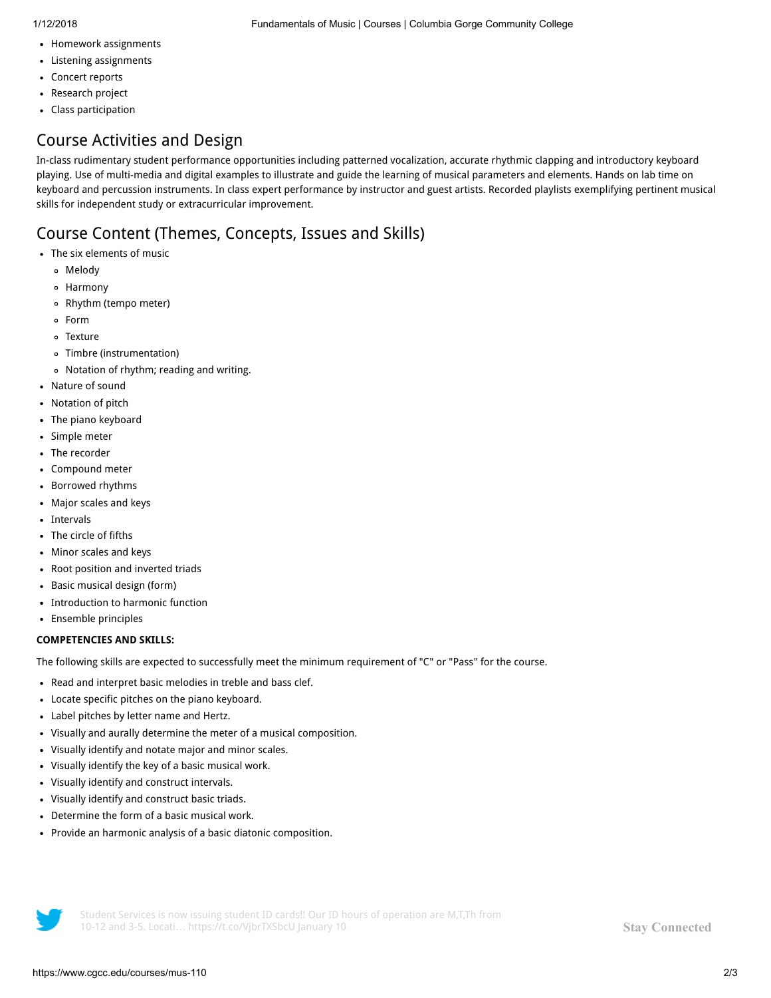- Homework assignments
- Listening assignments
- Concert reports
- Research project
- Class participation

# Course Activities and Design

In-class rudimentary student performance opportunities including patterned vocalization, accurate rhythmic clapping and introductory keyboard playing. Use of multi-media and digital examples to illustrate and guide the learning of musical parameters and elements. Hands on lab time on keyboard and percussion instruments. In class expert performance by instructor and guest artists. Recorded playlists exemplifying pertinent musical skills for independent study or extracurricular improvement.

# Course Content (Themes, Concepts, Issues and Skills)

- The six elements of music
	- Melody
	- Harmony
	- Rhythm (tempo meter)
	- Form
	- Texture
	- Timbre (instrumentation)
	- Notation of rhythm; reading and writing.
- Nature of sound  $\bullet$
- Notation of pitch
- The piano keyboard  $\bullet$
- Simple meter
- The recorder
- Compound meter
- Borrowed rhythms
- Major scales and keys  $\bullet$
- Intervals  $\bullet$
- The circle of fifths
- Minor scales and keys
- Root position and inverted triads
- Basic musical design (form)  $\bullet$
- Introduction to harmonic function  $\bullet$
- Ensemble principles  $\bullet$

#### COMPETENCIES AND SKILLS:

The following skills are expected to successfully meet the minimum requirement of "C" or "Pass" for the course.

- Read and interpret basic melodies in treble and bass clef.
- Locate specific pitches on the piano keyboard.
- Label pitches by letter name and Hertz.
- Visually and aurally determine the meter of a musical composition.  $\bullet$
- Visually identify and notate major and minor scales.  $\bullet$
- Visually identify the key of a basic musical work.  $\bullet$
- Visually identify and construct intervals.
- Visually identify and construct basic triads.  $\bullet$
- Determine the form of a basic musical work.  $\bullet$
- Provide an harmonic analysis of a basic diatonic composition.



Student Services is now issuing student ID cards!! Our ID hours of operation are M,T,Th from 10-12 and 3-5. Locati… <https://t.co/VjbrTXSbcU> January 10

Stay [Connected](https://www.cgcc.edu/social)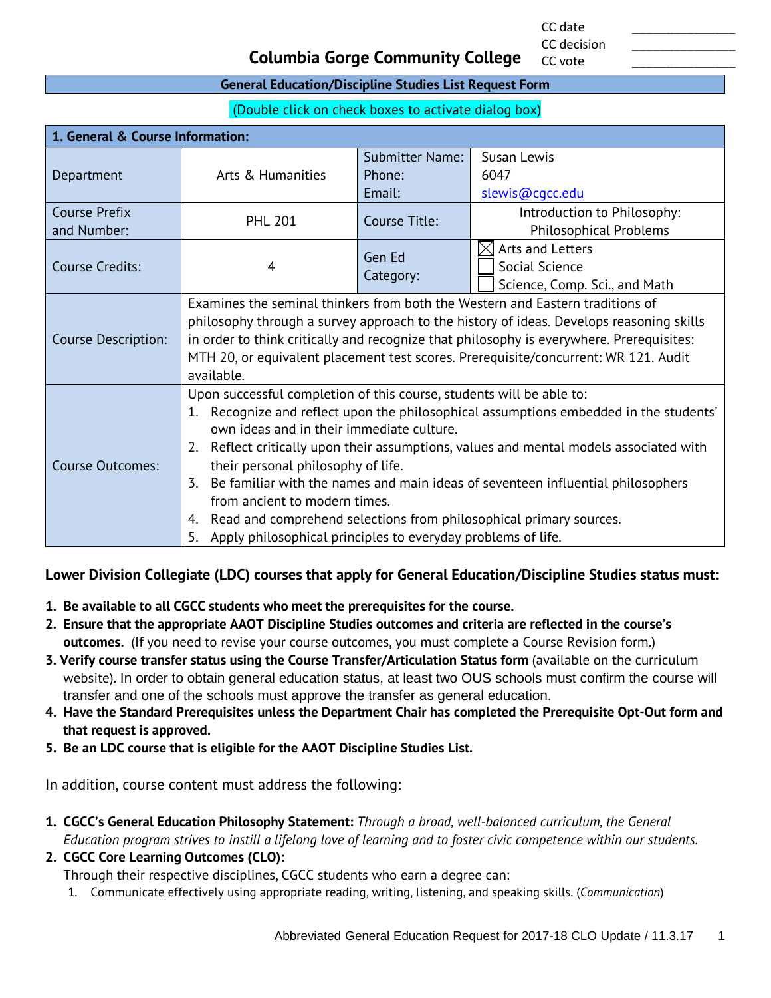CC date \_\_\_\_\_\_\_\_\_\_\_\_\_\_\_ CC decision

CC vote

#### **Columbia Gorge Community College**

#### **General Education/Discipline Studies List Request Form**

(Double click on check boxes to activate dialog box)

| 1. General & Course Information: |                                                                                                         |                        |                                                                                         |  |
|----------------------------------|---------------------------------------------------------------------------------------------------------|------------------------|-----------------------------------------------------------------------------------------|--|
|                                  |                                                                                                         | <b>Submitter Name:</b> | Susan Lewis                                                                             |  |
| Department                       | Arts & Humanities                                                                                       | Phone:                 | 6047                                                                                    |  |
|                                  |                                                                                                         | Email:                 | slewis@cgcc.edu                                                                         |  |
| <b>Course Prefix</b>             | <b>PHL 201</b>                                                                                          | Course Title:          | Introduction to Philosophy:                                                             |  |
| and Number:                      |                                                                                                         |                        | <b>Philosophical Problems</b>                                                           |  |
|                                  |                                                                                                         | Gen Ed                 | Arts and Letters                                                                        |  |
| Course Credits:                  | 4                                                                                                       | Category:              | Social Science                                                                          |  |
|                                  |                                                                                                         |                        | Science, Comp. Sci., and Math                                                           |  |
|                                  | Examines the seminal thinkers from both the Western and Eastern traditions of                           |                        |                                                                                         |  |
|                                  |                                                                                                         |                        | philosophy through a survey approach to the history of ideas. Develops reasoning skills |  |
| <b>Course Description:</b>       | in order to think critically and recognize that philosophy is everywhere. Prerequisites:                |                        |                                                                                         |  |
|                                  | MTH 20, or equivalent placement test scores. Prerequisite/concurrent: WR 121. Audit                     |                        |                                                                                         |  |
| available.                       |                                                                                                         |                        |                                                                                         |  |
|                                  | Upon successful completion of this course, students will be able to:                                    |                        |                                                                                         |  |
|                                  | 1.                                                                                                      |                        | Recognize and reflect upon the philosophical assumptions embedded in the students'      |  |
|                                  | own ideas and in their immediate culture.                                                               |                        |                                                                                         |  |
|                                  | 2.                                                                                                      |                        | Reflect critically upon their assumptions, values and mental models associated with     |  |
| <b>Course Outcomes:</b>          | their personal philosophy of life.                                                                      |                        |                                                                                         |  |
|                                  | Be familiar with the names and main ideas of seventeen influential philosophers<br>$\mathbf{Z}_{\cdot}$ |                        |                                                                                         |  |
|                                  | from ancient to modern times.                                                                           |                        |                                                                                         |  |
|                                  | Read and comprehend selections from philosophical primary sources.<br>4.                                |                        |                                                                                         |  |
|                                  | Apply philosophical principles to everyday problems of life.<br>5.                                      |                        |                                                                                         |  |

#### **Lower Division Collegiate (LDC) courses that apply for General Education/Discipline Studies status must:**

- **1. Be available to all CGCC students who meet the prerequisites for the course.**
- **2. Ensure that the appropriate AAOT Discipline Studies outcomes and criteria are reflected in the course's outcomes.** (If you need to revise your course outcomes, you must complete a Course Revision form.)
- **3. Verify course transfer status using the Course Transfer/Articulation Status form** (available on the curriculum website)**.** In order to obtain general education status, at least two OUS schools must confirm the course will transfer and one of the schools must approve the transfer as general education.
- **4. Have the Standard Prerequisites unless the Department Chair has completed the Prerequisite Opt-Out form and that request is approved.**
- **5. Be an LDC course that is eligible for the AAOT Discipline Studies List.**

In addition, course content must address the following:

- **1. CGCC's General Education Philosophy Statement:** *Through a broad, well-balanced curriculum, the General Education program strives to instill a lifelong love of learning and to foster civic competence within our students.*
- **2. CGCC Core Learning Outcomes (CLO):**

Through their respective disciplines, CGCC students who earn a degree can:

1. Communicate effectively using appropriate reading, writing, listening, and speaking skills. (*Communication*)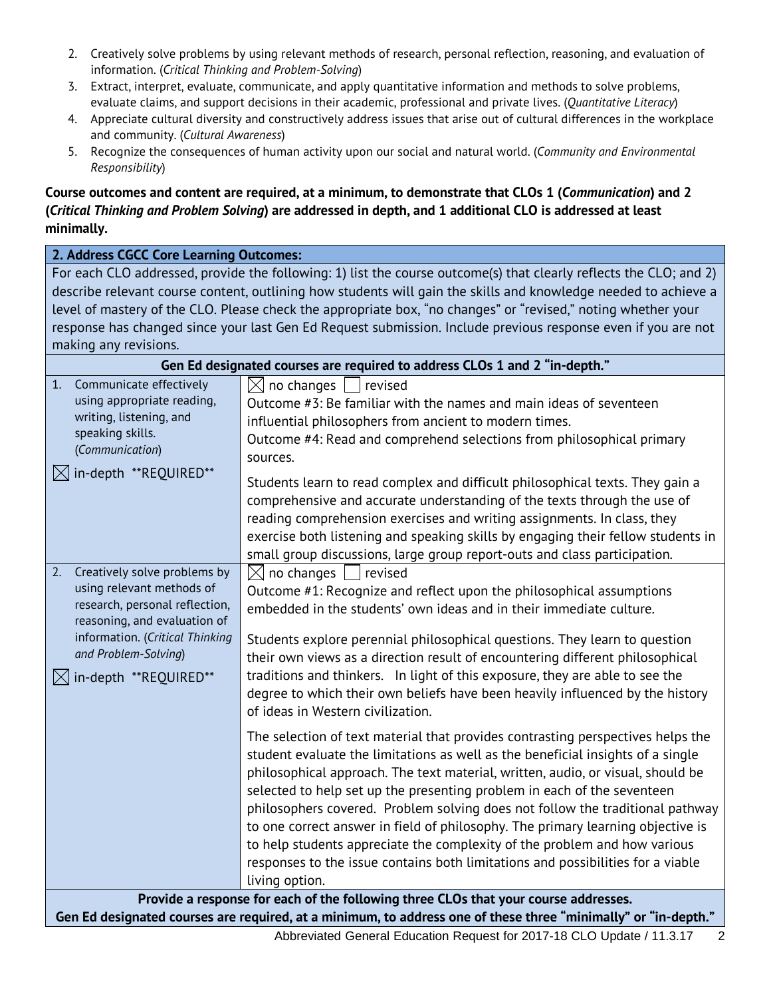- 2. Creatively solve problems by using relevant methods of research, personal reflection, reasoning, and evaluation of information. (*Critical Thinking and Problem-Solving*)
- 3. Extract, interpret, evaluate, communicate, and apply quantitative information and methods to solve problems, evaluate claims, and support decisions in their academic, professional and private lives. (*Quantitative Literacy*)
- 4. Appreciate cultural diversity and constructively address issues that arise out of cultural differences in the workplace and community. (*Cultural Awareness*)
- 5. Recognize the consequences of human activity upon our social and natural world. (*Community and Environmental Responsibility*)

#### **Course outcomes and content are required, at a minimum, to demonstrate that CLOs 1 (***Communication***) and 2 (***Critical Thinking and Problem Solving***) are addressed in depth, and 1 additional CLO is addressed at least minimally.**

#### **2. Address CGCC Core Learning Outcomes:**

For each CLO addressed, provide the following: 1) list the course outcome(s) that clearly reflects the CLO; and 2) describe relevant course content, outlining how students will gain the skills and knowledge needed to achieve a level of mastery of the CLO. Please check the appropriate box, "no changes" or "revised," noting whether your response has changed since your last Gen Ed Request submission. Include previous response even if you are not making any revisions.

| Gen Ed designated courses are required to address CLOs 1 and 2 "in-depth."                                                                                                                                                        |                                                                                                                                                                                                                                                                                                                                                                                                                                                                                                                                                                                                                                                                                        |  |  |
|-----------------------------------------------------------------------------------------------------------------------------------------------------------------------------------------------------------------------------------|----------------------------------------------------------------------------------------------------------------------------------------------------------------------------------------------------------------------------------------------------------------------------------------------------------------------------------------------------------------------------------------------------------------------------------------------------------------------------------------------------------------------------------------------------------------------------------------------------------------------------------------------------------------------------------------|--|--|
| Communicate effectively<br>1.<br>using appropriate reading,<br>writing, listening, and<br>speaking skills.<br>(Communication)<br>$\boxtimes$ in-depth **REQUIRED**                                                                | $\boxtimes$ no changes  <br>  revised<br>Outcome #3: Be familiar with the names and main ideas of seventeen<br>influential philosophers from ancient to modern times.<br>Outcome #4: Read and comprehend selections from philosophical primary<br>sources.<br>Students learn to read complex and difficult philosophical texts. They gain a                                                                                                                                                                                                                                                                                                                                            |  |  |
|                                                                                                                                                                                                                                   | comprehensive and accurate understanding of the texts through the use of<br>reading comprehension exercises and writing assignments. In class, they<br>exercise both listening and speaking skills by engaging their fellow students in<br>small group discussions, large group report-outs and class participation.                                                                                                                                                                                                                                                                                                                                                                   |  |  |
| Creatively solve problems by<br>2.<br>using relevant methods of<br>research, personal reflection,<br>reasoning, and evaluation of<br>information. (Critical Thinking<br>and Problem-Solving)<br>$\boxtimes$ in-depth **REQUIRED** | $\boxtimes$ no changes<br>revised<br>Outcome #1: Recognize and reflect upon the philosophical assumptions<br>embedded in the students' own ideas and in their immediate culture.<br>Students explore perennial philosophical questions. They learn to question<br>their own views as a direction result of encountering different philosophical<br>traditions and thinkers. In light of this exposure, they are able to see the<br>degree to which their own beliefs have been heavily influenced by the history<br>of ideas in Western civilization.                                                                                                                                  |  |  |
|                                                                                                                                                                                                                                   | The selection of text material that provides contrasting perspectives helps the<br>student evaluate the limitations as well as the beneficial insights of a single<br>philosophical approach. The text material, written, audio, or visual, should be<br>selected to help set up the presenting problem in each of the seventeen<br>philosophers covered. Problem solving does not follow the traditional pathway<br>to one correct answer in field of philosophy. The primary learning objective is<br>to help students appreciate the complexity of the problem and how various<br>responses to the issue contains both limitations and possibilities for a viable<br>living option. |  |  |
| Provide a response for each of the following three CLOs that your course addresses.                                                                                                                                               |                                                                                                                                                                                                                                                                                                                                                                                                                                                                                                                                                                                                                                                                                        |  |  |
| Gen Ed designated courses are required, at a minimum, to address one of these three "minimally" or "in-depth."                                                                                                                    |                                                                                                                                                                                                                                                                                                                                                                                                                                                                                                                                                                                                                                                                                        |  |  |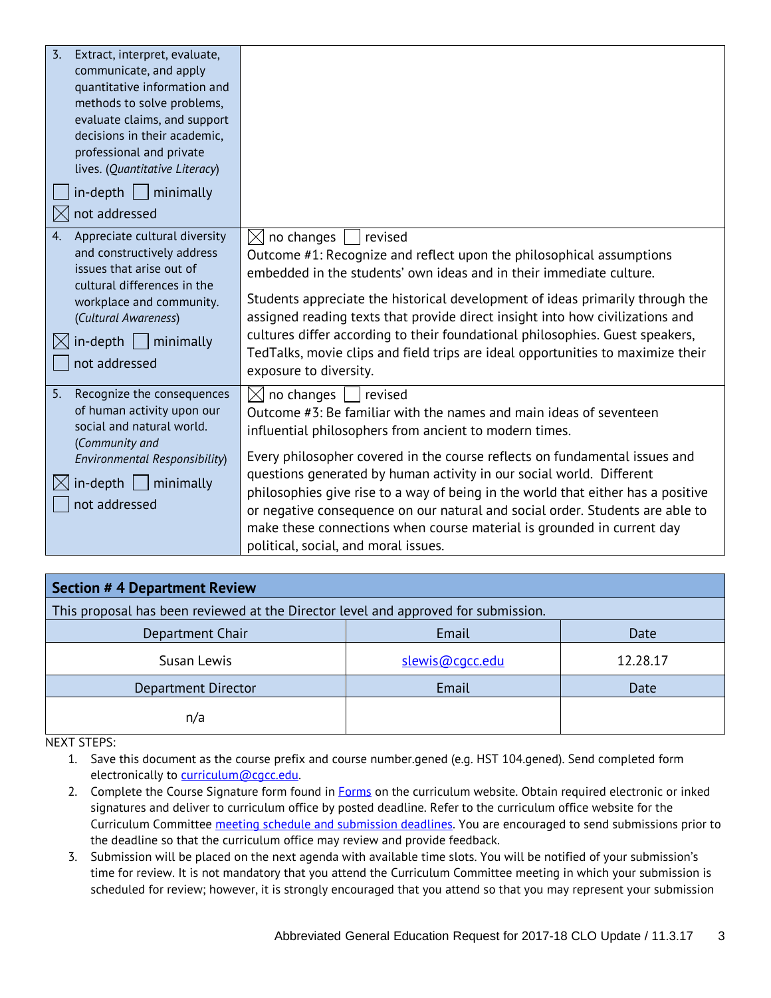| $\overline{3}$ .<br>Extract, interpret, evaluate,<br>communicate, and apply<br>quantitative information and<br>methods to solve problems,<br>evaluate claims, and support<br>decisions in their academic,<br>professional and private<br>lives. (Quantitative Literacy)<br>$in$ -depth     minimally<br>not addressed |                                                                                                                                                                                                                                                                                                                                                                                                                                                                                                                                                                                                                 |
|-----------------------------------------------------------------------------------------------------------------------------------------------------------------------------------------------------------------------------------------------------------------------------------------------------------------------|-----------------------------------------------------------------------------------------------------------------------------------------------------------------------------------------------------------------------------------------------------------------------------------------------------------------------------------------------------------------------------------------------------------------------------------------------------------------------------------------------------------------------------------------------------------------------------------------------------------------|
| Appreciate cultural diversity<br>4.<br>and constructively address<br>issues that arise out of<br>cultural differences in the<br>workplace and community.<br>(Cultural Awareness)<br>$in$ -depth     minimally<br>not addressed                                                                                        | $\boxtimes$ no changes<br>revised<br>Outcome #1: Recognize and reflect upon the philosophical assumptions<br>embedded in the students' own ideas and in their immediate culture.<br>Students appreciate the historical development of ideas primarily through the<br>assigned reading texts that provide direct insight into how civilizations and<br>cultures differ according to their foundational philosophies. Guest speakers,<br>TedTalks, movie clips and field trips are ideal opportunities to maximize their<br>exposure to diversity.                                                                |
| 5.<br>Recognize the consequences<br>of human activity upon our<br>social and natural world.<br>(Community and<br>Environmental Responsibility)<br>$in$ -depth $\Box$ minimally<br>not addressed                                                                                                                       | $\boxtimes$ no changes     revised<br>Outcome #3: Be familiar with the names and main ideas of seventeen<br>influential philosophers from ancient to modern times.<br>Every philosopher covered in the course reflects on fundamental issues and<br>questions generated by human activity in our social world. Different<br>philosophies give rise to a way of being in the world that either has a positive<br>or negative consequence on our natural and social order. Students are able to<br>make these connections when course material is grounded in current day<br>political, social, and moral issues. |

| <b>Section #4 Department Review</b>                                                |                 |          |  |
|------------------------------------------------------------------------------------|-----------------|----------|--|
| This proposal has been reviewed at the Director level and approved for submission. |                 |          |  |
| Email<br>Department Chair<br>Date                                                  |                 |          |  |
| Susan Lewis                                                                        | slewis@cgcc.edu | 12.28.17 |  |
| Department Director                                                                | Email           | Date     |  |
| n/a                                                                                |                 |          |  |

NEXT STEPS:

1. Save this document as the course prefix and course number.gened (e.g. HST 104.gened). Send completed form electronically to [curriculum@cgcc.edu.](mailto:curriculum@cgcc.edu)

- 2. Complete the Course Signature form found in [Forms](http://www.cgcc.edu/curriculum/forms) on the curriculum website. Obtain required electronic or inked signatures and deliver to curriculum office by posted deadline. Refer to the curriculum office website for the Curriculum Committee [meeting schedule and submission deadlines.](http://www.cgcc.cc.or.us/Academics/FacultyResources/cccalendar.cfm) You are encouraged to send submissions prior to the deadline so that the curriculum office may review and provide feedback.
- 3. Submission will be placed on the next agenda with available time slots. You will be notified of your submission's time for review. It is not mandatory that you attend the Curriculum Committee meeting in which your submission is scheduled for review; however, it is strongly encouraged that you attend so that you may represent your submission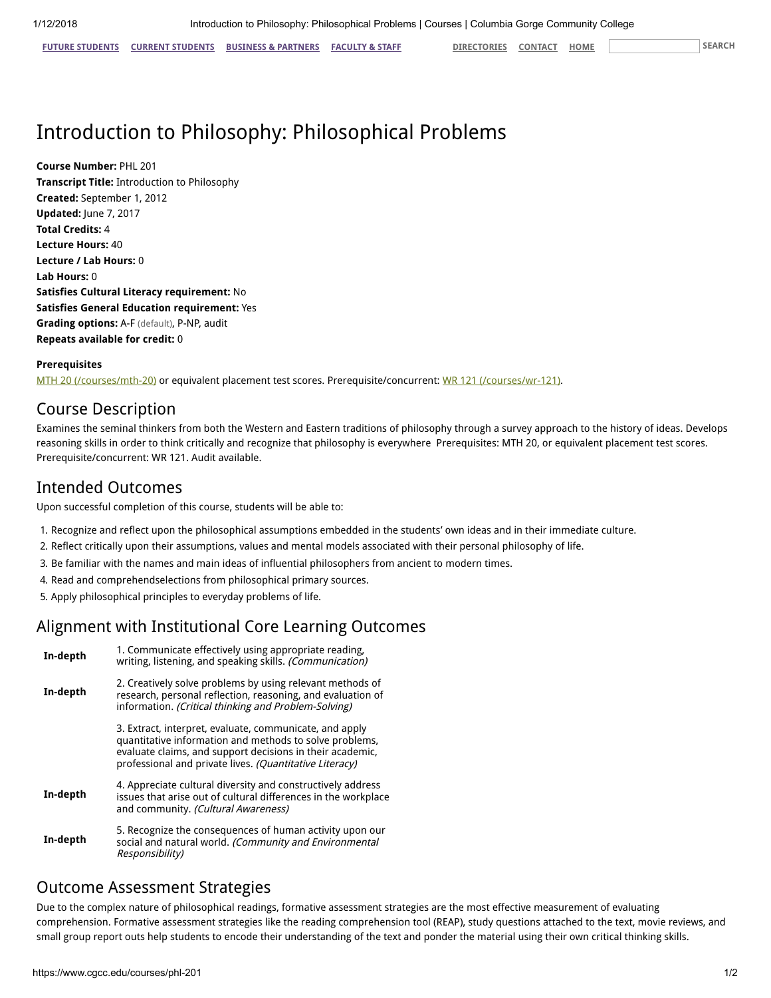FUTURE [STUDENTS](https://www.cgcc.edu/students) CURRENT STUDENTS BUSINESS & [PARTNERS](https://www.cgcc.edu/business-and-partners) [FACULTY](https://www.cgcc.edu/faculty-and-staff) & STAFF [DIRECTORIES](https://www.cgcc.edu/directories) [CONTACT](https://www.cgcc.edu/contact) [HOME](https://www.cgcc.edu/) SEARCH

# Introduction to Philosophy: Philosophical Problems

Course Number: PHL 201 Transcript Title: Introduction to Philosophy Created: September 1, 2012 Updated: June 7, 2017 Total Credits: 4 Lecture Hours: 40 Lecture / Lab Hours: 0 Lab Hours: 0 Satisfies Cultural Literacy requirement: No Satisfies General Education requirement: Yes Grading options: A-F (default), P-NP, audit Repeats available for credit: 0

#### Prerequisites

[MTH 20 \(/courses/mth-20\)](https://www.cgcc.edu/courses/mth-20) or equivalent placement test scores. Prerequisite/concurrent: [WR 121 \(/courses/wr-121\)](https://www.cgcc.edu/courses/wr-121).

#### Course Description

Examines the seminal thinkers from both the Western and Eastern traditions of philosophy through a survey approach to the history of ideas. Develops reasoning skills in order to think critically and recognize that philosophy is everywhere Prerequisites: MTH 20, or equivalent placement test scores. Prerequisite/concurrent: WR 121. Audit available.

### Intended Outcomes

Upon successful completion of this course, students will be able to:

- 1. Recognize and reflect upon the philosophical assumptions embedded in the students' own ideas and in their immediate culture.
- 2. Reflect critically upon their assumptions, values and mental models associated with their personal philosophy of life.
- 3. Be familiar with the names and main ideas of influential philosophers from ancient to modern times.
- 4. Read and comprehendselections from philosophical primary sources.
- 5. Apply philosophical principles to everyday problems of life.

#### Alignment with Institutional Core Learning Outcomes

| In-depth | 1. Communicate effectively using appropriate reading,<br>writing, listening, and speaking skills. (Communication)                                                                                                                          |  |
|----------|--------------------------------------------------------------------------------------------------------------------------------------------------------------------------------------------------------------------------------------------|--|
| In-depth | 2. Creatively solve problems by using relevant methods of<br>research, personal reflection, reasoning, and evaluation of<br>information. (Critical thinking and Problem-Solving)                                                           |  |
|          | 3. Extract, interpret, evaluate, communicate, and apply<br>quantitative information and methods to solve problems,<br>evaluate claims, and support decisions in their academic,<br>professional and private lives. (Quantitative Literacy) |  |
| In-depth | 4. Appreciate cultural diversity and constructively address<br>issues that arise out of cultural differences in the workplace<br>and community. (Cultural Awareness)                                                                       |  |
| In-depth | 5. Recognize the consequences of human activity upon our<br>social and natural world. (Community and Environmental<br>Responsibility)                                                                                                      |  |

#### Outcome Assessment Strategies

Due to the complex nature of philosophical readings, formative assessment strategies are the most effective measurement of evaluating comprehension. Formative assessment strategies like the reading comprehension tool (REAP), study questions attached to the text, movie reviews, and small group report outs help students to encode their understanding of the text and ponder the material using their own critical thinking skills.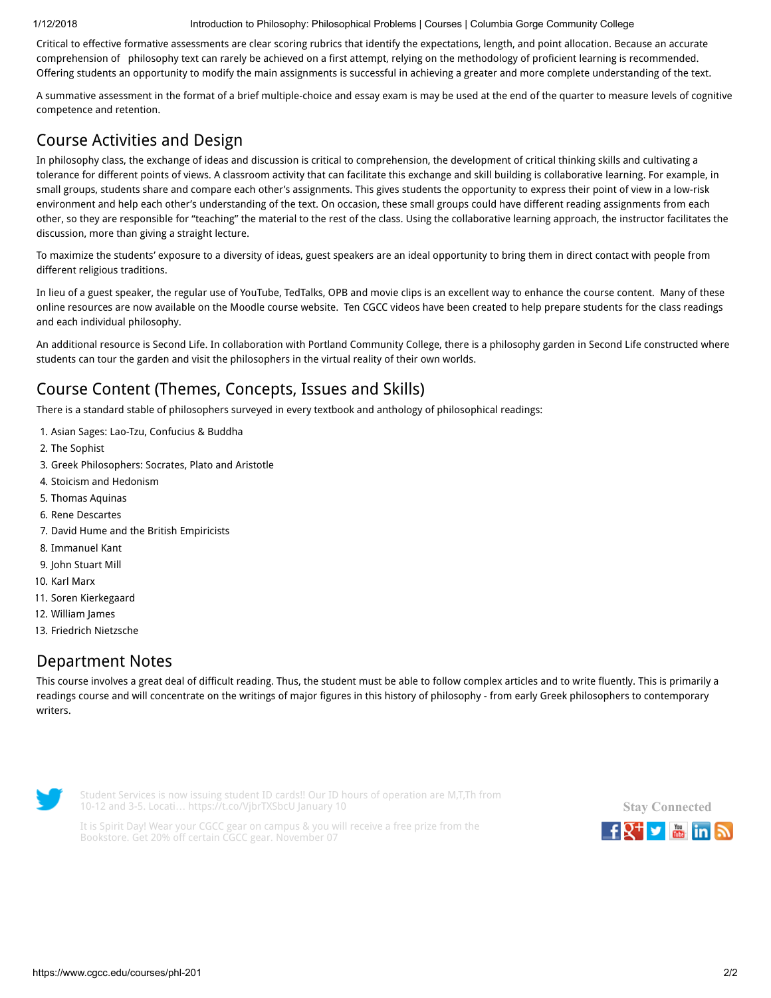1/12/2018 Introduction to Philosophy: Philosophical Problems | Courses | Columbia Gorge Community College

Critical to effective formative assessments are clear scoring rubrics that identify the expectations, length, and point allocation. Because an accurate comprehension of philosophy text can rarely be achieved on a first attempt, relying on the methodology of proficient learning is recommended. Offering students an opportunity to modify the main assignments is successful in achieving a greater and more complete understanding of the text.

A summative assessment in the format of a brief multiple-choice and essay exam is may be used at the end of the quarter to measure levels of cognitive competence and retention.

# Course Activities and Design

In philosophy class, the exchange of ideas and discussion is critical to comprehension, the development of critical thinking skills and cultivating a tolerance for different points of views. A classroom activity that can facilitate this exchange and skill building is collaborative learning. For example, in small groups, students share and compare each other's assignments. This gives students the opportunity to express their point of view in a low-risk environment and help each other's understanding of the text. On occasion, these small groups could have different reading assignments from each other, so they are responsible for "teaching" the material to the rest of the class. Using the collaborative learning approach, the instructor facilitates the discussion, more than giving a straight lecture.

To maximize the students' exposure to a diversity of ideas, guest speakers are an ideal opportunity to bring them in direct contact with people from different religious traditions.

In lieu of a guest speaker, the regular use of YouTube, TedTalks, OPB and movie clips is an excellent way to enhance the course content. Many of these online resources are now available on the Moodle course website. Ten CGCC videos have been created to help prepare students for the class readings and each individual philosophy.

An additional resource is Second Life. In collaboration with Portland Community College, there is a philosophy garden in Second Life constructed where students can tour the garden and visit the philosophers in the virtual reality of their own worlds.

# Course Content (Themes, Concepts, Issues and Skills)

There is a standard stable of philosophers surveyed in every textbook and anthology of philosophical readings:

- 1. Asian Sages: Lao-Tzu, Confucius & Buddha
- 2. The Sophist
- 3. Greek Philosophers: Socrates, Plato and Aristotle
- 4. Stoicism and Hedonism
- 5. Thomas Aquinas
- 6. Rene Descartes
- 7. David Hume and the British Empiricists
- 8. Immanuel Kant
- 9. John Stuart Mill
- 10. Karl Marx
- 11. Soren Kierkegaard
- 12. William James
- 13. Friedrich Nietzsche

#### Department Notes

This course involves a great deal of difficult reading. Thus, the student must be able to follow complex articles and to write fluently. This is primarily a readings course and will concentrate on the writings of major figures in this history of philosophy - from early Greek philosophers to contemporary writers.



Student Services is now issuing student ID cards!! Our ID hours of operation are M,T,Th from 10-12 and 3-5. Locati… <https://t.co/VjbrTXSbcU> January 10

It is Spirit Day! Wear your CGCC gear on campus & you will receive a free prize from the Bookstore. Get 20% off certain CGCC gear. November 07

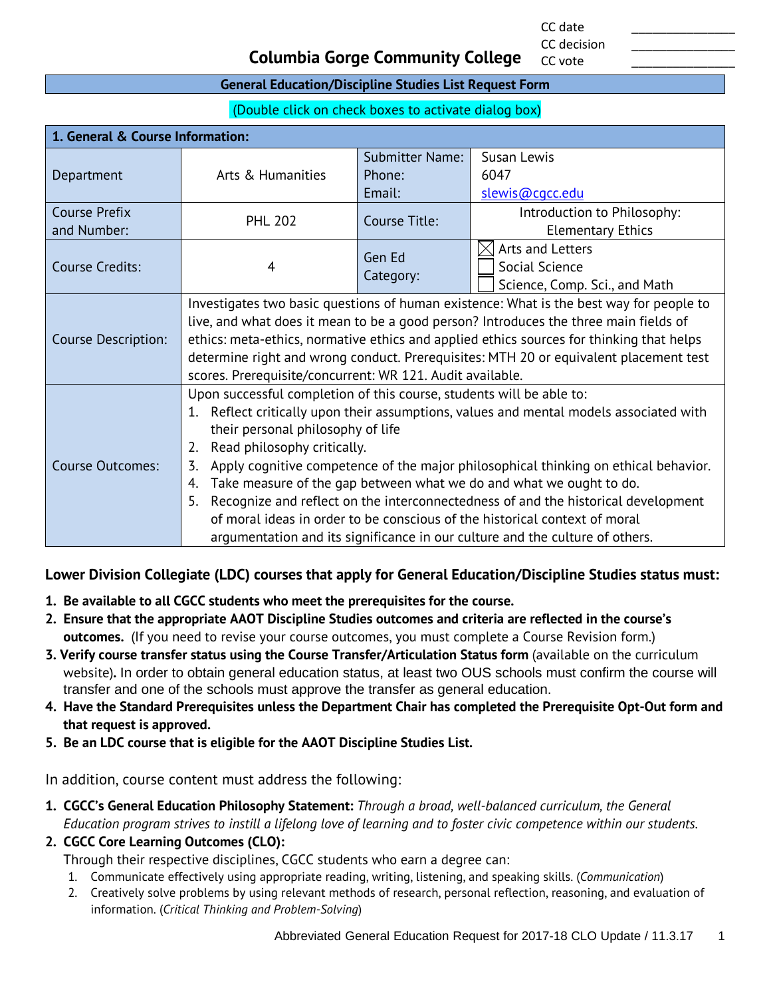CC date \_\_\_\_\_\_\_\_\_\_\_\_\_\_\_ CC decision

CC vote

#### **Columbia Gorge Community College**

#### **General Education/Discipline Studies List Request Form**

(Double click on check boxes to activate dialog box)

| 1. General & Course Information:    |                                                                                                                                                                                                                                                                                                                                                                                                                                                                                                                                                                                                                                                                                |                                  |                                                                     |
|-------------------------------------|--------------------------------------------------------------------------------------------------------------------------------------------------------------------------------------------------------------------------------------------------------------------------------------------------------------------------------------------------------------------------------------------------------------------------------------------------------------------------------------------------------------------------------------------------------------------------------------------------------------------------------------------------------------------------------|----------------------------------|---------------------------------------------------------------------|
| Department                          | Arts & Humanities                                                                                                                                                                                                                                                                                                                                                                                                                                                                                                                                                                                                                                                              | <b>Submitter Name:</b><br>Phone: | Susan Lewis<br>6047                                                 |
|                                     |                                                                                                                                                                                                                                                                                                                                                                                                                                                                                                                                                                                                                                                                                | Email:                           | slewis@cqcc.edu                                                     |
| <b>Course Prefix</b><br>and Number: | <b>PHL 202</b>                                                                                                                                                                                                                                                                                                                                                                                                                                                                                                                                                                                                                                                                 | Course Title:                    | Introduction to Philosophy:<br><b>Elementary Ethics</b>             |
| Course Credits:                     | 4                                                                                                                                                                                                                                                                                                                                                                                                                                                                                                                                                                                                                                                                              | Gen Ed<br>Category:              | Arts and Letters<br>Social Science<br>Science, Comp. Sci., and Math |
| <b>Course Description:</b>          | Investigates two basic questions of human existence: What is the best way for people to<br>live, and what does it mean to be a good person? Introduces the three main fields of<br>ethics: meta-ethics, normative ethics and applied ethics sources for thinking that helps<br>determine right and wrong conduct. Prerequisites: MTH 20 or equivalent placement test<br>scores. Prerequisite/concurrent: WR 121. Audit available.                                                                                                                                                                                                                                              |                                  |                                                                     |
| <b>Course Outcomes:</b>             | Upon successful completion of this course, students will be able to:<br>Reflect critically upon their assumptions, values and mental models associated with<br>1.<br>their personal philosophy of life<br>Read philosophy critically.<br>2.<br>Apply cognitive competence of the major philosophical thinking on ethical behavior.<br>3.<br>Take measure of the gap between what we do and what we ought to do.<br>4.<br>5.<br>Recognize and reflect on the interconnectedness of and the historical development<br>of moral ideas in order to be conscious of the historical context of moral<br>argumentation and its significance in our culture and the culture of others. |                                  |                                                                     |

#### **Lower Division Collegiate (LDC) courses that apply for General Education/Discipline Studies status must:**

- **1. Be available to all CGCC students who meet the prerequisites for the course.**
- **2. Ensure that the appropriate AAOT Discipline Studies outcomes and criteria are reflected in the course's outcomes.** (If you need to revise your course outcomes, you must complete a Course Revision form.)
- **3. Verify course transfer status using the Course Transfer/Articulation Status form** (available on the curriculum website)**.** In order to obtain general education status, at least two OUS schools must confirm the course will transfer and one of the schools must approve the transfer as general education.
- **4. Have the Standard Prerequisites unless the Department Chair has completed the Prerequisite Opt-Out form and that request is approved.**
- **5. Be an LDC course that is eligible for the AAOT Discipline Studies List.**

In addition, course content must address the following:

- **1. CGCC's General Education Philosophy Statement:** *Through a broad, well-balanced curriculum, the General Education program strives to instill a lifelong love of learning and to foster civic competence within our students.*
- **2. CGCC Core Learning Outcomes (CLO):**

Through their respective disciplines, CGCC students who earn a degree can:

- 1. Communicate effectively using appropriate reading, writing, listening, and speaking skills. (*Communication*)
- 2. Creatively solve problems by using relevant methods of research, personal reflection, reasoning, and evaluation of information. (*Critical Thinking and Problem-Solving*)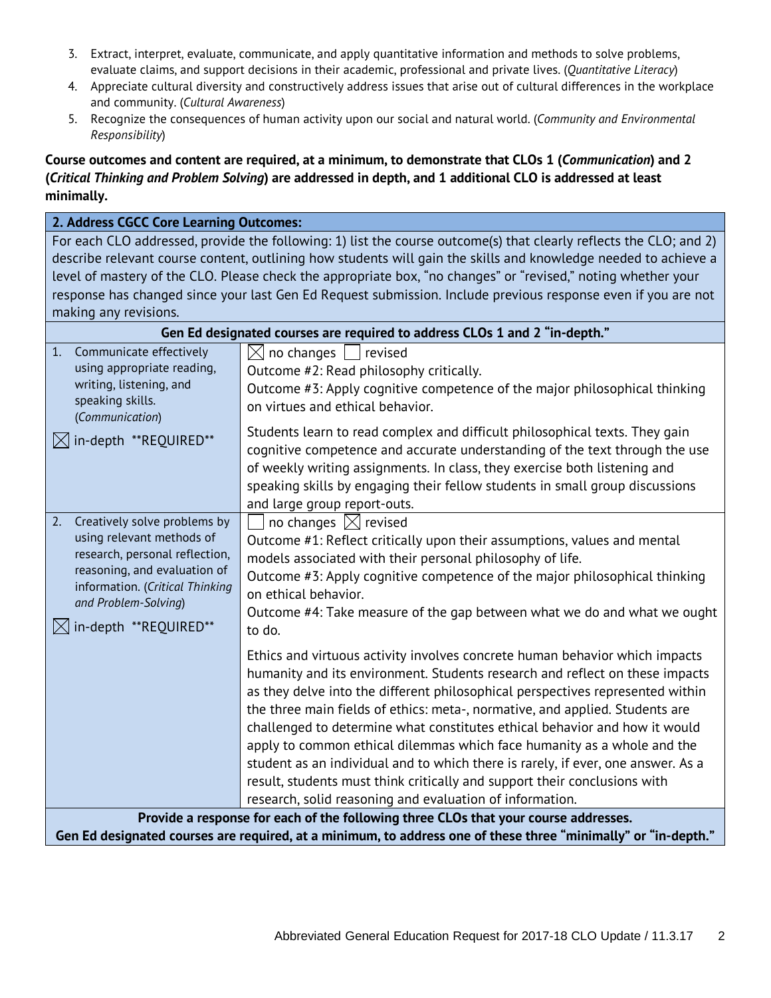- 3. Extract, interpret, evaluate, communicate, and apply quantitative information and methods to solve problems, evaluate claims, and support decisions in their academic, professional and private lives. (*Quantitative Literacy*)
- 4. Appreciate cultural diversity and constructively address issues that arise out of cultural differences in the workplace and community. (*Cultural Awareness*)
- 5. Recognize the consequences of human activity upon our social and natural world. (*Community and Environmental Responsibility*)

#### **Course outcomes and content are required, at a minimum, to demonstrate that CLOs 1 (***Communication***) and 2 (***Critical Thinking and Problem Solving***) are addressed in depth, and 1 additional CLO is addressed at least minimally.**

#### **2. Address CGCC Core Learning Outcomes:** For each CLO addressed, provide the following: 1) list the course outcome(s) that clearly reflects the CLO; and 2) describe relevant course content, outlining how students will gain the skills and knowledge needed to achieve a level of mastery of the CLO. Please check the appropriate box, "no changes" or "revised," noting whether your response has changed since your last Gen Ed Request submission. Include previous response even if you are not making any revisions. **Gen Ed designated courses are required to address CLOs 1 and 2 "in-depth."** 1. Communicate effectively using appropriate reading, writing, listening, and speaking skills. (*Communication*)  $\boxtimes$  in-depth \*\*REQUIRED\*\*  $\boxtimes$  no changes  $\Box$  revised Outcome #2: Read philosophy critically. Outcome #3: Apply cognitive competence of the major philosophical thinking on virtues and ethical behavior. Students learn to read complex and difficult philosophical texts. They gain cognitive competence and accurate understanding of the text through the use of weekly writing assignments. In class, they exercise both listening and speaking skills by engaging their fellow students in small group discussions and large group report-outs. 2. Creatively solve problems by using relevant methods of research, personal reflection, reasoning, and evaluation of information. (*Critical Thinking and Problem-Solving*)  $\boxtimes$  in-depth \*\*REQUIRED\*\*  $\exists$  no changes  $\boxtimes$  revised Outcome #1: Reflect critically upon their assumptions, values and mental models associated with their personal philosophy of life. Outcome #3: Apply cognitive competence of the major philosophical thinking on ethical behavior. Outcome #4: Take measure of the gap between what we do and what we ought to do. Ethics and virtuous activity involves concrete human behavior which impacts humanity and its environment. Students research and reflect on these impacts as they delve into the different philosophical perspectives represented within the three main fields of ethics: meta-, normative, and applied. Students are challenged to determine what constitutes ethical behavior and how it would apply to common ethical dilemmas which face humanity as a whole and the student as an individual and to which there is rarely, if ever, one answer. As a result, students must think critically and support their conclusions with research, solid reasoning and evaluation of information. **Provide a response for each of the following three CLOs that your course addresses. Gen Ed designated courses are required, at a minimum, to address one of these three "minimally" or "in-depth."**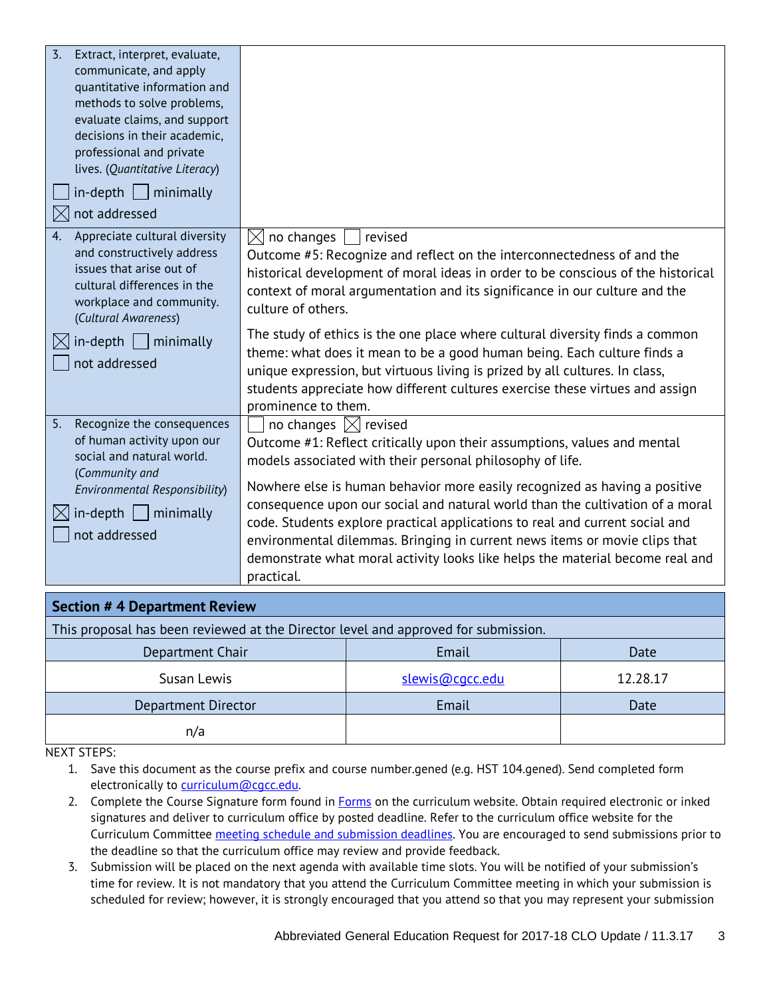| $\overline{3}$ .<br>Extract, interpret, evaluate,<br>communicate, and apply<br>quantitative information and<br>methods to solve problems,<br>evaluate claims, and support<br>decisions in their academic,<br>professional and private<br>lives. (Quantitative Literacy)<br>$in$ -depth     minimally<br>not addressed<br>IХ |                                                                                                                                                                                                                                                                                                                                                                                                                                                                                                                                                                                                     |                                                                                    |      |
|-----------------------------------------------------------------------------------------------------------------------------------------------------------------------------------------------------------------------------------------------------------------------------------------------------------------------------|-----------------------------------------------------------------------------------------------------------------------------------------------------------------------------------------------------------------------------------------------------------------------------------------------------------------------------------------------------------------------------------------------------------------------------------------------------------------------------------------------------------------------------------------------------------------------------------------------------|------------------------------------------------------------------------------------|------|
| Appreciate cultural diversity<br>4.<br>and constructively address<br>issues that arise out of<br>cultural differences in the<br>workplace and community.<br>(Cultural Awareness)                                                                                                                                            | $\boxtimes$ no changes<br>revised<br>Outcome #5: Recognize and reflect on the interconnectedness of and the<br>historical development of moral ideas in order to be conscious of the historical<br>context of moral argumentation and its significance in our culture and the<br>culture of others.                                                                                                                                                                                                                                                                                                 |                                                                                    |      |
| $in$ -depth     minimally<br>not addressed                                                                                                                                                                                                                                                                                  | The study of ethics is the one place where cultural diversity finds a common<br>theme: what does it mean to be a good human being. Each culture finds a<br>unique expression, but virtuous living is prized by all cultures. In class,<br>students appreciate how different cultures exercise these virtues and assign<br>prominence to them.                                                                                                                                                                                                                                                       |                                                                                    |      |
| 5.<br>Recognize the consequences<br>of human activity upon our<br>social and natural world.<br>(Community and<br>Environmental Responsibility)<br>$in$ -depth   minimally<br>not addressed                                                                                                                                  | no changes $\boxtimes$ revised<br>Outcome #1: Reflect critically upon their assumptions, values and mental<br>models associated with their personal philosophy of life.<br>Nowhere else is human behavior more easily recognized as having a positive<br>consequence upon our social and natural world than the cultivation of a moral<br>code. Students explore practical applications to real and current social and<br>environmental dilemmas. Bringing in current news items or movie clips that<br>demonstrate what moral activity looks like helps the material become real and<br>practical. |                                                                                    |      |
| <b>Section # 4 Department Review</b>                                                                                                                                                                                                                                                                                        |                                                                                                                                                                                                                                                                                                                                                                                                                                                                                                                                                                                                     |                                                                                    |      |
|                                                                                                                                                                                                                                                                                                                             |                                                                                                                                                                                                                                                                                                                                                                                                                                                                                                                                                                                                     | This proposal has been reviewed at the Director level and approved for submission. |      |
| Denartment Chair                                                                                                                                                                                                                                                                                                            |                                                                                                                                                                                                                                                                                                                                                                                                                                                                                                                                                                                                     | Email                                                                              | ∩ate |

| Department Chair    | Email           | Date     |
|---------------------|-----------------|----------|
| Susan Lewis         | slewis@cacc.edu | 12.28.17 |
| Department Director | Email           | Date     |
| n/a                 |                 |          |

NEXT STEPS:

1. Save this document as the course prefix and course number.gened (e.g. HST 104.gened). Send completed form electronically to [curriculum@cgcc.edu.](mailto:curriculum@cgcc.edu)

- 2. Complete the Course Signature form found in **Forms** on the curriculum website. Obtain required electronic or inked signatures and deliver to curriculum office by posted deadline. Refer to the curriculum office website for the Curriculum Committee [meeting schedule and submission deadlines.](http://www.cgcc.cc.or.us/Academics/FacultyResources/cccalendar.cfm) You are encouraged to send submissions prior to the deadline so that the curriculum office may review and provide feedback.
- 3. Submission will be placed on the next agenda with available time slots. You will be notified of your submission's time for review. It is not mandatory that you attend the Curriculum Committee meeting in which your submission is scheduled for review; however, it is strongly encouraged that you attend so that you may represent your submission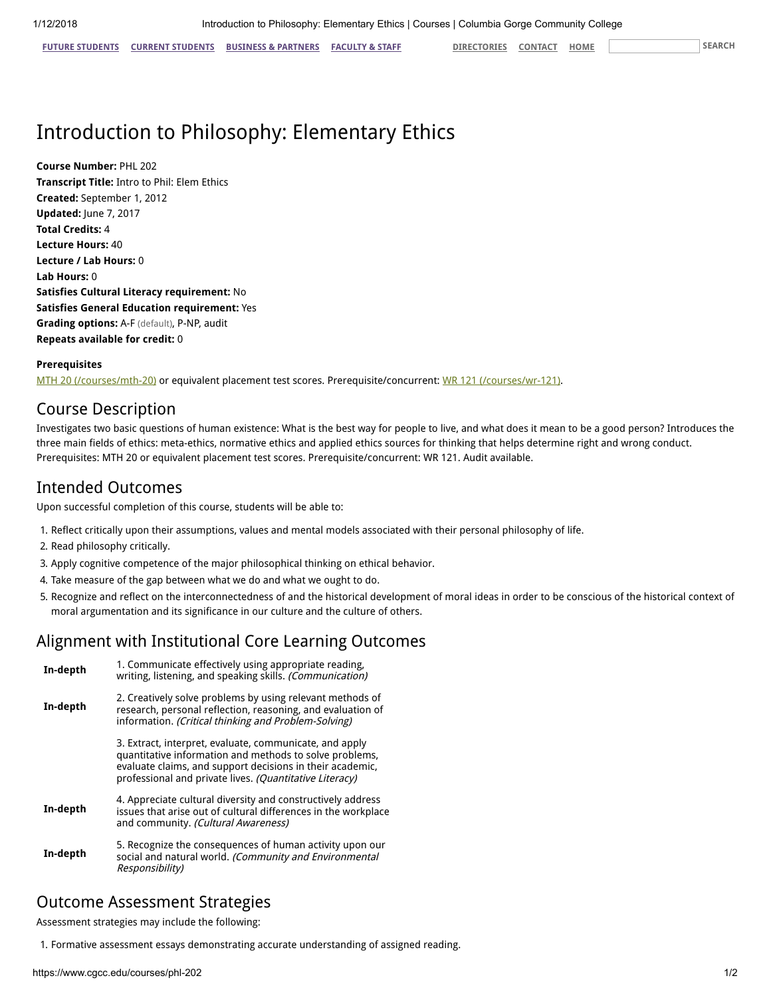FUTURE [STUDENTS](https://www.cgcc.edu/students) CURRENT STUDENTS BUSINESS & [PARTNERS](https://www.cgcc.edu/business-and-partners) [FACULTY](https://www.cgcc.edu/faculty-and-staff) & STAFF [DIRECTORIES](https://www.cgcc.edu/directories) [CONTACT](https://www.cgcc.edu/contact) [HOME](https://www.cgcc.edu/) SEARCH

# Introduction to Philosophy: Elementary Ethics

Course Number: PHL 202 Transcript Title: Intro to Phil: Elem Ethics Created: September 1, 2012 Updated: June 7, 2017 Total Credits: 4 Lecture Hours: 40 Lecture / Lab Hours: 0 Lab Hours: 0 Satisfies Cultural Literacy requirement: No Satisfies General Education requirement: Yes Grading options: A-F (default), P-NP, audit Repeats available for credit: 0

#### Prerequisites

[MTH 20 \(/courses/mth-20\)](https://www.cgcc.edu/courses/mth-20) or equivalent placement test scores. Prerequisite/concurrent: [WR 121 \(/courses/wr-121\)](https://www.cgcc.edu/courses/wr-121).

### Course Description

Investigates two basic questions of human existence: What is the best way for people to live, and what does it mean to be a good person? Introduces the three main fields of ethics: meta-ethics, normative ethics and applied ethics sources for thinking that helps determine right and wrong conduct. Prerequisites: MTH 20 or equivalent placement test scores. Prerequisite/concurrent: WR 121. Audit available.

### Intended Outcomes

Upon successful completion of this course, students will be able to:

- 1. Reflect critically upon their assumptions, values and mental models associated with their personal philosophy of life.
- 2. Read philosophy critically.
- 3. Apply cognitive competence of the major philosophical thinking on ethical behavior.
- 4. Take measure of the gap between what we do and what we ought to do.
- 5. Recognize and reflect on the interconnectedness of and the historical development of moral ideas in order to be conscious of the historical context of moral argumentation and its significance in our culture and the culture of others.

### Alignment with Institutional Core Learning Outcomes

| In-depth | 1. Communicate effectively using appropriate reading,<br>writing, listening, and speaking skills. (Communication)                                                                                                                          |
|----------|--------------------------------------------------------------------------------------------------------------------------------------------------------------------------------------------------------------------------------------------|
| In-depth | 2. Creatively solve problems by using relevant methods of<br>research, personal reflection, reasoning, and evaluation of<br>information. (Critical thinking and Problem-Solving)                                                           |
|          | 3. Extract, interpret, evaluate, communicate, and apply<br>quantitative information and methods to solve problems,<br>evaluate claims, and support decisions in their academic,<br>professional and private lives. (Quantitative Literacy) |
| In-depth | 4. Appreciate cultural diversity and constructively address<br>issues that arise out of cultural differences in the workplace<br>and community. (Cultural Awareness)                                                                       |
| In-depth | 5. Recognize the consequences of human activity upon our<br>social and natural world. (Community and Environmental<br>Responsibility)                                                                                                      |

### Outcome Assessment Strategies

Assessment strategies may include the following:

1. Formative assessment essays demonstrating accurate understanding of assigned reading.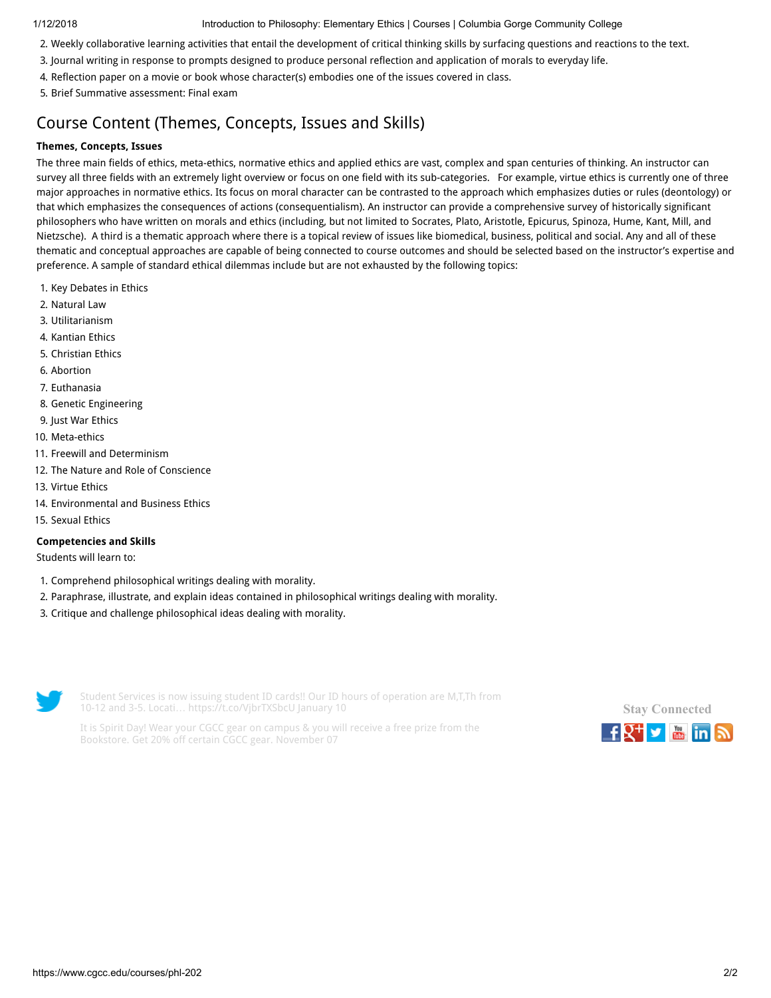1/12/2018 Introduction to Philosophy: Elementary Ethics | Courses | Columbia Gorge Community College

- 2. Weekly collaborative learning activities that entail the development of critical thinking skills by surfacing questions and reactions to the text.
- 3. Journal writing in response to prompts designed to produce personal reflection and application of morals to everyday life.
- 4. Reflection paper on a movie or book whose character(s) embodies one of the issues covered in class.
- 5. Brief Summative assessment: Final exam

# Course Content (Themes, Concepts, Issues and Skills)

#### Themes, Concepts, Issues

The three main fields of ethics, meta-ethics, normative ethics and applied ethics are vast, complex and span centuries of thinking. An instructor can survey all three fields with an extremely light overview or focus on one field with its sub-categories. For example, virtue ethics is currently one of three major approaches in normative ethics. Its focus on moral character can be contrasted to the approach which emphasizes duties or rules (deontology) or that which emphasizes the consequences of actions (consequentialism). An instructor can provide a comprehensive survey of historically significant philosophers who have written on morals and ethics (including, but not limited to Socrates, Plato, Aristotle, Epicurus, Spinoza, Hume, Kant, Mill, and Nietzsche). A third is a thematic approach where there is a topical review of issues like biomedical, business, political and social. Any and all of these thematic and conceptual approaches are capable of being connected to course outcomes and should be selected based on the instructor's expertise and preference. A sample of standard ethical dilemmas include but are not exhausted by the following topics:

- 1. Key Debates in Ethics
- 2. Natural Law
- 3. Utilitarianism
- 4. Kantian Ethics
- 5. Christian Ethics
- 6. Abortion
- 7. Euthanasia
- 8. Genetic Engineering
- 9. Just War Ethics
- 10. Meta-ethics
- 11. Freewill and Determinism
- 12. The Nature and Role of Conscience
- 13. Virtue Ethics
- 14. Environmental and Business Ethics
- 15. Sexual Ethics

#### Competencies and Skills

Students will learn to:

- 1. Comprehend philosophical writings dealing with morality.
- 2. Paraphrase, illustrate, and explain ideas contained in philosophical writings dealing with morality.
- 3. Critique and challenge philosophical ideas dealing with morality.



Student Services is now issuing student ID cards!! Our ID hours of operation are M,T,Th from 10-12 and 3-5. Locati… <https://t.co/VjbrTXSbcU> January 10

It is Spirit Day! Wear your CGCC gear on campus & you will receive a free prize from the Bookstore. Get 20% off certain CGCC gear. November 07

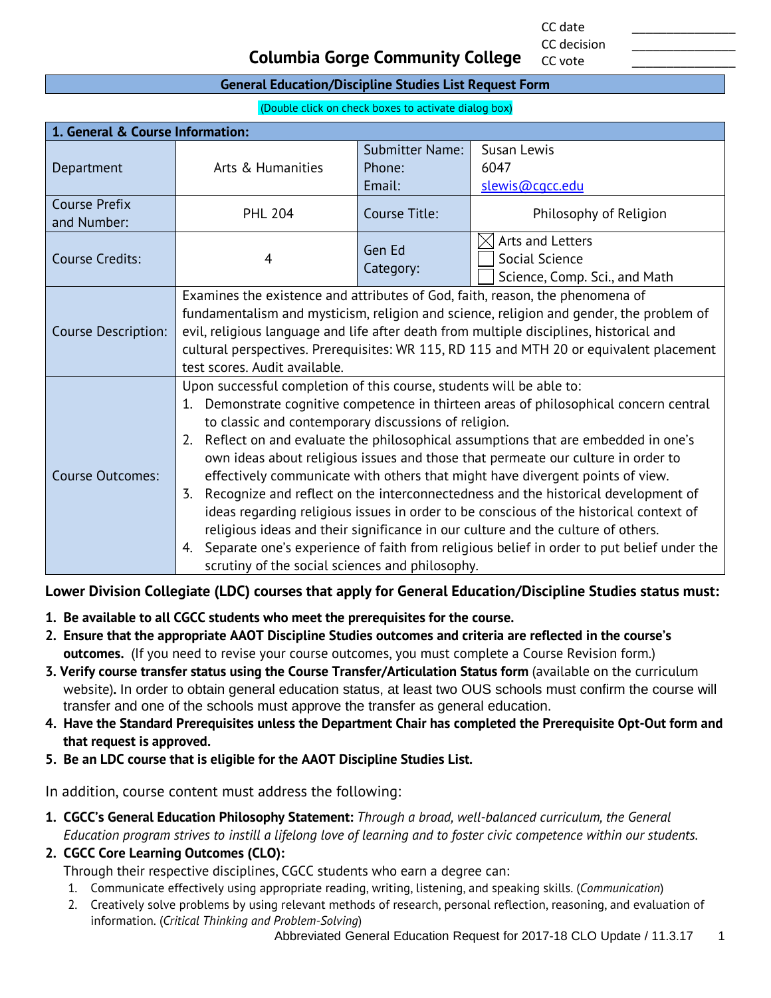CC date \_\_\_\_\_\_\_\_\_\_\_\_\_\_\_ CC decision

CC vote

#### **Columbia Gorge Community College**

#### **General Education/Discipline Studies List Request Form**

(Double click on check boxes to activate dialog box)

| 1. General & Course Information:    |                                                                                                                                                                                                                                                                                                                                                                                                                                                                                                                                                                                                                                                                                                                                                                                                                                                                                                                      |                        |                                                                     |
|-------------------------------------|----------------------------------------------------------------------------------------------------------------------------------------------------------------------------------------------------------------------------------------------------------------------------------------------------------------------------------------------------------------------------------------------------------------------------------------------------------------------------------------------------------------------------------------------------------------------------------------------------------------------------------------------------------------------------------------------------------------------------------------------------------------------------------------------------------------------------------------------------------------------------------------------------------------------|------------------------|---------------------------------------------------------------------|
|                                     |                                                                                                                                                                                                                                                                                                                                                                                                                                                                                                                                                                                                                                                                                                                                                                                                                                                                                                                      | <b>Submitter Name:</b> | Susan Lewis                                                         |
| Department                          | Arts & Humanities                                                                                                                                                                                                                                                                                                                                                                                                                                                                                                                                                                                                                                                                                                                                                                                                                                                                                                    | Phone:<br>Email:       | 6047<br>slewis@cgcc.edu                                             |
| <b>Course Prefix</b><br>and Number: | <b>PHL 204</b>                                                                                                                                                                                                                                                                                                                                                                                                                                                                                                                                                                                                                                                                                                                                                                                                                                                                                                       | Course Title:          | Philosophy of Religion                                              |
| Course Credits:                     | 4                                                                                                                                                                                                                                                                                                                                                                                                                                                                                                                                                                                                                                                                                                                                                                                                                                                                                                                    | Gen Ed<br>Category:    | Arts and Letters<br>Social Science<br>Science, Comp. Sci., and Math |
| <b>Course Description:</b>          | Examines the existence and attributes of God, faith, reason, the phenomena of<br>fundamentalism and mysticism, religion and science, religion and gender, the problem of<br>evil, religious language and life after death from multiple disciplines, historical and<br>cultural perspectives. Prerequisites: WR 115, RD 115 and MTH 20 or equivalent placement<br>test scores. Audit available.                                                                                                                                                                                                                                                                                                                                                                                                                                                                                                                      |                        |                                                                     |
| <b>Course Outcomes:</b>             | Upon successful completion of this course, students will be able to:<br>Demonstrate cognitive competence in thirteen areas of philosophical concern central<br>1.<br>to classic and contemporary discussions of religion.<br>2. Reflect on and evaluate the philosophical assumptions that are embedded in one's<br>own ideas about religious issues and those that permeate our culture in order to<br>effectively communicate with others that might have divergent points of view.<br>Recognize and reflect on the interconnectedness and the historical development of<br>3.<br>ideas regarding religious issues in order to be conscious of the historical context of<br>religious ideas and their significance in our culture and the culture of others.<br>Separate one's experience of faith from religious belief in order to put belief under the<br>4.<br>scrutiny of the social sciences and philosophy. |                        |                                                                     |

#### **Lower Division Collegiate (LDC) courses that apply for General Education/Discipline Studies status must:**

- **1. Be available to all CGCC students who meet the prerequisites for the course.**
- **2. Ensure that the appropriate AAOT Discipline Studies outcomes and criteria are reflected in the course's outcomes.** (If you need to revise your course outcomes, you must complete a Course Revision form.)
- **3. Verify course transfer status using the Course Transfer/Articulation Status form** (available on the curriculum website)**.** In order to obtain general education status, at least two OUS schools must confirm the course will transfer and one of the schools must approve the transfer as general education.
- **4. Have the Standard Prerequisites unless the Department Chair has completed the Prerequisite Opt-Out form and that request is approved.**
- **5. Be an LDC course that is eligible for the AAOT Discipline Studies List.**

In addition, course content must address the following:

**1. CGCC's General Education Philosophy Statement:** *Through a broad, well-balanced curriculum, the General Education program strives to instill a lifelong love of learning and to foster civic competence within our students.*

#### **2. CGCC Core Learning Outcomes (CLO):**

Through their respective disciplines, CGCC students who earn a degree can:

- 1. Communicate effectively using appropriate reading, writing, listening, and speaking skills. (*Communication*)
- 2. Creatively solve problems by using relevant methods of research, personal reflection, reasoning, and evaluation of information. (*Critical Thinking and Problem-Solving*)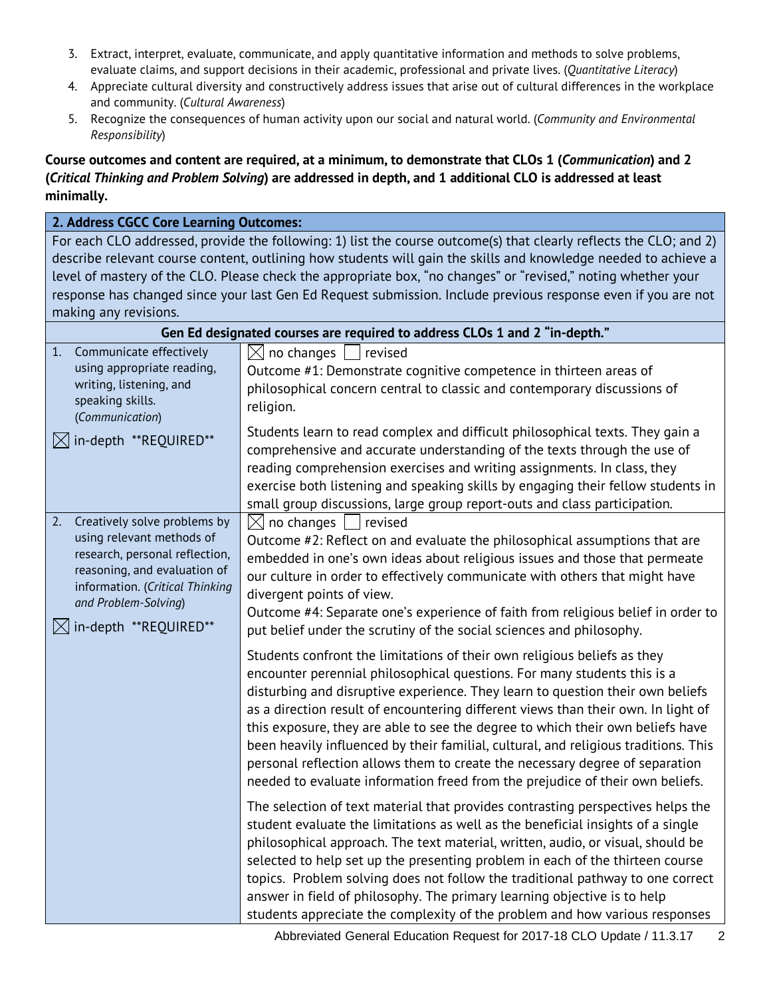- 3. Extract, interpret, evaluate, communicate, and apply quantitative information and methods to solve problems, evaluate claims, and support decisions in their academic, professional and private lives. (*Quantitative Literacy*)
- 4. Appreciate cultural diversity and constructively address issues that arise out of cultural differences in the workplace and community. (*Cultural Awareness*)
- 5. Recognize the consequences of human activity upon our social and natural world. (*Community and Environmental Responsibility*)

#### **Course outcomes and content are required, at a minimum, to demonstrate that CLOs 1 (***Communication***) and 2 (***Critical Thinking and Problem Solving***) are addressed in depth, and 1 additional CLO is addressed at least minimally.**

#### **2. Address CGCC Core Learning Outcomes:** For each CLO addressed, provide the following: 1) list the course outcome(s) that clearly reflects the CLO; and 2) describe relevant course content, outlining how students will gain the skills and knowledge needed to achieve a level of mastery of the CLO. Please check the appropriate box, "no changes" or "revised," noting whether your response has changed since your last Gen Ed Request submission. Include previous response even if you are not making any revisions. **Gen Ed designated courses are required to address CLOs 1 and 2 "in-depth."** 1. Communicate effectively using appropriate reading, writing, listening, and speaking skills. (*Communication*)  $\boxtimes$  in-depth \*\*REQUIRED\*\*  $\boxtimes$  no changes  $\Box$  revised Outcome #1: Demonstrate cognitive competence in thirteen areas of philosophical concern central to classic and contemporary discussions of religion. Students learn to read complex and difficult philosophical texts. They gain a comprehensive and accurate understanding of the texts through the use of reading comprehension exercises and writing assignments. In class, they exercise both listening and speaking skills by engaging their fellow students in small group discussions, large group report-outs and class participation. 2. Creatively solve problems by using relevant methods of research, personal reflection, reasoning, and evaluation of information. (*Critical Thinking and Problem-Solving*)  $\boxtimes$  in-depth \*\*REQUIRED\*\*  $\boxtimes$  no changes  $\parallel$  revised Outcome #2: Reflect on and evaluate the philosophical assumptions that are embedded in one's own ideas about religious issues and those that permeate our culture in order to effectively communicate with others that might have divergent points of view. Outcome #4: Separate one's experience of faith from religious belief in order to put belief under the scrutiny of the social sciences and philosophy. Students confront the limitations of their own religious beliefs as they encounter perennial philosophical questions. For many students this is a disturbing and disruptive experience. They learn to question their own beliefs as a direction result of encountering different views than their own. In light of this exposure, they are able to see the degree to which their own beliefs have been heavily influenced by their familial, cultural, and religious traditions. This personal reflection allows them to create the necessary degree of separation needed to evaluate information freed from the prejudice of their own beliefs. The selection of text material that provides contrasting perspectives helps the student evaluate the limitations as well as the beneficial insights of a single philosophical approach. The text material, written, audio, or visual, should be selected to help set up the presenting problem in each of the thirteen course topics. Problem solving does not follow the traditional pathway to one correct answer in field of philosophy. The primary learning objective is to help students appreciate the complexity of the problem and how various responses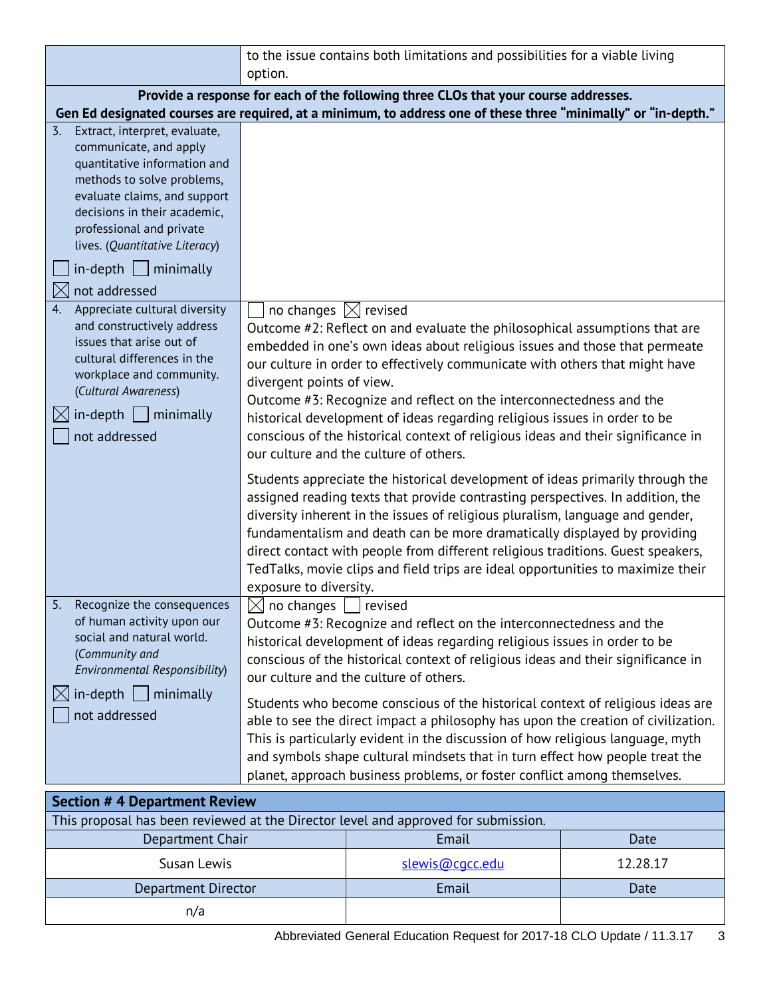|                                                                                                                                                                                                                                                                                     | to the issue contains both limitations and possibilities for a viable living<br>option.                                                                                                                                                                                                                                                                                                                                                                                                                                                                                                  |  |
|-------------------------------------------------------------------------------------------------------------------------------------------------------------------------------------------------------------------------------------------------------------------------------------|------------------------------------------------------------------------------------------------------------------------------------------------------------------------------------------------------------------------------------------------------------------------------------------------------------------------------------------------------------------------------------------------------------------------------------------------------------------------------------------------------------------------------------------------------------------------------------------|--|
|                                                                                                                                                                                                                                                                                     | Provide a response for each of the following three CLOs that your course addresses.                                                                                                                                                                                                                                                                                                                                                                                                                                                                                                      |  |
|                                                                                                                                                                                                                                                                                     | Gen Ed designated courses are required, at a minimum, to address one of these three "minimally" or "in-depth."                                                                                                                                                                                                                                                                                                                                                                                                                                                                           |  |
| 3. Extract, interpret, evaluate,<br>communicate, and apply<br>quantitative information and<br>methods to solve problems,<br>evaluate claims, and support<br>decisions in their academic,<br>professional and private<br>lives. (Quantitative Literacy)<br>$in$ -depth     minimally |                                                                                                                                                                                                                                                                                                                                                                                                                                                                                                                                                                                          |  |
| $\boxtimes$<br>not addressed                                                                                                                                                                                                                                                        |                                                                                                                                                                                                                                                                                                                                                                                                                                                                                                                                                                                          |  |
| 4.<br>Appreciate cultural diversity<br>and constructively address<br>issues that arise out of<br>cultural differences in the<br>workplace and community.<br>(Cultural Awareness)<br>$in$ -depth   minimally<br>not addressed                                                        | no changes $\boxtimes$ revised<br>Outcome #2: Reflect on and evaluate the philosophical assumptions that are<br>embedded in one's own ideas about religious issues and those that permeate<br>our culture in order to effectively communicate with others that might have<br>divergent points of view.<br>Outcome #3: Recognize and reflect on the interconnectedness and the<br>historical development of ideas regarding religious issues in order to be<br>conscious of the historical context of religious ideas and their significance in<br>our culture and the culture of others. |  |
|                                                                                                                                                                                                                                                                                     | Students appreciate the historical development of ideas primarily through the<br>assigned reading texts that provide contrasting perspectives. In addition, the<br>diversity inherent in the issues of religious pluralism, language and gender,<br>fundamentalism and death can be more dramatically displayed by providing<br>direct contact with people from different religious traditions. Guest speakers,<br>TedTalks, movie clips and field trips are ideal opportunities to maximize their<br>exposure to diversity.                                                             |  |
| 5.<br>Recognize the consequences<br>of human activity upon our<br>social and natural world.<br>(Community and<br>Environmental Responsibility)<br>$in$ -depth $\Box$ minimally<br>$ \times $<br>not addressed                                                                       | no changes $\Box$<br>revised<br>Outcome #3: Recognize and reflect on the interconnectedness and the<br>historical development of ideas regarding religious issues in order to be<br>conscious of the historical context of religious ideas and their significance in<br>our culture and the culture of others.                                                                                                                                                                                                                                                                           |  |
|                                                                                                                                                                                                                                                                                     | Students who become conscious of the historical context of religious ideas are<br>able to see the direct impact a philosophy has upon the creation of civilization.<br>This is particularly evident in the discussion of how religious language, myth<br>and symbols shape cultural mindsets that in turn effect how people treat the<br>planet, approach business problems, or foster conflict among themselves.                                                                                                                                                                        |  |
| <b>Section # 4 Department Review</b>                                                                                                                                                                                                                                                |                                                                                                                                                                                                                                                                                                                                                                                                                                                                                                                                                                                          |  |

| This proposal has been reviewed at the Director level and approved for submission. |                 |          |
|------------------------------------------------------------------------------------|-----------------|----------|
| Department Chair                                                                   | Email           | Date     |
| Susan Lewis                                                                        | slewis@cacc.edu | 12.28.17 |
| Department Director                                                                | Email           | Date     |
| n/a                                                                                |                 |          |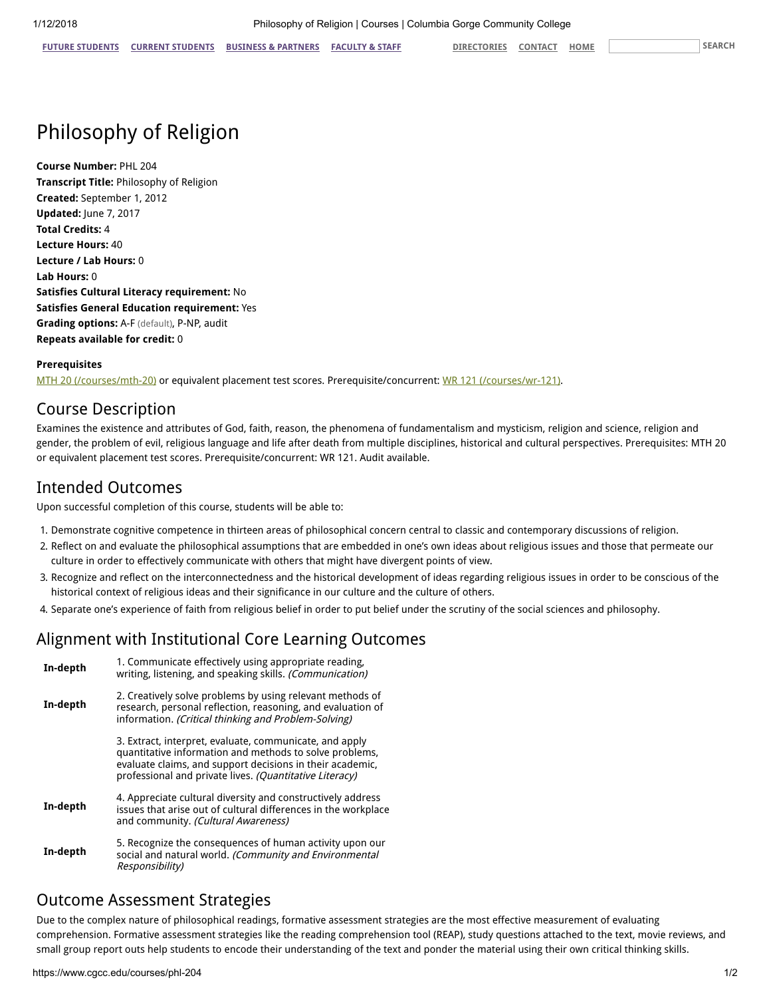# Philosophy of Religion

Course Number: PHL 204 Transcript Title: Philosophy of Religion Created: September 1, 2012 Updated: June 7, 2017 Total Credits: 4 Lecture Hours: 40 Lecture / Lab Hours: 0 Lab Hours: 0 Satisfies Cultural Literacy requirement: No Satisfies General Education requirement: Yes Grading options: A-F (default), P-NP, audit Repeats available for credit: 0

#### Prerequisites

[MTH 20 \(/courses/mth-20\)](https://www.cgcc.edu/courses/mth-20) or equivalent placement test scores. Prerequisite/concurrent: [WR 121 \(/courses/wr-121\)](https://www.cgcc.edu/courses/wr-121).

#### Course Description

Examines the existence and attributes of God, faith, reason, the phenomena of fundamentalism and mysticism, religion and science, religion and gender, the problem of evil, religious language and life after death from multiple disciplines, historical and cultural perspectives. Prerequisites: MTH 20 or equivalent placement test scores. Prerequisite/concurrent: WR 121. Audit available.

#### Intended Outcomes

Upon successful completion of this course, students will be able to:

- 1. Demonstrate cognitive competence in thirteen areas of philosophical concern central to classic and contemporary discussions of religion.
- 2. Reflect on and evaluate the philosophical assumptions that are embedded in one's own ideas about religious issues and those that permeate our culture in order to effectively communicate with others that might have divergent points of view.
- 3. Recognize and reflect on the interconnectedness and the historical development of ideas regarding religious issues in order to be conscious of the historical context of religious ideas and their significance in our culture and the culture of others.
- 4. Separate one's experience of faith from religious belief in order to put belief under the scrutiny of the social sciences and philosophy.

#### Alignment with Institutional Core Learning Outcomes

| In-depth | 1. Communicate effectively using appropriate reading.<br>writing, listening, and speaking skills. (Communication)                                                                                                                          |
|----------|--------------------------------------------------------------------------------------------------------------------------------------------------------------------------------------------------------------------------------------------|
| In-depth | 2. Creatively solve problems by using relevant methods of<br>research, personal reflection, reasoning, and evaluation of<br>information. (Critical thinking and Problem-Solving)                                                           |
|          | 3. Extract, interpret, evaluate, communicate, and apply<br>quantitative information and methods to solve problems,<br>evaluate claims, and support decisions in their academic,<br>professional and private lives. (Quantitative Literacy) |
| In-depth | 4. Appreciate cultural diversity and constructively address<br>issues that arise out of cultural differences in the workplace<br>and community. (Cultural Awareness)                                                                       |
| In-depth | 5. Recognize the consequences of human activity upon our<br>social and natural world. (Community and Environmental<br>Responsibility)                                                                                                      |

#### Outcome Assessment Strategies

Due to the complex nature of philosophical readings, formative assessment strategies are the most effective measurement of evaluating comprehension. Formative assessment strategies like the reading comprehension tool (REAP), study questions attached to the text, movie reviews, and small group report outs help students to encode their understanding of the text and ponder the material using their own critical thinking skills.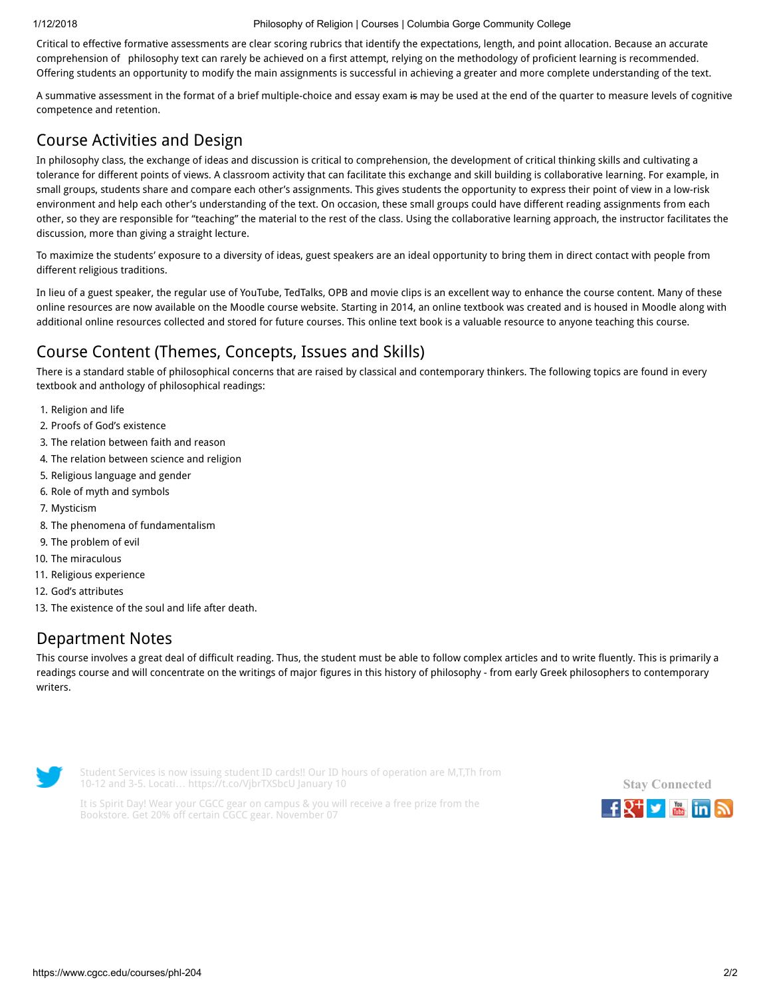#### 1/12/2018 Philosophy of Religion | Courses | Columbia Gorge Community College

Critical to effective formative assessments are clear scoring rubrics that identify the expectations, length, and point allocation. Because an accurate comprehension of philosophy text can rarely be achieved on a first attempt, relying on the methodology of proficient learning is recommended. Offering students an opportunity to modify the main assignments is successful in achieving a greater and more complete understanding of the text.

A summative assessment in the format of a brief multiple-choice and essay exam is may be used at the end of the quarter to measure levels of cognitive competence and retention.

# Course Activities and Design

In philosophy class, the exchange of ideas and discussion is critical to comprehension, the development of critical thinking skills and cultivating a tolerance for different points of views. A classroom activity that can facilitate this exchange and skill building is collaborative learning. For example, in small groups, students share and compare each other's assignments. This gives students the opportunity to express their point of view in a low-risk environment and help each other's understanding of the text. On occasion, these small groups could have different reading assignments from each other, so they are responsible for "teaching" the material to the rest of the class. Using the collaborative learning approach, the instructor facilitates the discussion, more than giving a straight lecture.

To maximize the students' exposure to a diversity of ideas, guest speakers are an ideal opportunity to bring them in direct contact with people from different religious traditions.

In lieu of a guest speaker, the regular use of YouTube, TedTalks, OPB and movie clips is an excellent way to enhance the course content. Many of these online resources are now available on the Moodle course website. Starting in 2014, an online textbook was created and is housed in Moodle along with additional online resources collected and stored for future courses. This online text book is a valuable resource to anyone teaching this course.

# Course Content (Themes, Concepts, Issues and Skills)

There is a standard stable of philosophical concerns that are raised by classical and contemporary thinkers. The following topics are found in every textbook and anthology of philosophical readings:

- 1. Religion and life
- 2. Proofs of God's existence
- 3. The relation between faith and reason
- 4. The relation between science and religion
- 5. Religious language and gender
- 6. Role of myth and symbols
- 7. Mysticism
- 8. The phenomena of fundamentalism
- 9. The problem of evil
- 10. The miraculous
- 11. Religious experience
- 12. God's attributes
- 13. The existence of the soul and life after death.

### Department Notes

This course involves a great deal of difficult reading. Thus, the student must be able to follow complex articles and to write fluently. This is primarily a readings course and will concentrate on the writings of major figures in this history of philosophy - from early Greek philosophers to contemporary writers.



Student Services is now issuing student ID cards!! Our ID hours of operation are M,T,Th from 10-12 and 3-5. Locati… <https://t.co/VjbrTXSbcU> January 10



It is Spirit Day! Wear your CGCC gear on campus & you will receive a free prize from the Bookstore. Get 20% off certain CGCC gear. November 07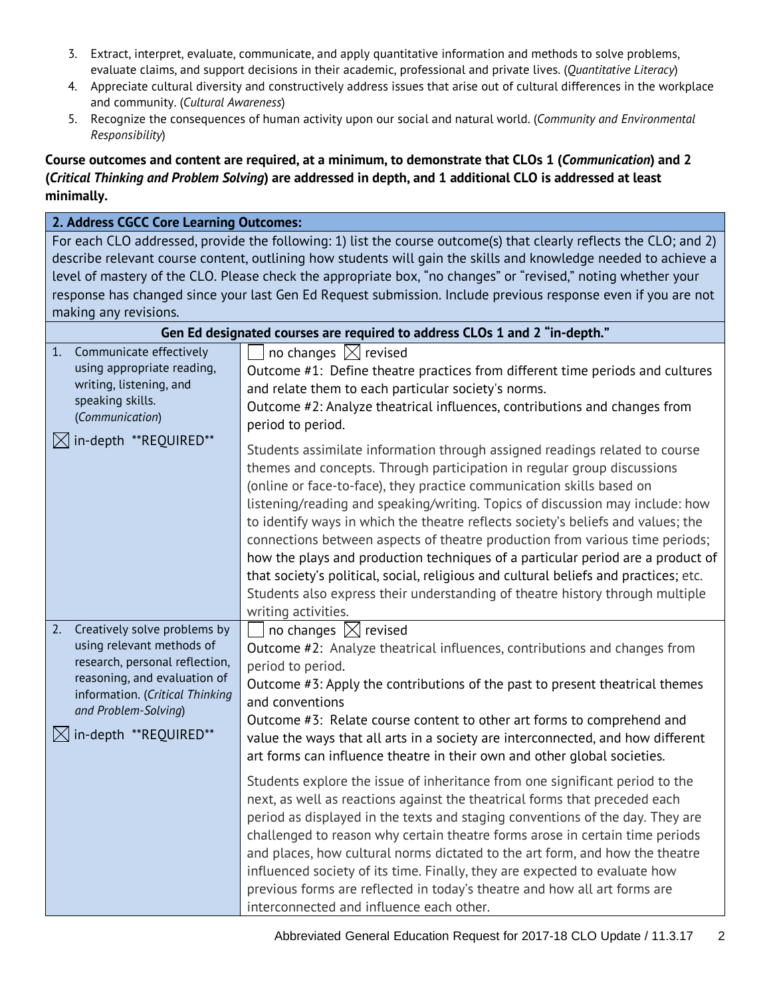- 3. Extract, interpret, evaluate, communicate, and apply quantitative information and methods to solve problems, evaluate claims, and support decisions in their academic, professional and private lives. (*Quantitative Literacy*)
- 4. Appreciate cultural diversity and constructively address issues that arise out of cultural differences in the workplace and community. (*Cultural Awareness*)
- 5. Recognize the consequences of human activity upon our social and natural world. (*Community and Environmental Responsibility*)

### **Course outcomes and content are required, at a minimum, to demonstrate that CLOs 1 (***Communication***) and 2 (***Critical Thinking and Problem Solving***) are addressed in depth, and 1 additional CLO is addressed at least minimally.**

### **2. Address CGCC Core Learning Outcomes:**

For each CLO addressed, provide the following: 1) list the course outcome(s) that clearly reflects the CLO; and 2) describe relevant course content, outlining how students will gain the skills and knowledge needed to achieve a level of mastery of the CLO. Please check the appropriate box, "no changes" or "revised," noting whether your response has changed since your last Gen Ed Request submission. Include previous response even if you are not making any revisions.

| Gen Ed designated courses are required to address CLOs 1 and 2 "in-depth."                                                                                                                                                        |                                                                                                                                                                                                                                                                                                                                                                                                                                                                                                                                                                                                                                                                                                                                                                         |  |
|-----------------------------------------------------------------------------------------------------------------------------------------------------------------------------------------------------------------------------------|-------------------------------------------------------------------------------------------------------------------------------------------------------------------------------------------------------------------------------------------------------------------------------------------------------------------------------------------------------------------------------------------------------------------------------------------------------------------------------------------------------------------------------------------------------------------------------------------------------------------------------------------------------------------------------------------------------------------------------------------------------------------------|--|
| 1.<br>Communicate effectively<br>using appropriate reading,<br>writing, listening, and<br>speaking skills.<br>(Communication)<br>$\bowtie$ in-depth **REQUIRED**                                                                  | no changes $\boxtimes$ revised<br>Outcome #1: Define theatre practices from different time periods and cultures<br>and relate them to each particular society's norms.<br>Outcome #2: Analyze theatrical influences, contributions and changes from<br>period to period.                                                                                                                                                                                                                                                                                                                                                                                                                                                                                                |  |
|                                                                                                                                                                                                                                   | Students assimilate information through assigned readings related to course<br>themes and concepts. Through participation in regular group discussions<br>(online or face-to-face), they practice communication skills based on<br>listening/reading and speaking/writing. Topics of discussion may include: how<br>to identify ways in which the theatre reflects society's beliefs and values; the<br>connections between aspects of theatre production from various time periods;<br>how the plays and production techniques of a particular period are a product of<br>that society's political, social, religious and cultural beliefs and practices; etc.<br>Students also express their understanding of theatre history through multiple<br>writing activities. |  |
| Creatively solve problems by<br>2.<br>using relevant methods of<br>research, personal reflection,<br>reasoning, and evaluation of<br>information. (Critical Thinking<br>and Problem-Solving)<br>$\boxtimes$ in-depth **REQUIRED** | no changes $\boxtimes$ revised<br>Outcome #2: Analyze theatrical influences, contributions and changes from<br>period to period.<br>Outcome #3: Apply the contributions of the past to present theatrical themes<br>and conventions<br>Outcome #3: Relate course content to other art forms to comprehend and<br>value the ways that all arts in a society are interconnected, and how different<br>art forms can influence theatre in their own and other global societies.                                                                                                                                                                                                                                                                                            |  |
|                                                                                                                                                                                                                                   | Students explore the issue of inheritance from one significant period to the<br>next, as well as reactions against the theatrical forms that preceded each<br>period as displayed in the texts and staging conventions of the day. They are<br>challenged to reason why certain theatre forms arose in certain time periods<br>and places, how cultural norms dictated to the art form, and how the theatre<br>influenced society of its time. Finally, they are expected to evaluate how<br>previous forms are reflected in today's theatre and how all art forms are<br>interconnected and influence each other.                                                                                                                                                      |  |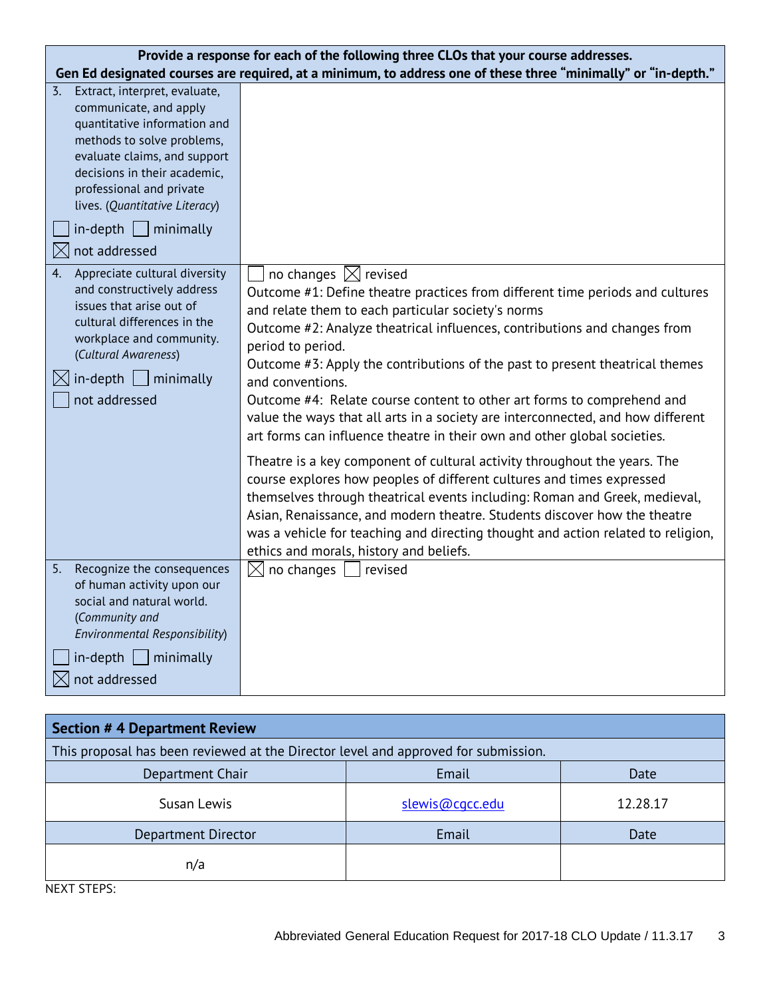| Provide a response for each of the following three CLOs that your course addresses.                                                                                                                                                                                                                        |                                                                                                                                                                                                                                                                                                                                                                                                                                                                                                                                                                                                                                                                                                   |  |
|------------------------------------------------------------------------------------------------------------------------------------------------------------------------------------------------------------------------------------------------------------------------------------------------------------|---------------------------------------------------------------------------------------------------------------------------------------------------------------------------------------------------------------------------------------------------------------------------------------------------------------------------------------------------------------------------------------------------------------------------------------------------------------------------------------------------------------------------------------------------------------------------------------------------------------------------------------------------------------------------------------------------|--|
| Gen Ed designated courses are required, at a minimum, to address one of these three "minimally" or "in-depth."                                                                                                                                                                                             |                                                                                                                                                                                                                                                                                                                                                                                                                                                                                                                                                                                                                                                                                                   |  |
| Extract, interpret, evaluate,<br>3.<br>communicate, and apply<br>quantitative information and<br>methods to solve problems,<br>evaluate claims, and support<br>decisions in their academic,<br>professional and private<br>lives. (Quantitative Literacy)<br>$in$ -depth $\Box$ minimally<br>not addressed |                                                                                                                                                                                                                                                                                                                                                                                                                                                                                                                                                                                                                                                                                                   |  |
| $\times$<br>Appreciate cultural diversity<br>4.<br>and constructively address<br>issues that arise out of<br>cultural differences in the<br>workplace and community.<br>(Cultural Awareness)<br>$in$ -depth $ $<br>$\mid$ minimally<br>not addressed                                                       | no changes $\boxtimes$ revised<br>Outcome #1: Define theatre practices from different time periods and cultures<br>and relate them to each particular society's norms<br>Outcome #2: Analyze theatrical influences, contributions and changes from<br>period to period.<br>Outcome #3: Apply the contributions of the past to present theatrical themes<br>and conventions.<br>Outcome #4: Relate course content to other art forms to comprehend and<br>value the ways that all arts in a society are interconnected, and how different<br>art forms can influence theatre in their own and other global societies.<br>Theatre is a key component of cultural activity throughout the years. The |  |
|                                                                                                                                                                                                                                                                                                            | course explores how peoples of different cultures and times expressed<br>themselves through theatrical events including: Roman and Greek, medieval,<br>Asian, Renaissance, and modern theatre. Students discover how the theatre<br>was a vehicle for teaching and directing thought and action related to religion,<br>ethics and morals, history and beliefs.                                                                                                                                                                                                                                                                                                                                   |  |
| Recognize the consequences<br>5.<br>of human activity upon our<br>social and natural world.<br>(Community and<br>Environmental Responsibility)                                                                                                                                                             | no changes<br>revised<br>$\boxtimes$                                                                                                                                                                                                                                                                                                                                                                                                                                                                                                                                                                                                                                                              |  |
| $in$ -depth   minimally<br>not addressed                                                                                                                                                                                                                                                                   |                                                                                                                                                                                                                                                                                                                                                                                                                                                                                                                                                                                                                                                                                                   |  |

| <b>Section # 4 Department Review</b>                                               |                 |          |  |  |
|------------------------------------------------------------------------------------|-----------------|----------|--|--|
| This proposal has been reviewed at the Director level and approved for submission. |                 |          |  |  |
| Department Chair                                                                   | Email           | Date     |  |  |
| Susan Lewis                                                                        | slewis@cgcc.edu | 12.28.17 |  |  |
| Department Director                                                                | Email           | Date     |  |  |
| n/a                                                                                |                 |          |  |  |

NEXT STEPS: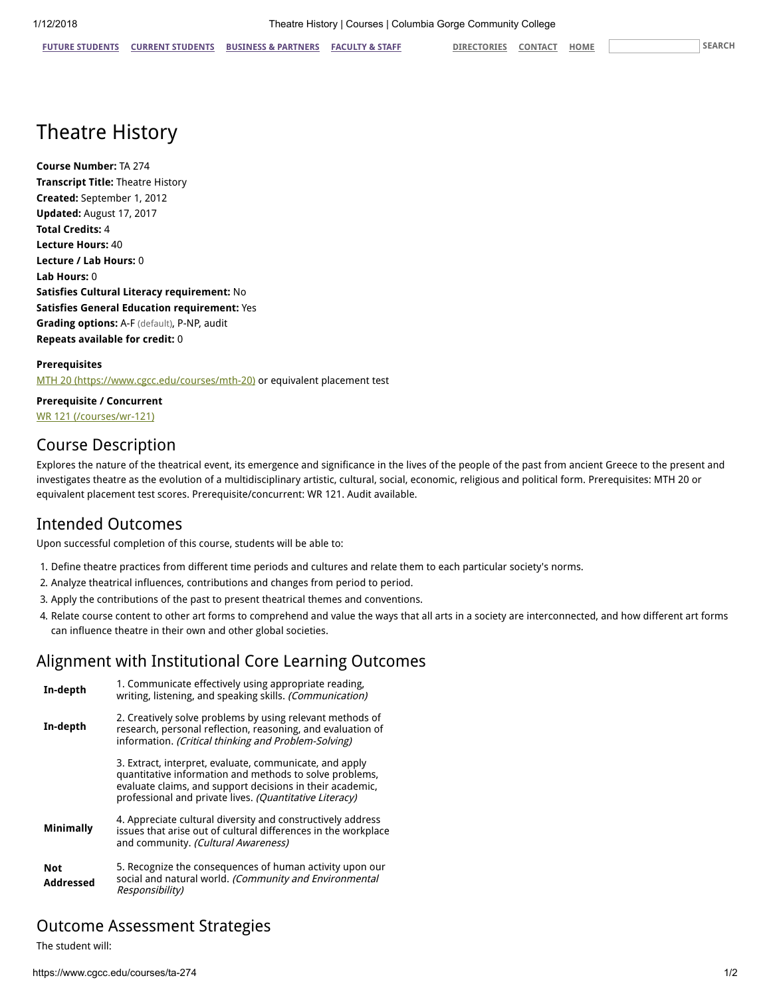# Theatre History

Course Number: TA 274 Transcript Title: Theatre History Created: September 1, 2012 Updated: August 17, 2017 Total Credits: 4 Lecture Hours: 40 Lecture / Lab Hours: 0 Lab Hours: 0 Satisfies Cultural Literacy requirement: No Satisfies General Education requirement: Yes Grading options: A-F (default), P-NP, audit Repeats available for credit: 0

### Prerequisites

[MTH 20 \(https://www.cgcc.edu/courses/mth-20\)](https://www.cgcc.edu/courses/mth-20) or equivalent placement test

Prerequisite / Concurrent [WR 121 \(/courses/wr-121\)](https://www.cgcc.edu/courses/wr-121)

## Course Description

Explores the nature of the theatrical event, its emergence and significance in the lives of the people of the past from ancient Greece to the present and investigates theatre as the evolution of a multidisciplinary artistic, cultural, social, economic, religious and political form. Prerequisites: MTH 20 or equivalent placement test scores. Prerequisite/concurrent: WR 121. Audit available.

## Intended Outcomes

Upon successful completion of this course, students will be able to:

- 1. Define theatre practices from different time periods and cultures and relate them to each particular society's norms.
- 2. Analyze theatrical influences, contributions and changes from period to period.
- 3. Apply the contributions of the past to present theatrical themes and conventions.
- 4. Relate course content to other art forms to comprehend and value the ways that all arts in a society are interconnected, and how different art forms can influence theatre in their own and other global societies.

### Alignment with Institutional Core Learning Outcomes

| In-depth                | 1. Communicate effectively using appropriate reading,<br>writing, listening, and speaking skills. (Communication)                                                                                                                          |
|-------------------------|--------------------------------------------------------------------------------------------------------------------------------------------------------------------------------------------------------------------------------------------|
| In-depth                | 2. Creatively solve problems by using relevant methods of<br>research, personal reflection, reasoning, and evaluation of<br>information. (Critical thinking and Problem-Solving)                                                           |
|                         | 3. Extract, interpret, evaluate, communicate, and apply<br>quantitative information and methods to solve problems,<br>evaluate claims, and support decisions in their academic,<br>professional and private lives. (Quantitative Literacy) |
| <b>Minimally</b>        | 4. Appreciate cultural diversity and constructively address<br>issues that arise out of cultural differences in the workplace<br>and community. (Cultural Awareness)                                                                       |
| <b>Not</b><br>Addressed | 5. Recognize the consequences of human activity upon our<br>social and natural world. (Community and Environmental<br>Responsibility)                                                                                                      |

### Outcome Assessment Strategies

The student will: